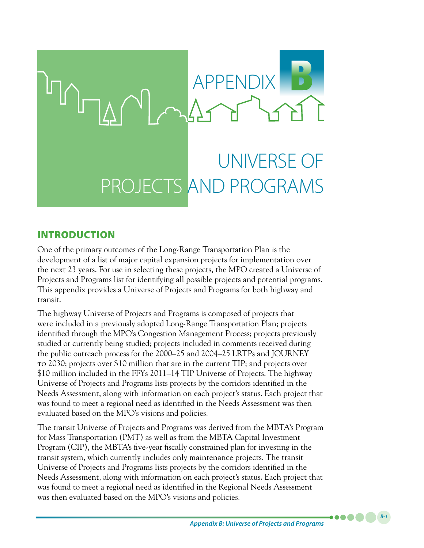

## INTRODUCTION

One of the primary outcomes of the Long-Range Transportation Plan is the development of a list of major capital expansion projects for implementation over the next 23 years. For use in selecting these projects, the MPO created a Universe of Projects and Programs list for identifying all possible projects and potential programs. This appendix provides a Universe of Projects and Programs for both highway and transit.

The highway Universe of Projects and Programs is composed of projects that were included in a previously adopted Long-Range Transportation Plan; projects identified through the MPO's Congestion Management Process; projects previously studied or currently being studied; projects included in comments received during the public outreach process for the 2000–25 and 2004–25 LRTPs and JOURNEY to 2030; projects over \$10 million that are in the current TIP; and projects over \$10 million included in the FFYs 2011–14 TIP Universe of Projects. The highway Universe of Projects and Programs lists projects by the corridors identified in the Needs Assessment, along with information on each project's status. Each project that was found to meet a regional need as identified in the Needs Assessment was then evaluated based on the MPO's visions and policies.

The transit Universe of Projects and Programs was derived from the MBTA's Program for Mass Transportation (PMT) as well as from the MBTA Capital Investment Program (CIP), the MBTA's five-year fiscally constrained plan for investing in the transit system, which currently includes only maintenance projects. The transit Universe of Projects and Programs lists projects by the corridors identified in the Needs Assessment, along with information on each project's status. Each project that was found to meet a regional need as identified in the Regional Needs Assessment was then evaluated based on the MPO's visions and policies.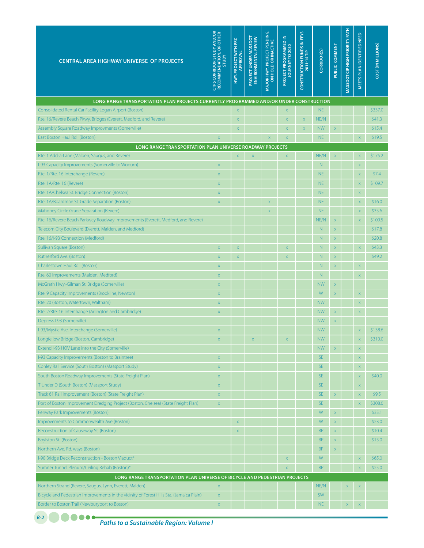| <b>CENTRAL AREA HIGHWAY UNIVERSE OF PROJECTS</b>                                         | <b>CTPS CORRIDOR STUDY AND/OR<br/>RECOMMENDATION, OR OTHER</b><br><b>AdnLS</b> | HWY. PROJECT WITH PRC<br>APPROVAL | PROJECT UNDER MASSDOT<br>ENVIRONMENTAL REVIEW | MAJOR HWY. PROJECT PENDING,<br>ON HOLD OR INACTIVE | $\leq$<br><b>PROJECT PROGRAMMED</b><br>TO 2030<br><b>JOURNEY</b> | CONSTRUCTION FUNDS IN FFYS<br>2011-14 TIP | <b>CORRIDOR(S)</b> | PUBLIC COMMENT          | MASSDOT CIP HIGH PRIORITY PATH | MEETS PLAN IDENTIFIED NEED | COST (IN MILLIONS) |
|------------------------------------------------------------------------------------------|--------------------------------------------------------------------------------|-----------------------------------|-----------------------------------------------|----------------------------------------------------|------------------------------------------------------------------|-------------------------------------------|--------------------|-------------------------|--------------------------------|----------------------------|--------------------|
| LONG RANGE TRANSPORTATION PLAN PROJECTS CURRENTLY PROGRAMMED AND/OR UNDER CONSTRUCTION   |                                                                                |                                   |                                               |                                                    |                                                                  |                                           |                    |                         |                                |                            |                    |
| Consolidated Rental Car Facility Logan Airport (Boston)                                  |                                                                                | $\mathsf X$                       |                                               |                                                    | $\bar{\mathsf{X}}$                                               |                                           | <b>NE</b>          |                         |                                |                            | \$337.0            |
| Rte. 16/Revere Beach Pkwy. Bridges (Everett, Medford, and Revere)                        |                                                                                | $\mathsf X$                       |                                               |                                                    | $\overline{\mathsf{x}}$                                          | $\mathsf X$                               | NE/N               |                         |                                |                            | \$41.3             |
| Assembly Square Roadway Improvments (Somerville)                                         |                                                                                | $\overline{X}$                    |                                               |                                                    | $\mathsf{x}$                                                     | $\overline{\mathsf{x}}$                   | <b>NW</b>          | $\bar{x}$               |                                |                            | \$15.4             |
| East Boston Haul Rd. (Boston)                                                            | $\overline{\mathsf{x}}$                                                        |                                   |                                               | $\overline{\mathsf{x}}$                            | $\overline{\mathsf{x}}$                                          |                                           | <b>NE</b>          |                         |                                | $\bar{\mathsf{x}}$         | \$19.5             |
| LONG RANGE TRANSPORTATION PLAN UNIVERSE ROADWAY PROJECTS                                 |                                                                                |                                   |                                               |                                                    |                                                                  |                                           |                    |                         |                                |                            |                    |
| Rte. 1 Add-a-Lane (Malden, Saugus, and Revere)                                           |                                                                                | $\mathsf X$                       | X                                             |                                                    | $\bar{\mathsf{X}}$                                               |                                           | NE/N               | $\overline{\mathsf{x}}$ |                                | $\mathsf X$                | \$175.2            |
| I-93 Capacity Improvements (Somerville to Woburn)                                        | $\mathsf X$                                                                    |                                   |                                               |                                                    |                                                                  |                                           | N                  |                         |                                | $\mathsf X$                |                    |
| Rte. 1/Rte. 16 Interchange (Revere)                                                      | $\overline{\mathsf{x}}$                                                        |                                   |                                               |                                                    |                                                                  |                                           | <b>NE</b>          |                         |                                | $\mathsf X$                | \$7.4              |
| Rte. 1A/Rte. 16 (Revere)                                                                 | $\mathsf X$                                                                    |                                   |                                               |                                                    |                                                                  |                                           | <b>NE</b>          |                         |                                | $\mathsf X$                | \$109.7            |
| Rte. 1A/Chelsea St. Bridge Connection (Boston)                                           | $\overline{\mathsf{x}}$                                                        |                                   |                                               |                                                    |                                                                  |                                           | <b>NE</b>          |                         |                                | $\mathsf X$                |                    |
| Rte. 1A/Boardman St. Grade Separation (Boston)                                           | $\mathsf X$                                                                    |                                   |                                               | $\overline{\mathsf{x}}$                            |                                                                  |                                           | <b>NE</b>          |                         |                                | $\mathsf X$                | \$16.0             |
| Mahoney Circle Grade Separation (Revere)                                                 |                                                                                |                                   |                                               | X                                                  |                                                                  |                                           | <b>NE</b>          |                         |                                | $\mathsf X$                | \$35.6             |
| Rte. 16/Revere Beach Parkway Roadway Improvements (Everett, Medford, and Revere)         |                                                                                |                                   |                                               |                                                    |                                                                  |                                           | NE/N               | $\bar{\mathsf{X}}$      |                                | $\bar{\mathsf{X}}$         | \$109.5            |
| Telecom City Boulevard (Everett, Malden, and Medford)                                    |                                                                                |                                   |                                               |                                                    |                                                                  |                                           | N                  | $\bar{\mathsf{X}}$      |                                |                            | \$17.8             |
| Rte. 16/I-93 Connection (Medford)                                                        |                                                                                |                                   |                                               |                                                    |                                                                  |                                           | N                  | $\overline{\mathsf{x}}$ |                                |                            | \$20.8             |
| Sullivan Square (Boston)                                                                 | $\overline{\mathsf{x}}$                                                        | $\mathsf X$                       |                                               |                                                    | $\overline{\mathsf{x}}$                                          |                                           | N                  | $\overline{\mathsf{x}}$ |                                | $\bar{\mathsf{X}}$         | \$43.3             |
| Rutherford Ave. (Boston)                                                                 | $\mathsf X$                                                                    | $\mathsf X$                       |                                               |                                                    | X                                                                |                                           | N                  | $\overline{\mathsf{x}}$ |                                |                            | \$49.2             |
| Charlestown Haul Rd. (Boston)                                                            | $\mathsf X$                                                                    |                                   |                                               |                                                    |                                                                  |                                           | N                  | $\bar{\mathsf{X}}$      |                                | $\mathsf X$                |                    |
| Rte. 60 Improvements (Malden, Medford)                                                   | X                                                                              |                                   |                                               |                                                    |                                                                  |                                           | N                  |                         |                                | $\mathsf X$                |                    |
| McGrath Hwy.-Gilman St. Bridge (Somerville)                                              | $\mathsf X$                                                                    |                                   |                                               |                                                    |                                                                  |                                           | <b>NW</b>          | $\mathsf X$             |                                |                            |                    |
| Rte. 9 Capacity Improvements (Brookline, Newton)                                         | $\mathsf X$                                                                    |                                   |                                               |                                                    |                                                                  |                                           | W                  | $\bar{\mathsf{X}}$      |                                | $\mathsf X$                |                    |
| Rte. 20 (Boston, Watertown, Waltham)                                                     | $\mathsf{x}$                                                                   |                                   |                                               |                                                    |                                                                  |                                           | <b>NW</b>          |                         |                                | $\mathsf X$                |                    |
| Rte. 2/Rte. 16 Interchange (Arlington and Cambridge)                                     | $\mathsf X$                                                                    |                                   |                                               |                                                    |                                                                  |                                           | <b>NW</b>          | $\mathsf X$             |                                | $\mathsf X$                |                    |
| Depress I-93 (Somerville)                                                                |                                                                                |                                   |                                               |                                                    |                                                                  |                                           | <b>NW</b>          | $\mathsf X$             |                                |                            |                    |
| I-93/Mystic Ave. Interchange (Somerville)                                                |                                                                                |                                   |                                               |                                                    |                                                                  |                                           | <b>NW</b>          |                         |                                | $\overline{\mathsf{x}}$    | \$138.6            |
| Longfellow Bridge (Boston, Cambridge)                                                    | $\mathsf X$                                                                    |                                   | X                                             |                                                    | $\bar{\mathsf{X}}$                                               |                                           | <b>NW</b>          |                         |                                | $\mathsf X$                | \$310.0            |
| Extend I-93 HOV Lane into the City (Somerville)                                          |                                                                                |                                   |                                               |                                                    |                                                                  |                                           | <b>NW</b>          | $\mathsf X$             |                                | $\mathsf X$                |                    |
| I-93 Capacity Improvements (Boston to Braintree)                                         | $\bar{\mathsf{X}}$                                                             |                                   |                                               |                                                    |                                                                  |                                           | <b>SE</b>          |                         |                                |                            |                    |
| Conley Rail Service (South Boston) (Massport Study)                                      |                                                                                |                                   |                                               |                                                    |                                                                  |                                           | <b>SE</b>          |                         |                                | $\mathsf X$                |                    |
|                                                                                          | $\mathsf X$                                                                    |                                   |                                               |                                                    |                                                                  |                                           | <b>SE</b>          |                         |                                | $\mathsf X$                | \$40.0             |
| South Boston Roadway Improvements (State Freight Plan)                                   | $\mathsf X$                                                                    |                                   |                                               |                                                    |                                                                  |                                           |                    |                         |                                | $\mathsf X$                |                    |
| T Under D (South Boston) (Massport Study)                                                | $\mathsf X$                                                                    |                                   |                                               |                                                    |                                                                  |                                           | <b>SE</b>          |                         |                                | $\mathsf X$                |                    |
| Track 61 Rail Improvement (Boston) (State Freight Plan)                                  | $\mathsf X$                                                                    |                                   |                                               |                                                    |                                                                  |                                           | <b>SE</b>          | $\mathsf X$             |                                | $\mathsf X$                | \$9.5              |
| Port of Boston Improvement Dredging Project (Boston, Chelsea) (State Freight Plan)       | $\mathsf X$                                                                    |                                   |                                               |                                                    |                                                                  |                                           | <b>SE</b>          |                         |                                | $\bar{\mathsf{x}}$         | \$308.0            |
| Fenway Park Improvements (Boston)                                                        |                                                                                |                                   |                                               |                                                    |                                                                  |                                           | W                  | $\bar{\mathsf{x}}$      |                                |                            | \$35.1             |
| Improvements to Commonwealth Ave (Boston)                                                |                                                                                | $\mathsf X$                       |                                               |                                                    |                                                                  |                                           | W                  | $\mathsf X$             |                                |                            | \$23.0             |
| Reconstruction of Causeway St. (Boston)                                                  |                                                                                | $\mathsf{X}$                      |                                               |                                                    |                                                                  |                                           | <b>BP</b>          | $\bar{\mathsf{X}}$      |                                |                            | \$10.4             |
| Boylston St. (Boston)                                                                    |                                                                                |                                   |                                               |                                                    |                                                                  |                                           | <b>BP</b>          | $\mathsf X$             |                                |                            | \$15.0             |
| Northern Ave. Rd. ways (Boston)                                                          |                                                                                |                                   |                                               |                                                    |                                                                  |                                           | <b>BP</b>          | $\mathsf X$             |                                |                            |                    |
| I-90 Bridge Deck Reconstruction - Boston Viaduct*                                        |                                                                                |                                   |                                               |                                                    | $\mathsf X$                                                      |                                           | W                  |                         |                                | $\mathsf X$                | \$65.0             |
| Sumner Tunnel Plenum/Ceiling Rehab (Boston)*                                             |                                                                                |                                   |                                               |                                                    | $\overline{\mathsf{x}}$                                          |                                           | <b>BP</b>          |                         |                                | $\bar{x}$                  | \$25.0             |
| LONG RANGE TRANSPORTATION PLAN UNIVERSE OF BICYCLE AND PEDESTRIAN PROJECTS               |                                                                                |                                   |                                               |                                                    |                                                                  |                                           |                    |                         |                                |                            |                    |
| Northern Strand (Revere, Saugus, Lynn, Everett, Malden)                                  | $\mathsf X$                                                                    |                                   |                                               |                                                    |                                                                  |                                           | NE/N               |                         | $\mathsf X$                    | $\mathsf X$                |                    |
| Bicycle and Pedestrian Improvements in the vicinity of Forest Hills Sta. (Jamaica Plain) | $\mathsf X$                                                                    |                                   |                                               |                                                    |                                                                  |                                           | SW                 |                         |                                |                            |                    |
| Border to Boston Trail (Newburyport to Boston)                                           | X                                                                              |                                   |                                               |                                                    |                                                                  |                                           | <b>NE</b>          |                         | $\mathsf X$                    | $\mathsf X$                |                    |

*B-2* **C C C C C C** 

*Paths to a Sustainable Region: Volume I*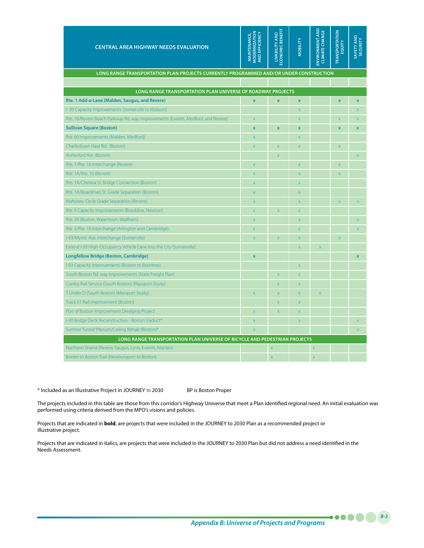| <b>CENTRAL AREA HIGHWAY NEEDS EVALUATION</b>                                           | AND EFFICIENCY<br><b>MODERNIZATION</b><br><b>MAINTENANCE,</b> | ECONOMIC BENEFI<br><b>LIVABILITY AND</b> | <b>MOBILITY</b>         | ENVIRONMENT AND<br><b>CLIMATE CHANGE</b> | <b><i>TRANSPORTATION</i></b><br>EQUITY | SAFETY AND<br><b>SECURITY</b> |
|----------------------------------------------------------------------------------------|---------------------------------------------------------------|------------------------------------------|-------------------------|------------------------------------------|----------------------------------------|-------------------------------|
| LONG RANGE TRANSPORTATION PLAN PROJECTS CURRENTLY PROGRAMMED AND/OR UNDER CONSTRUCTION |                                                               |                                          |                         |                                          |                                        |                               |
|                                                                                        |                                                               |                                          |                         |                                          |                                        |                               |
| LONG RANGE TRANSPORTATION PLAN UNIVERSE OF ROADWAY PROJECTS                            |                                                               |                                          |                         |                                          |                                        |                               |
| Rte. 1 Add-a-Lane (Malden, Saugus, and Revere)                                         | $\overline{\mathbf{x}}$                                       | $\bar{\mathbf{x}}$                       | $\pmb{\mathsf{x}}$      |                                          | $\overline{\mathbf{x}}$                | $\mathbf x$                   |
| I-93 Capacity Improvements (Somerville to Woburn)                                      |                                                               |                                          | $\bar{\mathsf{x}}$      |                                          |                                        | $\bar{\mathsf{x}}$            |
| Rte. 16/Revere Beach Parkway Rd. way Improvements (Everett, Medford, and Revere)       | $\overline{\mathsf{x}}$                                       |                                          | $\mathsf X$             |                                          | $\bar{x}$                              | $\overline{\mathsf{x}}$       |
| <b>Sullivan Square (Boston)</b>                                                        | $\overline{\mathbf{x}}$                                       | $\bar{\mathbf{x}}$                       | $\pmb{\mathsf{x}}$      |                                          | X                                      | $\mathbf x$                   |
| Rte. 60 Improvements (Malden, Medford)                                                 | $\overline{\mathsf{x}}$                                       |                                          | $\bar{\mathsf{X}}$      |                                          |                                        |                               |
| Charlestown Haul Rd. (Boston)                                                          | $\overline{\mathsf{x}}$                                       | $\bar{x}$                                | $\mathsf X$             |                                          | $\bar{x}$                              |                               |
| Rutherford Ave. (Boston)                                                               |                                                               | $\chi$                                   |                         |                                          |                                        | $\bar{X}$                     |
| Rte. 1/Rte. 16 Interchange (Revere)                                                    | $\bar{\mathsf{x}}$                                            |                                          | $\mathsf X$             |                                          | X                                      |                               |
| Rte. 1A/Rte. 16 (Revere)                                                               | $\mathsf{x}$                                                  |                                          | $\mathsf X$             |                                          | X                                      |                               |
| Rte. 1A/Chelsea St. Bridge Connection (Boston)                                         | $\mathsf{x}$                                                  |                                          | $\mathsf X$             |                                          |                                        |                               |
| Rte. 1A/Boardman St. Grade Separation (Boston)                                         | $\overline{\mathsf{x}}$                                       |                                          | $\mathsf X$             |                                          |                                        |                               |
| Mahoney Circle Grade Separation (Revere)                                               | $\overline{\mathsf{x}}$                                       |                                          | $\overline{\mathsf{x}}$ |                                          | $\overline{\mathsf{x}}$                | $\overline{\mathsf{x}}$       |
| Rte. 9 Capacity Improvements (Brookline, Newton)                                       | $\overline{\mathsf{x}}$                                       | $\overline{\mathsf{x}}$                  | $\overline{\mathsf{x}}$ |                                          |                                        |                               |
| Rte. 20 (Boston, Watertown, Waltham)                                                   | $\mathsf{x}$                                                  |                                          | $\mathsf X$             |                                          |                                        | $\mathsf X$                   |
| Rte. 2/Rte. 16 Interchange (Arlington and Cambridge)                                   | $\overline{\mathsf{x}}$                                       |                                          | $\mathsf X$             |                                          |                                        | $\bar{\mathsf{x}}$            |
| I-93/Mystic Ave. Interchange (Somerville)                                              | $\overline{\mathsf{x}}$                                       | $\overline{\mathsf{x}}$                  | $\bar{\mathsf{x}}$      |                                          | X                                      |                               |
| Extend I-93 High-Occupancy Vehicle Lane into the City (Somerville)                     |                                                               |                                          | $\bar{\mathsf{x}}$      | $\overline{\mathsf{x}}$                  |                                        |                               |
| <b>Longfellow Bridge (Boston, Cambridge)</b>                                           | $\overline{\mathbf{x}}$                                       |                                          |                         |                                          |                                        | $\overline{\mathbf{x}}$       |
| I-93 Capacity Improvements (Boston to Braintree)                                       |                                                               |                                          | $\bar{x}$               |                                          |                                        |                               |
| South Boston Rd. way Improvements (State Freight Plan)                                 |                                                               | $\overline{\mathsf{x}}$                  | $\mathsf X$             |                                          |                                        |                               |
| Conley Rail Service (South Boston) (Massport Study)                                    |                                                               | $\overline{\mathsf{x}}$                  | $\overline{\mathsf{x}}$ |                                          |                                        |                               |
| T Under D (South Boston) (Massport Study)                                              | $\overline{\mathsf{x}}$                                       | $\overline{\mathsf{x}}$                  | $\overline{\mathsf{x}}$ | $\overline{\mathsf{x}}$                  |                                        |                               |
| Track 61 Rail Improvement (Boston)                                                     |                                                               | $\overline{\mathsf{x}}$                  | $\overline{\mathsf{x}}$ |                                          |                                        |                               |
| Port of Boston Improvement Dredging Project                                            | $\overline{\mathsf{x}}$                                       | $\bar{x}$                                | $\overline{\mathsf{x}}$ |                                          |                                        |                               |
| I-90 Bridge Deck Reconstruction - Boston Viaduct*                                      | $\overline{\mathsf{x}}$                                       |                                          | $\bar{x}$               |                                          |                                        | $\overline{\mathsf{x}}$       |
| Sumner Tunnel Plenum/Ceiling Rehab (Boston)*                                           | $\overline{\mathsf{x}}$                                       |                                          |                         |                                          |                                        | $\bar{\mathsf{x}}$            |
| LONG RANGE TRANSPORTATION PLAN UNIVERSE OF BICYCLE AND PEDESTRIAN PROJECTS             |                                                               |                                          |                         |                                          |                                        |                               |
| Northern Strand (Revere, Saugus, Lynn, Everett, Malden)                                |                                                               | $\mathsf X$                              |                         | $\bar{\mathsf{X}}$                       |                                        |                               |
| Border to Boston Trail (Newburyport to Boston)                                         |                                                               | $\overline{\mathsf{x}}$                  |                         | $\overline{\mathbf{x}}$                  |                                        |                               |

\* Included as an Illustrative Project in JOURNEY TO 2030 BP is Boston Proper

The projects included in this table are those from this corridor's Highway Universe that meet a Plan identified regional need. An initial evaluation was performed using criteria derived from the MPO's visions and policies.

Projects that are indicated in **bold**, are projects that were included in the JOURNEY to 2030 Plan as a recommended project or illustrative project.

Projects that are indicated in italics, are projects that were included in the JOURNEY to 2030 Plan but did not address a need identified in the Needs Assessment.

*Appendix B: Universe of Projects and Programs*

*B-3*

.....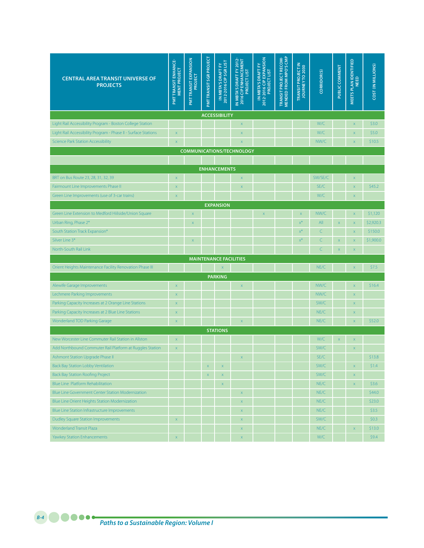| <b>CENTRAL AREA TRANSIT UNIVERSE OF</b><br><b>PROJECTS</b>     | PMTTRANSIT ENHANCE-<br><b>MENT PROJECT</b> | <b>PMTTRANSIT EXPANSION</b><br>PROJECT | PMT TRANSIT SGR PROJECT | IN MBTA'S DRAFT FY<br>2012-2016 CIP SGR LIST | IN MBTA'S DRAFT FY 2012<br>2016 CIP ENHANCEMENT<br><b>PROJECT LIST</b> | 2012-2016 CIP EXPANSION<br>IN MBTA'S DRAFT FY<br><b>PROJECT LIST</b> | MENDED FROM MPO'S CMP<br>TRANSIT PROJECT RECOM- | <b>TRANSIT PROJECT IN</b><br>JOURNEY TO 2030 | CORRIDOR(S) | PUBLIC COMMENT     | MEETS PLAN IDENTIFIED<br><b>NEED</b> | COST (IN MILLIONS) |
|----------------------------------------------------------------|--------------------------------------------|----------------------------------------|-------------------------|----------------------------------------------|------------------------------------------------------------------------|----------------------------------------------------------------------|-------------------------------------------------|----------------------------------------------|-------------|--------------------|--------------------------------------|--------------------|
|                                                                |                                            |                                        |                         | <b>ACCESSIBILITY</b>                         |                                                                        |                                                                      |                                                 |                                              |             |                    |                                      |                    |
| Light Rail Accessibility Program - Boston College Station      |                                            |                                        |                         |                                              | $\mathsf X$                                                            |                                                                      |                                                 |                                              | W/C         |                    | X                                    | \$3.0              |
| Light Rail Accessibility Program - Phase II - Surface Stations | $\bar{\mathsf{x}}$                         |                                        |                         |                                              | X                                                                      |                                                                      |                                                 |                                              | W/C         |                    | X                                    | \$5.0              |
| <b>Science Park Station Accessibility</b>                      | $\bar{x}$                                  |                                        |                         |                                              | X                                                                      |                                                                      |                                                 |                                              | NW/C        |                    | $\bar{x}$                            | \$10.5             |
|                                                                |                                            |                                        |                         |                                              | <b>COMMUNICATIONS/TECHNOLOGY</b>                                       |                                                                      |                                                 |                                              |             |                    |                                      |                    |
|                                                                |                                            |                                        |                         |                                              |                                                                        |                                                                      |                                                 |                                              |             |                    |                                      |                    |
|                                                                |                                            |                                        |                         | <b>ENHANCEMENTS</b>                          |                                                                        |                                                                      |                                                 |                                              |             |                    |                                      |                    |
| BRT on Bus Route 23, 28, 31, 32, 39                            | X                                          |                                        |                         |                                              | $\mathsf X$                                                            |                                                                      |                                                 |                                              | SW/SE/C     |                    | X                                    |                    |
| Fairmount Line Improvements Phase II                           | X                                          |                                        |                         |                                              | X                                                                      |                                                                      |                                                 |                                              | SE/C        |                    | $\mathsf{x}$                         | \$45.2             |
| Green Line Improvements (use of 3-car trains)                  | X                                          |                                        |                         |                                              |                                                                        |                                                                      |                                                 |                                              | W/C         |                    | $\bar{\mathsf{x}}$                   |                    |
|                                                                |                                            |                                        |                         | <b>EXPANSION</b>                             |                                                                        |                                                                      |                                                 |                                              |             |                    |                                      |                    |
| Green Line Extension to Medford Hiilside/Union Square          |                                            | $\bar{\mathsf{x}}$                     |                         |                                              |                                                                        | $\mathsf{x}$                                                         |                                                 | $\bar{\mathsf{x}}$                           | NW/C        |                    | $\mathsf X$                          | \$1,120            |
| Urban Ring, Phase 2*                                           |                                            | $\mathsf X$                            |                         |                                              |                                                                        |                                                                      |                                                 | $x^*$                                        | All         | $\mathsf X$        | $\mathsf X$                          | \$2,920.3          |
| South Station Track Expansion*                                 |                                            |                                        |                         |                                              |                                                                        |                                                                      |                                                 | $x^*$                                        | C           |                    | $\mathsf X$                          | \$150.0            |
| Silver Line 3*                                                 |                                            | $\mathsf X$                            |                         |                                              |                                                                        |                                                                      |                                                 | $x^*$                                        | C           | $\bar{\mathsf{x}}$ | $\mathsf X$                          | \$1,900.0          |
| North-South Rail Link                                          |                                            |                                        |                         |                                              |                                                                        |                                                                      |                                                 |                                              | Ċ           | $\bar{x}$          | $\bar{\mathsf{x}}$                   |                    |
|                                                                |                                            |                                        |                         | <b>MAINTENANCE FACILITIES</b>                |                                                                        |                                                                      |                                                 |                                              |             |                    |                                      |                    |
| Orient Heights Maintenance Facility Renovation Phase III       |                                            |                                        |                         | $\bar{x}$                                    |                                                                        |                                                                      |                                                 |                                              | NE/C        |                    | $\mathsf X$                          | \$7.5              |
|                                                                |                                            |                                        |                         | <b>PARKING</b>                               |                                                                        |                                                                      |                                                 |                                              |             |                    |                                      |                    |
| Alewife Garage Improvements                                    | X                                          |                                        |                         |                                              | $\mathsf X$                                                            |                                                                      |                                                 |                                              | NW/C        |                    | X                                    | \$16.4             |
| Lechmere Parking Improvements                                  | X                                          |                                        |                         |                                              |                                                                        |                                                                      |                                                 |                                              | NW/C        |                    | X                                    |                    |
| Parking Capacity Increases at 2 Orange Line Stations           | X                                          |                                        |                         |                                              |                                                                        |                                                                      |                                                 |                                              | SW/C        |                    | X                                    |                    |
| Parking Capacity Increases at 2 Blue Line Stations             | X                                          |                                        |                         |                                              |                                                                        |                                                                      |                                                 |                                              | NE/C        |                    | X                                    |                    |
| Wonderland TOD Parking Garage                                  | X                                          |                                        |                         |                                              | $\mathsf X$                                                            |                                                                      |                                                 |                                              | NE/C        |                    | $\mathsf X$                          | \$52.0             |
|                                                                |                                            |                                        |                         | <b>STATIONS</b>                              |                                                                        |                                                                      |                                                 |                                              |             |                    |                                      |                    |
| New Worcester Line Commuter Rail Station in Allston            | X                                          |                                        |                         |                                              |                                                                        |                                                                      |                                                 |                                              | W/C         | $\mathsf X$        | $\mathsf X$                          |                    |
| Add Northbound Commuter Rail Platform at Ruggles Station       | $\mathsf X$                                |                                        |                         |                                              |                                                                        |                                                                      |                                                 |                                              | SW/C        |                    | $\mathbf x$                          |                    |
| Ashmont Station Upgrade Phase II                               |                                            |                                        |                         |                                              | $\mathsf X$                                                            |                                                                      |                                                 |                                              | SE/C        |                    |                                      | \$13.8             |
| Back Bay Station Lobby Ventilation                             |                                            |                                        | X                       | X                                            |                                                                        |                                                                      |                                                 |                                              | SW/C        |                    | X                                    | \$1.4              |
| <b>Back Bay Station Roofing Project</b>                        |                                            |                                        | $\mathsf X$             | $\mathsf X$                                  |                                                                        |                                                                      |                                                 |                                              | SW/C        |                    | X                                    |                    |
| Blue Line Platform Rehabilitation                              |                                            |                                        |                         | $\bar{\mathsf{x}}$                           |                                                                        |                                                                      |                                                 |                                              | NE/C        |                    | $\mathsf X$                          | \$3.6              |
| Blue Line Government Center Station Modernization              |                                            |                                        |                         |                                              | $\mathsf X$                                                            |                                                                      |                                                 |                                              | NE/C        |                    |                                      | \$44.0             |
| Blue Line Orient Heights Station Modernization                 |                                            |                                        |                         |                                              | $\mathsf X$                                                            |                                                                      |                                                 |                                              | NE/C        |                    |                                      | \$23.0             |
| Blue Line Station Infrastructure Improvements                  |                                            |                                        |                         |                                              | X                                                                      |                                                                      |                                                 |                                              | NE/C        |                    |                                      | \$3.5              |
| Dudley Square Station Improvements                             | $\mathsf X$                                |                                        |                         |                                              | $\mathsf X$                                                            |                                                                      |                                                 |                                              | SW/C        |                    |                                      | \$0.3\$            |
| <b>Wonderland Transit Plaza</b>                                |                                            |                                        |                         |                                              | $\mathsf X$                                                            |                                                                      |                                                 |                                              | NE/C        |                    | $\bar{\mathsf{X}}$                   | \$13.0             |
| Yawkey Station Enhancements                                    | $\mathsf X$                                |                                        |                         |                                              | $\bar{\mathsf{x}}$                                                     |                                                                      |                                                 |                                              | W/C         |                    |                                      | \$9.4              |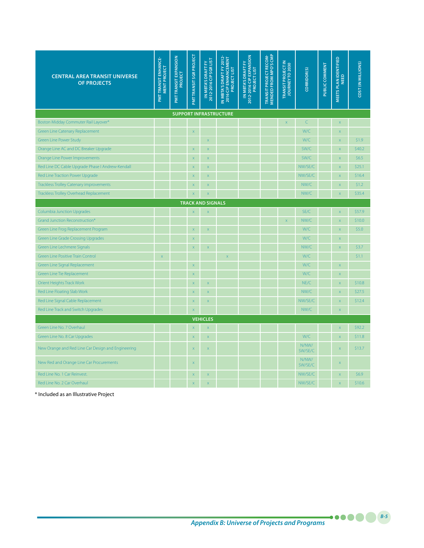| <b>CENTRAL AREA TRANSIT UNIVERSE</b><br><b>OF PROJECTS</b> | <b>PMT TRANSIT ENHANCE-</b><br>MENT PROJECT | <b>PMT TRANSIT EXPANSION</b><br>PROJECT | <b>PMTTRANSIT SGR PROJECT</b> | 2012-2016 CIP SGRLIST<br>IN MBTA'S DRAFT FY | IN MBTA'S DRAFT FY 2012<br>2016 CIP ENHANCEMENT<br>PROJECT LIST | 2012-2016 CIP EXPANSION<br>IN MBTA'S DRAFT FY<br>PROJECT LIST | MENDED FROM MPO'S CMP<br>TRANSIT PROJECT RECOM- | TRANSIT PROJECT IN<br>JOURNEY TO 2030 | CORRIDOR(S)      | PUBLIC COMMENT | MEETS PLAN IDENTIFIED<br><b>NEED</b> | COST (IN MILLIONS) |
|------------------------------------------------------------|---------------------------------------------|-----------------------------------------|-------------------------------|---------------------------------------------|-----------------------------------------------------------------|---------------------------------------------------------------|-------------------------------------------------|---------------------------------------|------------------|----------------|--------------------------------------|--------------------|
|                                                            |                                             |                                         |                               |                                             | <b>SUPPORT INFRASTRUCTURE</b>                                   |                                                               |                                                 |                                       |                  |                |                                      |                    |
| Boston Midday Commuter Rail Layover*                       |                                             |                                         |                               |                                             |                                                                 |                                                               |                                                 | X.                                    | $\subset$        |                | $\overline{\mathsf{x}}$              |                    |
| <b>Green Line Catenary Replacement</b>                     |                                             |                                         | $\overline{\mathsf{x}}$       |                                             |                                                                 |                                                               |                                                 |                                       | W/C              |                | $\overline{\mathsf{x}}$              |                    |
| Green Line Power Study                                     |                                             |                                         |                               | $\mathsf X$                                 |                                                                 |                                                               |                                                 |                                       | W/C              |                | X                                    | \$1.9              |
| Orange Line AC and DC Breaker Upgrade                      |                                             |                                         | $\overline{\mathsf{x}}$       | $\bar{\mathsf{x}}$                          |                                                                 |                                                               |                                                 |                                       | SW/C             |                | $\overline{\mathsf{x}}$              | \$40.2             |
| Orange Line Power Improvements                             |                                             |                                         | $\boldsymbol{\mathsf{x}}$     | $\mathsf{x}$                                |                                                                 |                                                               |                                                 |                                       | SW/C             |                | X                                    | \$6.5              |
| Red Line DC Cable Upgrade Phase I Andrew-Kendall           |                                             |                                         | $\mathsf X$                   | $\mathsf X$                                 |                                                                 |                                                               |                                                 |                                       | NW/SE/C          |                | X                                    | \$25.1             |
| Red Line Traction Power Upgrade                            |                                             |                                         | $\mathsf X$                   | $\mathsf{x}$                                |                                                                 |                                                               |                                                 |                                       | NW/SE/C          |                | X                                    | \$16.4             |
| <b>Trackless Trolley Catenary improvements</b>             |                                             |                                         | $\mathsf X$                   | $\mathsf X$                                 |                                                                 |                                                               |                                                 |                                       | NW/C             |                | X                                    | \$1.2              |
| <b>Trackless Trolley Overhead Replacement</b>              |                                             |                                         | $\bar{x}$                     | $\overline{\mathsf{x}}$                     |                                                                 |                                                               |                                                 |                                       | NW/C             |                | $\overline{\mathsf{x}}$              | \$35.4             |
| <b>TRACK AND SIGNALS</b>                                   |                                             |                                         |                               |                                             |                                                                 |                                                               |                                                 |                                       |                  |                |                                      |                    |
| <b>Columbia Junction Upgrades</b>                          |                                             |                                         | $\boldsymbol{\mathsf{x}}$     | $\mathsf X$                                 |                                                                 |                                                               |                                                 |                                       | SE/C             |                | X                                    | \$57.9             |
| Grand Junction Reconstruction*                             |                                             |                                         |                               |                                             |                                                                 |                                                               |                                                 | $\overline{\mathsf{x}}$               | NW/C             |                | $\overline{\mathsf{x}}$              | \$10.0             |
| Green Line Frog Replacement Program                        |                                             |                                         | $\mathsf X$                   | $\bar{\mathsf{X}}$                          |                                                                 |                                                               |                                                 |                                       | W/C              |                | $\bar{x}$                            | \$5.0              |
| <b>Green Line Grade Crossing Upgrades</b>                  |                                             |                                         | $\bar{\mathsf{X}}$            |                                             |                                                                 |                                                               |                                                 |                                       | W/C              |                | $\bar{x}$                            |                    |
| Green Line Lechmere Signals                                |                                             |                                         | $\bar{\mathsf{x}}$            | $\bar{\mathsf{x}}$                          |                                                                 |                                                               |                                                 |                                       | NW/C             |                | $\overline{\mathsf{x}}$              | \$3.7              |
| <b>Green Line Positive Train Control</b>                   | $\bar{x}$                                   |                                         |                               |                                             | $\overline{\mathsf{x}}$                                         |                                                               |                                                 |                                       | W/C              |                |                                      | \$1.1              |
| Green Line Signal Replacement                              |                                             |                                         | $\bar{x}$                     |                                             |                                                                 |                                                               |                                                 |                                       | W/C              |                | $\overline{\mathsf{x}}$              |                    |
| Green Line Tie Replacement                                 |                                             |                                         | $\bar{\mathsf{x}}$            |                                             |                                                                 |                                                               |                                                 |                                       | W/C              |                | $\overline{\mathsf{x}}$              |                    |
| Orient Heights Track Work                                  |                                             |                                         | $\bar{\mathsf{X}}$            | $\mathsf X$                                 |                                                                 |                                                               |                                                 |                                       | NE/C             |                | X                                    | \$10.8             |
| Red Line Floating Slab Work                                |                                             |                                         | $\bar{\mathsf{x}}$            | $\bar{\mathsf{x}}$                          |                                                                 |                                                               |                                                 |                                       | NW/C             |                | $\overline{\mathsf{x}}$              | \$27.5             |
| Red Line Signal Cable Replacement                          |                                             |                                         | $\bar{\mathsf{x}}$            | $\bar{\mathsf{x}}$                          |                                                                 |                                                               |                                                 |                                       | NW/SE/C          |                | $\bar{x}$                            | \$12.4             |
| Red Line Track and Switch Upgrades                         |                                             |                                         | $\overline{\mathsf{x}}$       |                                             |                                                                 |                                                               |                                                 |                                       | NW/C             |                | X                                    |                    |
|                                                            |                                             |                                         |                               | <b>VEHICLES</b>                             |                                                                 |                                                               |                                                 |                                       |                  |                |                                      |                    |
| Green Line No. 7 Overhaul                                  |                                             |                                         | $\overline{\mathsf{x}}$       | X                                           |                                                                 |                                                               |                                                 |                                       |                  |                | X                                    | \$92.2             |
| Green Line No. 8 Car Upgrades                              |                                             |                                         | $\overline{\mathsf{x}}$       | $\bar{\mathsf{x}}$                          |                                                                 |                                                               |                                                 |                                       | W/C              |                | $\overline{\mathsf{x}}$              | \$11.8             |
| New Orange and Red Line Car Design and Engineering         |                                             |                                         | $\mathsf{x}$                  | $\mathsf X$                                 |                                                                 |                                                               |                                                 |                                       | N/NW/<br>SW/SE/C |                | X                                    | \$13.7             |
| New Red and Orange Line Car Procurements                   |                                             |                                         | $\overline{\mathsf{x}}$       |                                             |                                                                 |                                                               |                                                 |                                       | N/NW/<br>SW/SE/C |                | X                                    |                    |
| Red Line No. 1 Car Reinvest.                               |                                             |                                         | $\overline{\mathsf{x}}$       | $\overline{\mathsf{x}}$                     |                                                                 |                                                               |                                                 |                                       | NW/SE/C          |                | $\overline{\mathsf{x}}$              | \$6.9              |
| Red Line No. 2 Car Overhaul                                |                                             |                                         | $\overline{\mathsf{x}}$       | $\overline{\mathsf{x}}$                     |                                                                 |                                                               |                                                 |                                       | NW/SE/C          |                | $\overline{\mathbf{x}}$              | \$10.6             |

\* Included as an Illustrative Project

*B-5*

.....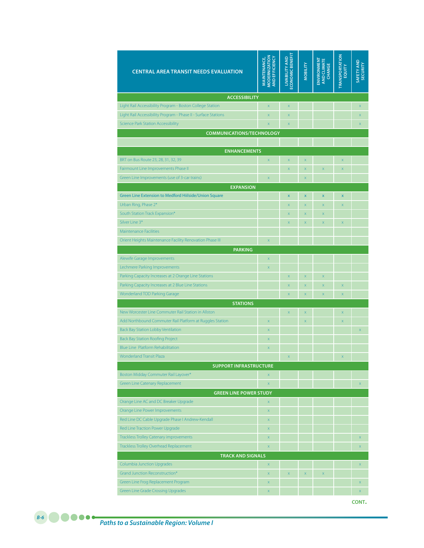| <b>CENTRAL AREA TRANSIT NEEDS EVALUATION</b>                   | <b>MODERNIZATION</b><br><b>MAINTENANCE,</b><br>AND EFFICIENCY | ECONOMIC BENEFIT<br>LIVABILITY AND | <b>MOBILITY</b>         | AND CLIMATE<br>CHANGE<br>ENVIRONMENT | <b>TRANSPORTATION</b><br>EQUITY | <b>SAFETY AND</b><br><b>SECURITY</b> |
|----------------------------------------------------------------|---------------------------------------------------------------|------------------------------------|-------------------------|--------------------------------------|---------------------------------|--------------------------------------|
| <b>ACCESSIBILITY</b>                                           |                                                               |                                    |                         |                                      |                                 |                                      |
| Light Rail Accessibility Program - Boston College Station      | $\bar{\mathsf{x}}$                                            | $\mathsf X$                        |                         |                                      |                                 | X                                    |
| Light Rail Accessibility Program - Phase II - Surface Stations | $\bar{x}$                                                     | $\bar{x}$                          |                         |                                      |                                 | X                                    |
| <b>Science Park Station Accessibility</b>                      | $\overline{\mathsf{x}}$                                       | $\overline{\mathsf{x}}$            |                         |                                      |                                 | X                                    |
| <b>COMMUNICATIONS/TECHNOLOGY</b>                               |                                                               |                                    |                         |                                      |                                 |                                      |
|                                                                |                                                               |                                    |                         |                                      |                                 |                                      |
| <b>ENHANCEMENTS</b>                                            |                                                               |                                    |                         |                                      |                                 |                                      |
| BRT on Bus Route 23, 28, 31, 32, 39                            | $\bar{\mathsf{x}}$                                            | $\overline{\mathsf{x}}$            | X                       |                                      | $\mathsf X$                     |                                      |
| Fairmount Line Improvements Phase II                           |                                                               | $\bar{x}$                          | $\bar{x}$               | $\bar{x}$                            | $\overline{\mathsf{x}}$         |                                      |
| Green Line Improvements (use of 3-car trains)                  | $\overline{\mathsf{x}}$                                       |                                    | X                       |                                      |                                 |                                      |
| <b>EXPANSION</b>                                               |                                                               |                                    |                         |                                      |                                 |                                      |
| Green Line Extension to Medford Hiilside/Union Square          |                                                               | $\overline{\mathsf{x}}$            | $\overline{\mathsf{x}}$ | $\overline{\mathsf{x}}$              | $\overline{\mathsf{x}}$         |                                      |
| Urban Ring, Phase 2*                                           |                                                               | $\overline{\mathsf{x}}$            | X                       | X                                    | $\overline{\mathsf{x}}$         |                                      |
| South Station Track Expansion*                                 |                                                               | $\bar{x}$                          | $\bar{x}$               | $\bar{\mathsf{x}}$                   |                                 |                                      |
| Silver Line 3*                                                 |                                                               | $\overline{\mathsf{x}}$            | $\overline{\mathsf{x}}$ | $\overline{\mathsf{x}}$              | $\overline{\mathsf{x}}$         |                                      |
| <b>Maintenance Facilities</b>                                  |                                                               |                                    |                         |                                      |                                 |                                      |
| Orient Heights Maintenance Facility Renovation Phase III       | $\overline{\mathsf{x}}$                                       |                                    |                         |                                      |                                 |                                      |
| <b>PARKING</b>                                                 |                                                               |                                    |                         |                                      |                                 |                                      |
| Alewife Garage Improvements                                    | X                                                             |                                    |                         |                                      |                                 |                                      |
| Lechmere Parking Improvements                                  | $\overline{\mathsf{x}}$                                       |                                    |                         |                                      |                                 |                                      |
| Parking Capacity Increases at 2 Orange Line Stations           |                                                               | $\overline{\mathsf{x}}$            | $\bar{x}$               | $\bar{x}$                            |                                 |                                      |
| Parking Capacity Increases at 2 Blue Line Stations             |                                                               | $\bar{x}$                          | $\bar{x}$               | $\bar{\mathsf{x}}$                   | $\overline{\mathsf{x}}$         |                                      |
| Wonderland TOD Parking Garage                                  |                                                               | $\overline{\mathsf{x}}$            | X                       | X                                    | $\overline{\mathsf{x}}$         |                                      |
| <b>STATIONS</b>                                                |                                                               |                                    |                         |                                      |                                 |                                      |
| New Worcester Line Commuter Rail Station in Allston            |                                                               | $\bar{x}$                          | $\overline{\mathsf{x}}$ |                                      | $\overline{\mathsf{x}}$         |                                      |
| Add Northbound Commuter Rail Platform at Ruggles Station       | $\overline{\mathsf{x}}$                                       |                                    | X                       |                                      | $\overline{\mathsf{x}}$         |                                      |
| Back Bay Station Lobby Ventilation                             | $\overline{\mathsf{x}}$                                       |                                    |                         |                                      |                                 | X                                    |
| <b>Back Bay Station Roofing Project</b>                        | $\overline{\mathsf{x}}$                                       |                                    |                         |                                      |                                 |                                      |
| Blue Line Platform Rehabilitation                              | $\mathsf{x}$                                                  |                                    |                         |                                      |                                 |                                      |
| <b>Wonderland Transit Plaza</b>                                |                                                               | $\overline{\mathsf{x}}$            |                         |                                      | $\overline{\mathsf{x}}$         |                                      |
| <b>SUPPORT INFRASTRUCTURE</b>                                  |                                                               |                                    |                         |                                      |                                 |                                      |
| Boston Midday Commuter Rail Layover*                           | X                                                             |                                    |                         |                                      |                                 |                                      |
| Green Line Catenary Replacement                                | $\mathsf X$                                                   |                                    |                         |                                      |                                 | $\mathsf X$                          |
| <b>GREEN LINE POWER STUDY</b>                                  |                                                               |                                    |                         |                                      |                                 |                                      |
| Orange Line AC and DC Breaker Upgrade                          | X                                                             |                                    |                         |                                      |                                 |                                      |
| Orange Line Power Improvements                                 | $\mathsf X$                                                   |                                    |                         |                                      |                                 |                                      |
| Red Line DC Cable Upgrade Phase I Andrew-Kendall               | $\mathsf X$                                                   |                                    |                         |                                      |                                 |                                      |
| Red Line Traction Power Upgrade                                | $\bar{\mathsf{x}}$                                            |                                    |                         |                                      |                                 |                                      |
| <b>Trackless Trolley Catenary improvements</b>                 | $\mathsf X$                                                   |                                    |                         |                                      |                                 | $\mathsf X$                          |
| <b>Trackless Trolley Overhead Replacement</b>                  | $\bar{\mathsf{x}}$                                            |                                    |                         |                                      |                                 | X                                    |
| <b>TRACK AND SIGNALS</b>                                       |                                                               |                                    |                         |                                      |                                 |                                      |
| <b>Columbia Junction Upgrades</b>                              | $\bar{\mathsf{X}}$                                            |                                    |                         |                                      |                                 | X                                    |
| Grand Junction Reconstruction*                                 | $\bar{\mathsf{X}}$                                            | $\bar{x}$                          | $\bar{\mathsf{X}}$      | X                                    |                                 |                                      |
| Green Line Frog Replacement Program                            | $\overline{\mathsf{x}}$                                       |                                    |                         |                                      |                                 | $\mathsf X$                          |
| <b>Green Line Grade Crossing Upgrades</b>                      | $\overline{\mathsf{x}}$                                       |                                    |                         |                                      |                                 | $\mathsf X$                          |
|                                                                |                                                               |                                    |                         |                                      |                                 | CONT.                                |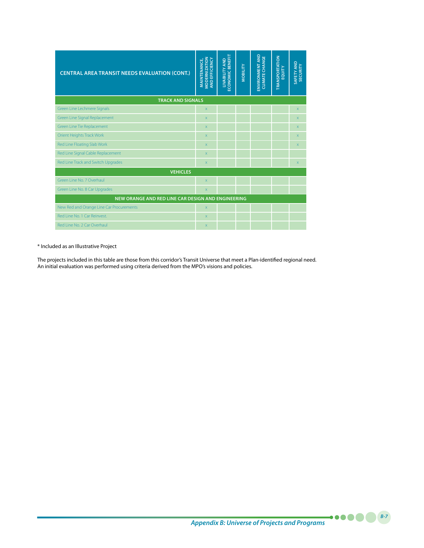| <b>CENTRAL AREA TRANSIT NEEDS EVALUATION (CONT.)</b> | <b>MODERNIZATION</b><br>AND EFFICIENCY<br><b>MAINTENANCE,</b> | ECONOMIC BENEFIT<br><b>LIVABILITY AND</b> | <b>MOBILITY</b> | ENVIRONMENT AND<br><b>CLIMATE CHANGE</b> | <b><i>TRANSPORTATION</i></b><br>EQUITY | <b>SAFETY AND</b><br><b>SECURITY</b> |  |  |  |  |  |
|------------------------------------------------------|---------------------------------------------------------------|-------------------------------------------|-----------------|------------------------------------------|----------------------------------------|--------------------------------------|--|--|--|--|--|
| <b>TRACK AND SIGNALS</b>                             |                                                               |                                           |                 |                                          |                                        |                                      |  |  |  |  |  |
| Green Line Lechmere Signals                          | $\overline{\mathsf{x}}$                                       |                                           |                 |                                          |                                        | X.                                   |  |  |  |  |  |
| Green Line Signal Replacement                        | $\mathsf{x}$                                                  |                                           |                 |                                          |                                        | X                                    |  |  |  |  |  |
| Green Line Tie Replacement                           | $\overline{\mathsf{x}}$                                       |                                           |                 |                                          |                                        | X.                                   |  |  |  |  |  |
| Orient Heights Track Work                            | $\mathsf{x}$                                                  |                                           |                 |                                          |                                        | X                                    |  |  |  |  |  |
| Red Line Floating Slab Work                          | $\mathsf{x}$                                                  |                                           |                 |                                          |                                        | X.                                   |  |  |  |  |  |
| Red Line Signal Cable Replacement                    | $\mathsf{x}$                                                  |                                           |                 |                                          |                                        |                                      |  |  |  |  |  |
| Red Line Track and Switch Upgrades                   | $\overline{\mathsf{x}}$                                       |                                           |                 |                                          |                                        | X.                                   |  |  |  |  |  |
| <b>VEHICLES</b>                                      |                                                               |                                           |                 |                                          |                                        |                                      |  |  |  |  |  |
| Green Line No. 7 Overhaul                            | $\overline{\mathsf{x}}$                                       |                                           |                 |                                          |                                        |                                      |  |  |  |  |  |
| Green Line No. 8 Car Upgrades                        | $\mathsf{x}$                                                  |                                           |                 |                                          |                                        |                                      |  |  |  |  |  |
| NEW ORANGE AND RED LINE CAR DESIGN AND ENGINEERING   |                                                               |                                           |                 |                                          |                                        |                                      |  |  |  |  |  |
| New Red and Orange Line Car Procurements             | $\overline{\mathsf{x}}$                                       |                                           |                 |                                          |                                        |                                      |  |  |  |  |  |
| Red Line No. 1 Car Reinvest.                         | $\overline{\mathsf{x}}$                                       |                                           |                 |                                          |                                        |                                      |  |  |  |  |  |
| Red Line No. 2 Car Overhaul                          | $\mathsf{x}$                                                  |                                           |                 |                                          |                                        |                                      |  |  |  |  |  |

## \* Included as an Illustrative Project

The projects included in this table are those from this corridor's Transit Universe that meet a Plan-identified regional need. An initial evaluation was performed using criteria derived from the MPO's visions and policies.

*Appendix B: Universe of Projects and Programs*

*B-7*

 $\bullet \bullet \bullet \bullet$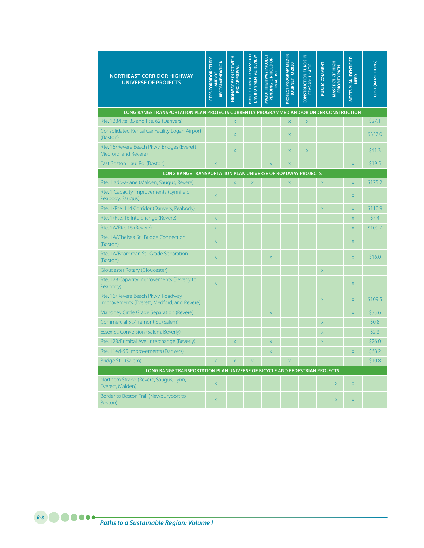| <b>NORTHEAST CORRIDOR HIGHWAY</b><br><b>UNIVERSE OF PROJECTS</b>                       | <b>CTPS CORRIDOR STUDY</b><br>RECOMMENDATION<br>AND/OR | <b>HIGHWAY PROJECT WITH</b><br><b>PRC APPROVAL</b> | PROJECT UNDER MASSDOT<br><b>ENVIRONMENTAL REVIEW</b> | MAJOR HIGHWAY PROJECT<br>PENDING, ON HOLD OR<br><b>INACTIVE</b> | PROJECT PROGRAMMED IN<br><b>JOURNEY TO 2030</b> | CONSTRUCTION FUNDS IN<br><b>FFYS 2011-14 TIP</b> | PUBLIC COMMENT          | MASSDOT CIP HIGH<br><b>PRIORITY PATH</b> | MEETS PLAN IDENTIFIED<br><b>NEED</b> | COST (IN MILLIONS) |
|----------------------------------------------------------------------------------------|--------------------------------------------------------|----------------------------------------------------|------------------------------------------------------|-----------------------------------------------------------------|-------------------------------------------------|--------------------------------------------------|-------------------------|------------------------------------------|--------------------------------------|--------------------|
| LONG RANGE TRANSPORTATION PLAN PROJECTS CURRENTLY PROGRAMMED AND/OR UNDER CONSTRUCTION |                                                        |                                                    |                                                      |                                                                 |                                                 |                                                  |                         |                                          |                                      |                    |
| Rte. 128/Rte. 35 and Rte. 62 (Danvers)                                                 |                                                        | $\overline{\mathsf{x}}$                            |                                                      |                                                                 | $\overline{\mathsf{x}}$                         | $\overline{\mathsf{x}}$                          |                         |                                          |                                      | \$27.1             |
| Consolidated Rental Car Facility Logan Airport<br>(Boston)                             |                                                        | $\overline{X}$                                     |                                                      |                                                                 | $\overline{X}$                                  |                                                  |                         |                                          |                                      | \$337.0            |
| Rte. 16/Revere Beach Pkwy. Bridges (Everett,<br>Medford, and Revere)                   |                                                        | $\mathsf X$                                        |                                                      |                                                                 | X                                               | X                                                |                         |                                          |                                      | \$41.3             |
| East Boston Haul Rd. (Boston)                                                          | $\bar{x}$                                              |                                                    |                                                      | $\overline{X}$                                                  | $\overline{X}$                                  |                                                  |                         |                                          | X                                    | \$19.5             |
| LONG RANGE TRANSPORTATION PLAN UNIVERSE OF ROADWAY PROJECTS                            |                                                        |                                                    |                                                      |                                                                 |                                                 |                                                  |                         |                                          |                                      |                    |
| Rte. 1 add-a-lane (Malden, Saugus, Revere)                                             |                                                        | $\bar{\mathsf{X}}$                                 | $\bar{\mathsf{X}}$                                   |                                                                 | $\bar{\mathsf{X}}$                              |                                                  | X                       |                                          | X                                    | \$175.2            |
| Rte. 1 Capacity Improvements (Lynnfield,<br>Peabody, Saugus)                           | $\mathsf X$                                            |                                                    |                                                      |                                                                 |                                                 |                                                  |                         |                                          | X                                    |                    |
| Rte. 1/Rte. 114 Corridor (Danvers, Peabody)                                            |                                                        |                                                    |                                                      |                                                                 |                                                 |                                                  | $\overline{\mathsf{x}}$ |                                          | X                                    | \$110.9            |
| Rte. 1/Rte. 16 Interchange (Revere)                                                    | $\bar{\mathsf{X}}$                                     |                                                    |                                                      |                                                                 |                                                 |                                                  |                         |                                          | X                                    | \$7.4              |
| Rte. 1A/Rte. 16 (Revere)                                                               | $\overline{\mathsf{x}}$                                |                                                    |                                                      |                                                                 |                                                 |                                                  |                         |                                          | X                                    | \$109.7            |
| Rte. 1A/Chelsea St. Bridge Connection<br>(Boston)                                      | $\mathsf X$                                            |                                                    |                                                      |                                                                 |                                                 |                                                  |                         |                                          | X                                    |                    |
| Rte. 1A/Boardman St. Grade Separation<br>(Boston)                                      | $\mathsf X$                                            |                                                    |                                                      | X                                                               |                                                 |                                                  |                         |                                          | X                                    | \$16.0             |
| Gloucester Rotary (Gloucester)                                                         |                                                        |                                                    |                                                      |                                                                 |                                                 |                                                  | X                       |                                          |                                      |                    |
| Rte. 128 Capacity Improvements (Beverly to<br>Peabody)                                 | $\mathsf X$                                            |                                                    |                                                      |                                                                 |                                                 |                                                  |                         |                                          | X                                    |                    |
| Rte. 16/Revere Beach Pkwy. Roadway<br>Improvements (Everett, Medford, and Revere)      |                                                        |                                                    |                                                      |                                                                 |                                                 |                                                  | X                       |                                          | X                                    | \$109.5            |
| Mahoney Circle Grade Separation (Revere)                                               |                                                        |                                                    |                                                      | $\overline{\mathsf{x}}$                                         |                                                 |                                                  |                         |                                          | $\overline{\mathsf{x}}$              | \$35.6             |
| Commercial St./Tremont St. (Salem)                                                     |                                                        |                                                    |                                                      |                                                                 |                                                 |                                                  | X                       |                                          |                                      | \$0.8              |
| Essex St. Conversion (Salem, Beverly)                                                  |                                                        |                                                    |                                                      |                                                                 |                                                 |                                                  | X                       |                                          |                                      | \$2.3              |
| Rte. 128/Brimbal Ave. Interchange (Beverly)                                            |                                                        | $\mathsf X$                                        |                                                      | X                                                               |                                                 |                                                  | X                       |                                          |                                      | \$26.0             |
| Rte. 114/l-95 Improvements (Danvers)                                                   |                                                        |                                                    |                                                      | $\overline{\mathsf{x}}$                                         |                                                 |                                                  |                         |                                          | $\overline{\mathsf{x}}$              | \$68.2             |
| Bridge St. (Salem)                                                                     | $\overline{\mathsf{x}}$                                | $\overline{\mathsf{x}}$                            | $\overline{\mathsf{x}}$                              |                                                                 | $\overline{\mathsf{x}}$                         |                                                  |                         |                                          |                                      | \$10.8             |
| LONG RANGE TRANSPORTATION PLAN UNIVERSE OF BICYCLE AND PEDESTRIAN PROJECTS             |                                                        |                                                    |                                                      |                                                                 |                                                 |                                                  |                         |                                          |                                      |                    |
| Northern Strand (Revere, Saugus, Lynn,<br>Everett, Malden)                             | $\mathsf{X}$                                           |                                                    |                                                      |                                                                 |                                                 |                                                  |                         | X                                        | X                                    |                    |
| Border to Boston Trail (Newburyport to<br>Boston)                                      | X                                                      |                                                    |                                                      |                                                                 |                                                 |                                                  |                         | X                                        | X                                    |                    |

*Paths to a Sustainable Region: Volume I*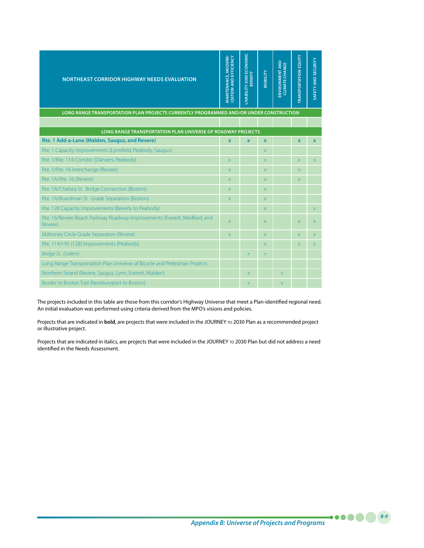| <b>NORTHEAST CORRIDOR HIGHWAY NEEDS EVALUATION</b>                                                                   | MAINTENANCE, MODERN-<br><b>IZATION AND EFFICIENCY</b> | LIVABILITY AND ECONOMIC<br>BENEFIT | <b>MOBILITY</b> | <b>ENVIRONMENT AND</b><br><b>CLIMATE CHANGE</b> | <b>TRANSPORTATION EQUITY</b> | SAFETY AND SECURITY |
|----------------------------------------------------------------------------------------------------------------------|-------------------------------------------------------|------------------------------------|-----------------|-------------------------------------------------|------------------------------|---------------------|
| LONG RANGE TRANSPORTATION PLAN PROJECTS CURRENTLY PROGRAMMED AND/OR UNDER CONSTRUCTION                               |                                                       |                                    |                 |                                                 |                              |                     |
|                                                                                                                      |                                                       |                                    |                 |                                                 |                              |                     |
| <b>LONG RANGE TRANSPORTATION PLAN UNIVERSE OF ROADWAY PROJECTS</b><br>Rte. 1 Add-a-Lane (Malden, Saugus, and Revere) | $\mathbf{x}$                                          | $\mathbf{x}$                       | $\mathbf{x}$    |                                                 | $\mathbf{x}$                 | $\mathbf{x}$        |
| Rte. 1 Capacity Improvements (Lynnfield, Peabody, Saugus)                                                            |                                                       |                                    | X.              |                                                 |                              |                     |
| Rte. 1/Rte. 114 Corridor (Danvers, Peabody)                                                                          | $\overline{\mathsf{x}}$                               |                                    | X               |                                                 | $\overline{X}$               | $\overline{X}$      |
| Rte. 1/Rte. 16 Interchange (Revere)                                                                                  | $\mathsf X$                                           |                                    | X.              |                                                 | $\mathsf{X}$                 |                     |
| Rte. 1A/Rte. 16 (Revere)                                                                                             | X                                                     |                                    | X               |                                                 | $\mathsf{X}$                 |                     |
| Rte. 1A/Chelsea St. Bridge Connection (Boston)                                                                       | $\mathsf{X}$                                          |                                    | X.              |                                                 |                              |                     |
| Rte. 1A/Boardman St. Grade Separation (Boston)                                                                       | $\mathsf X$                                           |                                    | X               |                                                 |                              |                     |
| Rte. 128 Capacity Improvements (Beverly to Peabody)                                                                  |                                                       |                                    | X.              |                                                 |                              | $\mathsf{X}$        |
| Rte. 16/Revere Beach Parkway Roadway Improvements (Everett, Medford, and<br>Revere)                                  | $\mathsf X$                                           |                                    | $\mathsf{X}$    |                                                 | $\mathsf{X}$                 | $\mathsf{X}$        |
| Mahoney Circle Grade Separation (Revere)                                                                             | $\mathsf X$                                           |                                    | X.              |                                                 | $\mathsf{X}$                 | X                   |
| Rte. 114/I-95 (128) Improvements (Peabody)                                                                           |                                                       |                                    | X.              |                                                 | $\mathsf{X}$                 | $\mathsf X$         |
| Bridge St. (Salem)                                                                                                   |                                                       | $\chi$                             | X               |                                                 |                              |                     |
| Long Range Transportation Plan Universe of Bicycle and Pedestrian Projects                                           |                                                       |                                    |                 |                                                 |                              |                     |
| Northern Strand (Revere, Saugus, Lynn, Everett, Malden)                                                              |                                                       | X                                  |                 | $\mathsf{X}$                                    |                              |                     |
| Border to Boston Trail (Newburyport to Boston)                                                                       |                                                       | $\mathsf{X}$                       |                 | $\mathsf{X}$                                    |                              |                     |

The projects included in this table are those from this corridor's Highway Universe that meet a Plan-identified regional need. An initial evaluation was performed using criteria derived from the MPO's visions and policies.

Projects that are indicated in **bold**, are projects that were included in the JOURNEY to 2030 Plan as a recommended project or illustrative project.

Projects that are indicated in italics, are projects that were included in the JOURNEY TO 2030 Plan but did not address a need identified in the Needs Assessment.

*B-9*

. . . **. .**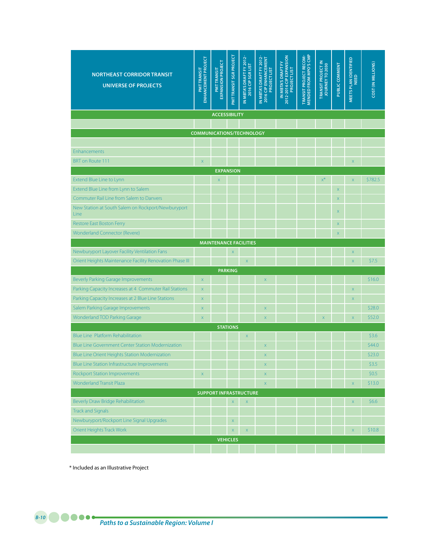| <b>NORTHEAST CORRIDOR TRANSIT</b><br><b>UNIVERSE OF PROJECTS</b>                                     | <b>ENHANCEMENT PROJECT</b><br><b>PMTTRANSIT</b> | EXPANSION PROJECT<br><b>PMTTRANSIT</b> | PMTTRANSIT SGR PROJECT | IN MBTA'S DRAFT FY 2012-<br>2016 CIP SGR LIST | IN MBTA'S DRAFT FY 2012-<br>2016 CIP ENHANCEMENT<br><b>PROJECT LIST</b> | 2012-2016 CIP EXPANSION<br>PROJECT LIST<br>IN MBTA'S DRAFT FY | <b>TRANSIT PROJECT RECOM-</b><br>MENDED FROM MPO'S CMP | TRANSIT PROJECT IN<br>JOURNEY TO 2030 | PUBLIC COMMENT          | MEETS PLAN IDENTIFIED<br>NEED | COST (IN MILLIONS) |
|------------------------------------------------------------------------------------------------------|-------------------------------------------------|----------------------------------------|------------------------|-----------------------------------------------|-------------------------------------------------------------------------|---------------------------------------------------------------|--------------------------------------------------------|---------------------------------------|-------------------------|-------------------------------|--------------------|
| <b>ACCESSIBILITY</b>                                                                                 |                                                 |                                        |                        |                                               |                                                                         |                                                               |                                                        |                                       |                         |                               |                    |
|                                                                                                      |                                                 |                                        |                        |                                               |                                                                         |                                                               |                                                        |                                       |                         |                               |                    |
|                                                                                                      | <b>COMMUNICATIONS/TECHNOLOGY</b>                |                                        |                        |                                               |                                                                         |                                                               |                                                        |                                       |                         |                               |                    |
|                                                                                                      |                                                 |                                        |                        |                                               |                                                                         |                                                               |                                                        |                                       |                         |                               |                    |
| <b>Enhancements</b>                                                                                  |                                                 |                                        |                        |                                               |                                                                         |                                                               |                                                        |                                       |                         |                               |                    |
| <b>BRT</b> on Route 111                                                                              | $\mathsf X$                                     |                                        |                        |                                               |                                                                         |                                                               |                                                        |                                       |                         | $\mathsf{x}$                  |                    |
| Extend Blue Line to Lynn                                                                             |                                                 |                                        | <b>EXPANSION</b>       |                                               |                                                                         |                                                               |                                                        | $x^*$                                 |                         |                               | \$782.5            |
| Extend Blue Line from Lynn to Salem                                                                  |                                                 | $\mathsf X$                            |                        |                                               |                                                                         |                                                               |                                                        |                                       | $\overline{\mathsf{X}}$ | $\mathsf{x}$                  |                    |
| <b>Commuter Rail Line from Salem to Danvers</b>                                                      |                                                 |                                        |                        |                                               |                                                                         |                                                               |                                                        |                                       | $\mathsf X$             |                               |                    |
| New Station at South Salem on Rockport/Newburyport                                                   |                                                 |                                        |                        |                                               |                                                                         |                                                               |                                                        |                                       |                         |                               |                    |
| Line                                                                                                 |                                                 |                                        |                        |                                               |                                                                         |                                                               |                                                        |                                       | $\mathsf{X}$            |                               |                    |
| <b>Restore East Boston Ferry</b>                                                                     |                                                 |                                        |                        |                                               |                                                                         |                                                               |                                                        |                                       | $\mathsf{X}$            |                               |                    |
| <b>Wonderland Connector (Revere)</b>                                                                 |                                                 |                                        |                        |                                               |                                                                         |                                                               |                                                        |                                       | $\mathsf{X}$            |                               |                    |
|                                                                                                      |                                                 |                                        |                        | <b>MAINTENANCE FACILITIES</b>                 |                                                                         |                                                               |                                                        |                                       |                         |                               |                    |
| Newburyport Layover Facility Ventilation Fans                                                        |                                                 |                                        | X                      |                                               |                                                                         |                                                               |                                                        |                                       |                         | X                             |                    |
| Orient Heights Maintenance Facility Renovation Phase III                                             |                                                 |                                        |                        | $\overline{\mathsf{X}}$                       |                                                                         |                                                               |                                                        |                                       |                         | $\overline{\mathsf{x}}$       | \$7.5              |
|                                                                                                      |                                                 |                                        | <b>PARKING</b>         |                                               |                                                                         |                                                               |                                                        |                                       |                         |                               |                    |
| <b>Beverly Parking Garage Improvements</b>                                                           | $\mathsf X$                                     |                                        |                        |                                               | $\mathsf X$                                                             |                                                               |                                                        |                                       |                         |                               | \$16.0             |
| Parking Capacity Increases at 4 Commuter Rail Stations                                               | $\mathsf X$                                     |                                        |                        |                                               |                                                                         |                                                               |                                                        |                                       |                         | $\mathsf{x}$                  |                    |
| Parking Capacity Increases at 2 Blue Line Stations                                                   | $\mathsf X$                                     |                                        |                        |                                               |                                                                         |                                                               |                                                        |                                       |                         | $\mathsf X$                   |                    |
| Salem Parking Garage Improvements                                                                    | $\mathsf X$                                     |                                        |                        |                                               | $\mathsf X$                                                             |                                                               |                                                        |                                       |                         |                               | \$28.0             |
| <b>Wonderland TOD Parking Garage</b>                                                                 | $\mathsf X$                                     |                                        |                        |                                               | $\mathsf X$                                                             |                                                               |                                                        | X                                     |                         | $\overline{\mathsf{x}}$       | \$52.0             |
|                                                                                                      |                                                 |                                        | <b>STATIONS</b>        |                                               |                                                                         |                                                               |                                                        |                                       |                         |                               |                    |
| <b>Blue Line Platform Rehabilitation</b><br><b>Blue Line Government Center Station Modernization</b> |                                                 |                                        |                        | $\mathsf X$                                   |                                                                         |                                                               |                                                        |                                       |                         |                               | \$3.6<br>\$44.0    |
| Blue Line Orient Heights Station Modernization                                                       |                                                 |                                        |                        |                                               | $\mathsf X$<br>$\mathsf X$                                              |                                                               |                                                        |                                       |                         |                               | \$23.0             |
| <b>Blue Line Station Infrastructure Improvements</b>                                                 |                                                 |                                        |                        |                                               | $\mathsf X$                                                             |                                                               |                                                        |                                       |                         |                               | \$3.5              |
| <b>Rockport Station Improvements</b>                                                                 | $\mathsf X$                                     |                                        |                        |                                               | $\mathsf X$                                                             |                                                               |                                                        |                                       |                         |                               | \$0.5              |
| <b>Wonderland Transit Plaza</b>                                                                      |                                                 |                                        |                        |                                               | $\mathsf X$                                                             |                                                               |                                                        |                                       |                         | $\mathsf X$                   | \$13.0             |
|                                                                                                      |                                                 |                                        |                        | <b>SUPPORT INFRASTRUCTURE</b>                 |                                                                         |                                                               |                                                        |                                       |                         |                               |                    |
| Beverly Draw Bridge Rehabilitation                                                                   |                                                 |                                        | $\mathsf X$            | $\mathsf X$                                   |                                                                         |                                                               |                                                        |                                       |                         | $\mathsf X$                   | \$6.6\$            |
| <b>Track and Signals</b>                                                                             |                                                 |                                        |                        |                                               |                                                                         |                                                               |                                                        |                                       |                         |                               |                    |
| Newburyport/Rockport Line Signal Upgrades                                                            |                                                 |                                        | $\mathsf X$            |                                               |                                                                         |                                                               |                                                        |                                       |                         |                               |                    |
| Orient Heights Track Work                                                                            |                                                 |                                        | $\bar{\mathsf{X}}$     | $\mathsf X$                                   |                                                                         |                                                               |                                                        |                                       |                         | $\mathsf X$                   | \$10.8             |
|                                                                                                      |                                                 |                                        | <b>VEHICLES</b>        |                                               |                                                                         |                                                               |                                                        |                                       |                         |                               |                    |
|                                                                                                      |                                                 |                                        |                        |                                               |                                                                         |                                                               |                                                        |                                       |                         |                               |                    |

\* Included as an Illustrative Project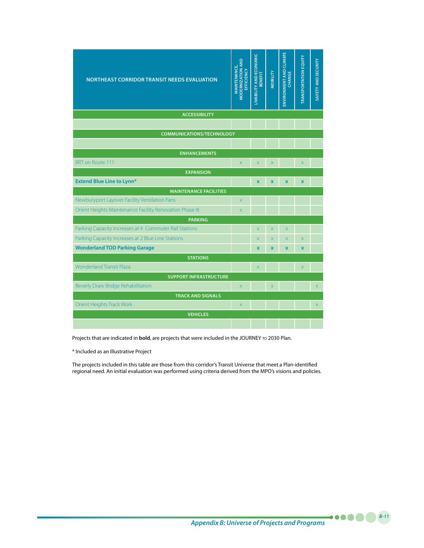| <b>NORTHEAST CORRIDOR TRANSIT NEEDS EVALUATION</b>       | <b>MODERNIZATION AND</b><br>MAINTEN ANCE,<br>EFFICIENCY | LIVABILITY AND ECONOMIC<br>BENEFIT | <b>MOBILITY</b>         | <b>ENVIRONMENT AND CLIMATE</b><br><b>CHANGE</b> | <b>TRANSPORTATION EQUITY</b> | SAFETY AND SECURITY |
|----------------------------------------------------------|---------------------------------------------------------|------------------------------------|-------------------------|-------------------------------------------------|------------------------------|---------------------|
| <b>ACCESSIBILITY</b>                                     |                                                         |                                    |                         |                                                 |                              |                     |
|                                                          |                                                         |                                    |                         |                                                 |                              |                     |
| <b>COMMUNICATIONS/TECHNOLOGY</b>                         |                                                         |                                    |                         |                                                 |                              |                     |
|                                                          |                                                         |                                    |                         |                                                 |                              |                     |
| <b>ENHANCEMENTS</b>                                      |                                                         |                                    |                         |                                                 |                              |                     |
| <b>BRT</b> on Route 111                                  | X                                                       | $\overline{\mathsf{x}}$            | $\overline{X}$          |                                                 | $\overline{X}$               |                     |
| <b>EXPANSION</b>                                         |                                                         |                                    |                         |                                                 |                              |                     |
| <b>Extend Blue Line to Lynn*</b>                         |                                                         | $\mathbf{x}$                       | $\overline{\mathbf{x}}$ | $\overline{\mathbf{x}}$                         | $\mathbf{x}$                 |                     |
| <b>MAINTENANCE FACILITIES</b>                            |                                                         |                                    |                         |                                                 |                              |                     |
| Newburyport Layover Facility Ventilation Fans            | $\overline{\mathsf{x}}$                                 |                                    |                         |                                                 |                              |                     |
| Orient Heights Maintenance Facility Renovation Phase III | X                                                       |                                    |                         |                                                 |                              |                     |
| <b>PARKING</b>                                           |                                                         |                                    |                         |                                                 |                              |                     |
| Parking Capacity Increases at 4 Commuter Rail Stations   |                                                         | $\mathsf X$                        | X                       | $\mathsf{X}$                                    |                              |                     |
| Parking Capacity Increases at 2 Blue Line Stations       |                                                         | $\overline{\mathsf{x}}$            | X                       | $\mathsf X$                                     | $\overline{\mathsf{x}}$      |                     |
| <b>Wonderland TOD Parking Garage</b>                     |                                                         | $\mathbf x$                        | $\overline{\mathbf{x}}$ | $\overline{\mathbf{x}}$                         | $\mathbf{x}$                 |                     |
| <b>STATIONS</b>                                          |                                                         |                                    |                         |                                                 |                              |                     |
| <b>Wonderland Transit Plaza</b>                          |                                                         | $\overline{\mathsf{x}}$            |                         |                                                 | $\overline{\mathsf{X}}$      |                     |
| <b>SUPPORT INFRASTRUCTURE</b>                            |                                                         |                                    |                         |                                                 |                              |                     |
| Beverly Draw Bridge Rehabilitation                       | $\overline{X}$                                          |                                    | $\overline{X}$          |                                                 |                              | X.                  |
| <b>TRACK AND SIGNALS</b>                                 |                                                         |                                    |                         |                                                 |                              |                     |
| Orient Heights Track Work                                | X                                                       |                                    |                         |                                                 |                              | $\mathsf X$         |
| <b>VEHICLES</b>                                          |                                                         |                                    |                         |                                                 |                              |                     |
|                                                          |                                                         |                                    |                         |                                                 |                              |                     |

Projects that are indicated in **bold**, are projects that were included in the JOURNEY TO 2030 Plan.

\* Included as an Illustrative Project

The projects included in this table are those from this corridor's Transit Universe that meet a Plan-identified regional need. An initial evaluation was performed using criteria derived from the MPO's visions and policies.

*B-11*

.....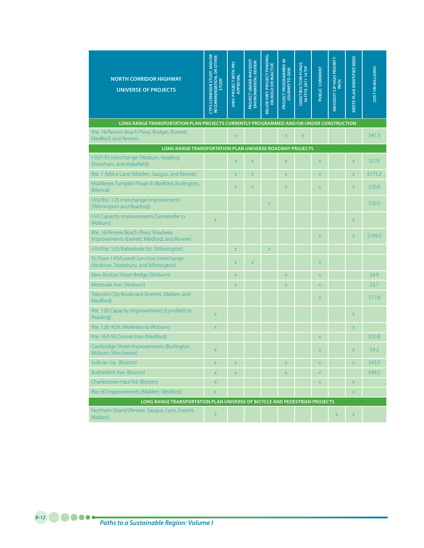| <b>NORTH CORRIDOR HIGHWAY</b><br><b>UNIVERSE OF PROJECTS</b>                           | <b>CTPS CORRIDOR STUDY AND/OR</b><br>RECOMMENDATION, OR OTHER<br><b>STUDY</b> | HWY. PROJECT WITH PRC<br>APPROVAL | PROJECT UNDER MASSDOT<br>ENVIRONMENTAL REVIEW | MAJOR HWY. PROJECT PENDING,<br>ON HOLD OR INACTIVE | PROJECT PROGRAMMED IN<br>JOURNEY TO 2030 | <b>CONSTRUCTION FUNDS<br/>IN FFYS 2011-14 TIP</b> | PUBLIC COMMENT | MASSDOT CIP HIGH PRIORITY<br>PATH | MEETS PLAN IDENTIFIED NEED | COST (IN MILLIONS) |
|----------------------------------------------------------------------------------------|-------------------------------------------------------------------------------|-----------------------------------|-----------------------------------------------|----------------------------------------------------|------------------------------------------|---------------------------------------------------|----------------|-----------------------------------|----------------------------|--------------------|
| LONG RANGE TRANSPORTATION PLAN PROJECTS CURRENTLY PROGRAMMED AND/OR UNDER CONSTRUCTION |                                                                               |                                   |                                               |                                                    |                                          |                                                   |                |                                   |                            |                    |
| Rte. 16/Revere Beach Pkwy. Bridges (Everett,<br>Medford, and Revere)                   |                                                                               | $\mathsf X$                       |                                               |                                                    | $\mathsf X$                              | $\mathsf X$                                       |                |                                   |                            | \$41.3             |
| LONG RANGE TRANSPORTATION PLAN UNIVERSE ROADWAY PROJECTS                               |                                                                               |                                   |                                               |                                                    |                                          |                                                   |                |                                   |                            |                    |
| I-93/I-95 Interchange (Woburn, Reading,<br>Stoneham, and Wakefield)                    |                                                                               | $\mathsf X$                       | X                                             |                                                    | $\mathsf X$                              |                                                   | X              |                                   | $\mathsf X$                | \$276              |
| Rte. 1 Add-a-Lane (Malden, Saugus, and Revere)                                         |                                                                               | X                                 | X                                             |                                                    | $\mathsf X$                              |                                                   | X              |                                   | $\mathsf X$                | \$175.2            |
| Middlesex Turnpike Phase III (Bedford, Burlington,<br><b>Billerica</b> )               |                                                                               | X                                 | $\mathsf X$                                   |                                                    | $\mathsf X$                              |                                                   | X              |                                   | $\overline{\mathsf{x}}$    | \$20.8             |
| I-93/Rte. 129 Interchange Improvements<br>(Wilmington and Reading)                     |                                                                               |                                   |                                               | $\overline{X}$                                     |                                          |                                                   |                |                                   |                            | \$20.5             |
| I-93 Capacity Improvements (Somerville to<br>Woburn)                                   | $\mathsf X$                                                                   |                                   |                                               |                                                    |                                          |                                                   |                |                                   | $\mathsf X$                |                    |
| Rte. 16/Revere Beach Pkwy. Roadway<br>Improvements (Everett, Medford, and Revere)      |                                                                               |                                   |                                               |                                                    |                                          |                                                   | X              |                                   | $\mathsf X$                | \$109.5            |
| I-93/Rte. 125/Ballardvale Rd. (Wilmington)                                             |                                                                               | X                                 |                                               | $\overline{\mathsf{x}}$                            |                                          |                                                   |                |                                   |                            |                    |
| Tri Town I-93/Lowell Junction Interchange<br>(Andover, Tewksbury, and Wilmington)      |                                                                               | X                                 | $\mathsf X$                                   |                                                    |                                          |                                                   | X              |                                   |                            |                    |
| New Boston Street Bridge (Woburn)                                                      |                                                                               | X.                                |                                               |                                                    | X                                        |                                                   | X              |                                   |                            | 54.9               |
| Montvale Ave. (Woburn)                                                                 |                                                                               | X                                 |                                               |                                                    | $\overline{\mathsf{X}}$                  |                                                   | X              |                                   |                            | \$3.7              |
| Telecom City Boulevard (Everett, Malden, and<br>Medford)                               |                                                                               |                                   |                                               |                                                    |                                          |                                                   | X              |                                   |                            | \$17.8             |
| Rte. 128 Capacity Improvements (Lynnfield to<br>Reading)                               | $\mathsf X$                                                                   |                                   |                                               |                                                    |                                          |                                                   |                |                                   | $\mathsf{x}$               |                    |
| Rte. 128 HOV (Wellesley to Woburn)                                                     | $\overline{\mathsf{x}}$                                                       |                                   |                                               |                                                    |                                          |                                                   |                |                                   | $\overline{\mathsf{X}}$    |                    |
| Rte. 16/I-93 Connection (Medford)                                                      |                                                                               |                                   |                                               |                                                    |                                          |                                                   | X              |                                   |                            | \$20.8             |
| Cambridge Street Improvements (Burlington,<br>Woburn, Winchester)                      | $\mathsf{X}$                                                                  |                                   |                                               |                                                    |                                          |                                                   | X              |                                   | X                          | 54.3               |
| Sullivan Sq. (Boston)                                                                  | $\mathsf X$                                                                   | X                                 |                                               |                                                    | $\mathsf X$                              |                                                   | X              |                                   | $\mathsf X$                | \$43.3             |
| Rutherford Ave. (Boston)                                                               | $\mathsf X$                                                                   | $\mathsf X$                       |                                               |                                                    | $\mathsf{X}$                             |                                                   | $\mathsf X$    |                                   |                            | \$49.2             |
| Charlestown Haul Rd. (Boston)                                                          | $\mathsf{X}^-$                                                                |                                   |                                               |                                                    |                                          |                                                   | $\mathsf X$    |                                   | $\mathsf X$                |                    |
| Rte. 60 Improvements (Malden, Medford)                                                 | $\bar{\mathsf{X}}$                                                            |                                   |                                               |                                                    |                                          |                                                   |                |                                   | $\mathsf X$                |                    |
| LONG RANGE TRANSPORTATION PLAN UNIVERSE OF BICYCLE AND PEDESTRIAN PROJECTS             |                                                                               |                                   |                                               |                                                    |                                          |                                                   |                |                                   |                            |                    |
| Northern Strand (Revere, Saugus, Lynn, Everett,<br>Malden)                             | $\bar{\mathsf{X}}$                                                            |                                   |                                               |                                                    |                                          |                                                   |                | $\mathsf X$                       | $\mathsf X$                |                    |

*Paths to a Sustainable Region: Volume I B-12*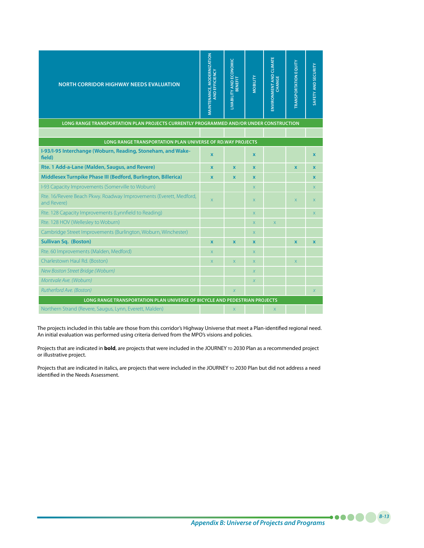| <b>NORTH CORRIDOR HIGHWAY NEEDS EVALUATION</b>                                                                                       | <b>MAINTENANCE, MODERNIZATION</b><br>AND EFFICIENCY | LIVABILITY AND ECONOMIC<br>BENEFIT | <b>MOBILITY</b>  | <b>ENVIRONMENT AND CLIMATE</b><br>CHANGE | <b>TRANSPORTATION EQUITY</b> | SAFETY AND SECURITY |
|--------------------------------------------------------------------------------------------------------------------------------------|-----------------------------------------------------|------------------------------------|------------------|------------------------------------------|------------------------------|---------------------|
| LONG RANGE TRANSPORTATION PLAN PROJECTS CURRENTLY PROGRAMMED AND/OR UNDER CONSTRUCTION                                               |                                                     |                                    |                  |                                          |                              |                     |
|                                                                                                                                      |                                                     |                                    |                  |                                          |                              |                     |
| LONG RANGE TRANSPORTATION PLAN UNIVERSE OF RD. WAY PROJECTS<br>I-93/I-95 Interchange (Woburn, Reading, Stoneham, and Wake-<br>field) | $\mathbf{x}$                                        |                                    | $\mathbf{x}$     |                                          |                              | $\mathbf{x}$        |
| Rte. 1 Add-a-Lane (Malden, Saugus, and Revere)                                                                                       | $\mathbf{x}$                                        | $\mathbf x$                        | $\mathbf x$      |                                          | $\mathbf{x}$                 | $\mathbf{x}$        |
| Middlesex Turnpike Phase III (Bedford, Burlington, Billerica)                                                                        | $\mathbf{x}$                                        | $\mathbf{x}$                       | $\mathbf{x}$     |                                          |                              | $\mathbf{x}$        |
| I-93 Capacity Improvements (Somerville to Woburn)                                                                                    |                                                     |                                    | X.               |                                          |                              | $\mathsf{X}$        |
| Rte. 16/Revere Beach Pkwy. Roadway Improvements (Everett, Medford,<br>and Revere)                                                    | $\overline{X}$                                      |                                    | X                |                                          | X                            | $\mathsf{X}$        |
| Rte. 128 Capacity Improvements (Lynnfield to Reading)                                                                                |                                                     |                                    | X.               |                                          |                              | $\overline{X}$      |
| Rte. 128 HOV (Wellesley to Woburn)                                                                                                   |                                                     |                                    | X.               | $\overline{\mathsf{x}}$                  |                              |                     |
| Cambridge Street Improvements (Burlington, Woburn, Winchester)                                                                       |                                                     |                                    | X.               |                                          |                              |                     |
| <b>Sullivan Sq. (Boston)</b>                                                                                                         | $\mathbf x$                                         | $\mathbf x$                        | $\mathbf x$      |                                          | $\mathbf x$                  | $\mathbf{x}$        |
| Rte. 60 Improvements (Malden, Medford)                                                                                               | X                                                   |                                    | $\mathsf{X}$     |                                          |                              |                     |
| Charlestown Haul Rd. (Boston)                                                                                                        | $\overline{X}$                                      | $\overline{X}$                     | X.               |                                          | $\overline{\mathsf{x}}$      |                     |
| New Boston Street Bridge (Woburn)                                                                                                    |                                                     |                                    | $\boldsymbol{X}$ |                                          |                              |                     |
| Montvale Ave. (Woburn)                                                                                                               |                                                     |                                    | $\overline{X}$   |                                          |                              |                     |
| Rutherford Ave. (Boston)                                                                                                             |                                                     | $\overline{X}$                     |                  |                                          |                              | $\chi$              |
| LONG RANGE TRANSPORTATION PLAN UNIVERSE OF BICYCLE AND PEDESTRIAN PROJECTS                                                           |                                                     |                                    |                  |                                          |                              |                     |
| Northern Strand (Revere, Saugus, Lynn, Everett, Malden)                                                                              |                                                     | $\mathsf X$                        |                  | $\mathsf X$                              |                              |                     |

The projects included in this table are those from this corridor's Highway Universe that meet a Plan-identified regional need. An initial evaluation was performed using criteria derived from the MPO's visions and policies.

Projects that are indicated in **bold**, are projects that were included in the JOURNEY to 2030 Plan as a recommended project or illustrative project.

Projects that are indicated in italics, are projects that were included in the JOURNEY TO 2030 Plan but did not address a need identified in the Needs Assessment.

*B-13*

.....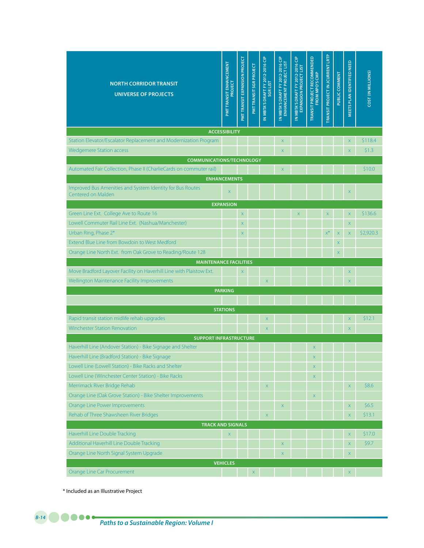| <b>NORTH CORRIDOR TRANSIT</b><br><b>UNIVERSE OF PROJECTS</b>                    | <b>PMT TRANSIT ENHANCEMENT</b> | PMT TRANSIT EXPANSION PROJECT | PMTTRANSIT SGR PROJECT | IN MBTA'S DRAFT FY 2012-2016 CIP<br>SGR LIST | IN MBTA'S DRAFT FY 2012-2016 CIP<br>ENHANCEMENT PROJECT LIST | IN MBTA'S DRAFT FY 2012-2016 CIP<br>EXPANSION PROJECT LIST | <b>TRANSIT PROJECT RECOMMENDED</b><br>FROM MPO'S CMP | <b>TRANSIT PROJECT IN JCURRENT LRTP</b> | PUBLIC COMMENT          | MEETS PLAN IDENTIFIED NEED | <b>COST (IN MILLIONS)</b> |
|---------------------------------------------------------------------------------|--------------------------------|-------------------------------|------------------------|----------------------------------------------|--------------------------------------------------------------|------------------------------------------------------------|------------------------------------------------------|-----------------------------------------|-------------------------|----------------------------|---------------------------|
|                                                                                 | <b>ACCESSIBILITY</b>           |                               |                        |                                              |                                                              |                                                            |                                                      |                                         |                         |                            |                           |
| Station Elevator/Escalator Replacement and Modernization Program                |                                |                               |                        |                                              | $\mathsf X$                                                  |                                                            |                                                      |                                         |                         | X                          | \$118.4                   |
| <b>Wedgemere Station access</b>                                                 |                                |                               |                        |                                              | $\bar{\mathsf{X}}$                                           |                                                            |                                                      |                                         |                         | $\mathsf X$                | \$1.3                     |
| <b>COMMUNICATIONS/TECHNOLOGY</b>                                                |                                |                               |                        |                                              |                                                              |                                                            |                                                      |                                         |                         |                            |                           |
| Automated Fair Collection, Phase II (CharlieCards on commuter rail)             |                                |                               |                        |                                              | $\mathsf X$                                                  |                                                            |                                                      |                                         |                         |                            | \$10.0                    |
|                                                                                 | <b>ENHANCEMENTS</b>            |                               |                        |                                              |                                                              |                                                            |                                                      |                                         |                         |                            |                           |
| Improved Bus Amenities and System Identity for Bus Routes<br>Centered on Malden | $\overline{\mathsf{x}}$        |                               |                        |                                              |                                                              |                                                            |                                                      |                                         |                         | $\mathsf{x}$               |                           |
|                                                                                 | <b>EXPANSION</b>               |                               |                        |                                              |                                                              |                                                            |                                                      |                                         |                         |                            |                           |
| Green Line Ext. College Ave to Route 16                                         |                                | $\mathsf X$                   |                        |                                              |                                                              | $\mathsf{X}$                                               |                                                      | $\mathsf{X}$                            |                         | $\mathsf X$                | \$136.6                   |
| Lowell Commuter Rail Line Ext. (Nashua/Manchester)                              |                                | $\mathsf X$                   |                        |                                              |                                                              |                                                            |                                                      |                                         |                         | $\bar{\mathsf{X}}$         |                           |
| Urban Ring, Phase 2*                                                            |                                | $\mathsf X$                   |                        |                                              |                                                              |                                                            |                                                      | $x^*$                                   | $\mathsf X$             | $\mathsf X$                | \$2,920.3                 |
| Extend Blue Line from Bowdoin to West Medford                                   |                                |                               |                        |                                              |                                                              |                                                            |                                                      |                                         | X                       |                            |                           |
| Orange Line North Ext. from Oak Grove to Reading/Route 128                      |                                |                               |                        |                                              |                                                              |                                                            |                                                      |                                         | $\overline{\mathsf{x}}$ |                            |                           |
| <b>MAINTENANCE FACILITIES</b>                                                   |                                |                               |                        |                                              |                                                              |                                                            |                                                      |                                         |                         |                            |                           |
| Move Bradford Layover Facility on Haverhill Line with Plaistow Ext.             |                                | $\boldsymbol{\mathsf{X}}$     |                        |                                              |                                                              |                                                            |                                                      |                                         |                         | X                          |                           |
| Wellington Maintenance Facility Improvements                                    |                                |                               |                        | $\mathsf X$                                  |                                                              |                                                            |                                                      |                                         |                         | $\mathsf X$                |                           |
|                                                                                 | <b>PARKING</b>                 |                               |                        |                                              |                                                              |                                                            |                                                      |                                         |                         |                            |                           |
|                                                                                 |                                |                               |                        |                                              |                                                              |                                                            |                                                      |                                         |                         |                            |                           |
|                                                                                 | <b>STATIONS</b>                |                               |                        |                                              |                                                              |                                                            |                                                      |                                         |                         |                            |                           |
| Rapid transit station midlife rehab upgrades                                    |                                |                               |                        | $\boldsymbol{\mathsf{X}}$                    |                                                              |                                                            |                                                      |                                         |                         | X                          | \$12.1                    |
| <b>Winchester Station Renovation</b>                                            |                                |                               |                        | $\mathsf{X}$                                 |                                                              |                                                            |                                                      |                                         |                         | X                          |                           |
| <b>SUPPORT INFRASTRUCTURE</b>                                                   |                                |                               |                        |                                              |                                                              |                                                            |                                                      |                                         |                         |                            |                           |
| Haverhill Line (Andover Station) - Bike Signage and Shelter                     |                                |                               |                        |                                              |                                                              |                                                            | X                                                    |                                         |                         |                            |                           |
| Haverhill Line (Bradford Station) - Bike Signage                                |                                |                               |                        |                                              |                                                              |                                                            | $\times$                                             |                                         |                         |                            |                           |
| Lowell Line (Lowell Station) - Bike Racks and Shelter                           |                                |                               |                        |                                              |                                                              |                                                            | $\overline{X}$                                       |                                         |                         |                            |                           |
| Lowell Line (Winchester Center Station) - Bike Racks                            |                                |                               |                        |                                              |                                                              |                                                            | $\mathsf X$                                          |                                         |                         |                            |                           |
| Merrimack River Bridge Rehab                                                    |                                |                               |                        | $\mathsf X$                                  |                                                              |                                                            |                                                      |                                         |                         | $\mathsf X$                | \$8.6                     |
| Orange Line (Oak Grove Station) - Bike Shelter Improvements                     |                                |                               |                        |                                              |                                                              |                                                            | $\mathsf X$                                          |                                         |                         |                            |                           |
| Orange Line Power Improvements                                                  |                                |                               |                        |                                              | $\mathsf X$                                                  |                                                            |                                                      |                                         |                         | $\mathsf X$                | \$6.5                     |
| Rehab of Three Shawsheen River Bridges                                          |                                |                               |                        | $\mathsf X$                                  |                                                              |                                                            |                                                      |                                         |                         | $\mathsf X$                | \$13.1                    |
| <b>TRACK AND SIGNALS</b><br>Haverhill Line Double Tracking                      | $\mathsf X$                    |                               |                        |                                              |                                                              |                                                            |                                                      |                                         |                         | X                          | \$17.0                    |
| Additional Haverhill Line Double Tracking                                       |                                |                               |                        |                                              | $\mathsf X$                                                  |                                                            |                                                      |                                         |                         | $\mathsf X$                | \$9.7                     |
| Orange Line North Signal System Upgrade                                         |                                |                               |                        |                                              | $\mathsf X$                                                  |                                                            |                                                      |                                         |                         | $\mathsf X$                |                           |
|                                                                                 |                                |                               |                        |                                              |                                                              |                                                            |                                                      |                                         |                         |                            |                           |
|                                                                                 | <b>VEHICLES</b>                |                               |                        |                                              |                                                              |                                                            |                                                      |                                         |                         |                            |                           |

\* Included as an Illustrative Project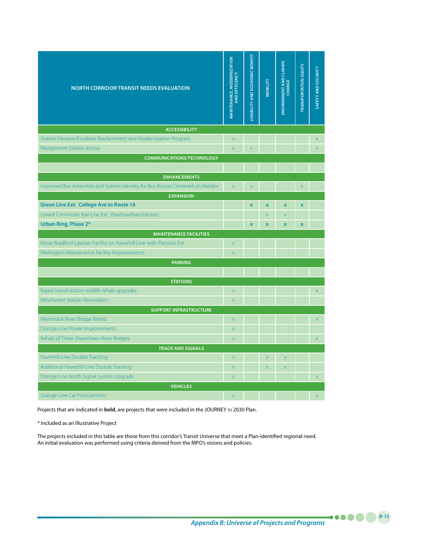| <b>NORTH CORRIDOR TRANSIT NEEDS EVALUATION</b>                                                      | <b>MAINTENANCE, MODERNIZATION</b><br>AND EFFICIENCY | <b>LIVABILITY AND ECONOMIC BENEFIT</b> | <b>VIJJIBON</b>         | ENVIRONMENT AND CLIMATE<br>CHANGE | <b>TRANSPORTATION EQUITY</b> | SAFETY AND SECURITY     |
|-----------------------------------------------------------------------------------------------------|-----------------------------------------------------|----------------------------------------|-------------------------|-----------------------------------|------------------------------|-------------------------|
| <b>ACCESSIBILITY</b>                                                                                |                                                     |                                        |                         |                                   |                              |                         |
| Station Elevator/Escalator Replacement and Modernization Program                                    | $\overline{X}$                                      |                                        |                         |                                   |                              | $\overline{X}$          |
| <b>Wedgemere Station access</b>                                                                     | $\bar{X}$                                           | $\bar{\mathsf{X}}$                     |                         |                                   |                              | $\overline{\mathsf{x}}$ |
| <b>COMMUNICATIONS/TECHNOLOGY</b>                                                                    |                                                     |                                        |                         |                                   |                              |                         |
|                                                                                                     |                                                     |                                        |                         |                                   |                              |                         |
| <b>ENHANCEMENTS</b><br>Improved Bus Amenities and System Identity for Bus Routes Centered on Malden | $\overline{\mathsf{x}}$                             | $\overline{\mathsf{x}}$                |                         |                                   |                              |                         |
| <b>EXPANSION</b>                                                                                    |                                                     |                                        |                         |                                   | $\mathsf X$                  |                         |
| <b>Green Line Ext. College Ave to Route 16</b>                                                      |                                                     | $\mathbf x$                            | $\mathbf x$             | $\mathbf x$                       | $\pmb{\mathsf{x}}$           |                         |
| Lowell Commuter Rail Line Ext. (Nashua/Manchester)                                                  |                                                     |                                        | X.                      | $\overline{\mathsf{x}}$           |                              |                         |
| Urban Ring, Phase 2*                                                                                |                                                     | $\mathbf x$                            | $\mathbf x$             | $\mathbf x$                       | $\mathbf x$                  |                         |
| <b>MAINTENANCE FACILITIES</b>                                                                       |                                                     |                                        |                         |                                   |                              |                         |
| Move Bradford Layover Facility on Haverhill Line with Plaistow Ext.                                 | $\overline{X}$                                      |                                        |                         |                                   |                              |                         |
| Wellington Maintenance Facility Improvements                                                        | $\overline{X}$                                      |                                        |                         |                                   |                              |                         |
| <b>PARKING</b>                                                                                      |                                                     |                                        |                         |                                   |                              |                         |
|                                                                                                     |                                                     |                                        |                         |                                   |                              |                         |
| <b>STATIONS</b>                                                                                     |                                                     |                                        |                         |                                   |                              |                         |
| Rapid transit station midlife rehab upgrades                                                        | $\overline{\mathsf{x}}$                             |                                        |                         |                                   |                              | $\overline{\mathsf{x}}$ |
| <b>Winchester Station Renovation</b>                                                                | X                                                   |                                        |                         |                                   |                              |                         |
| <b>SUPPORT INFRASTRUCTURE</b>                                                                       |                                                     |                                        |                         |                                   |                              |                         |
| Merrimack River Bridge Rehab                                                                        | X                                                   |                                        |                         |                                   |                              | $\overline{\mathsf{X}}$ |
| Orange Line Power Improvements                                                                      | X                                                   |                                        |                         |                                   |                              |                         |
| Rehab of Three Shawsheen River Bridges                                                              | X                                                   |                                        |                         |                                   |                              | $\bar{\mathsf{X}}$      |
| <b>TRACK AND SIGNALS</b>                                                                            |                                                     |                                        |                         |                                   |                              |                         |
| Haverhill Line Double Tracking<br>Additional Haverhill Line Double Tracking                         | X                                                   |                                        | X                       | X                                 |                              |                         |
|                                                                                                     | $\overline{X}$                                      |                                        | $\overline{\mathsf{x}}$ | $\overline{\mathsf{X}}$           |                              |                         |
| Orange Line North Signal System Upgrade<br><b>VEHICLES</b>                                          | X                                                   |                                        |                         |                                   |                              | $\bar{\mathsf{X}}$      |
| Orange Line Car Procurement                                                                         | X                                                   |                                        |                         |                                   |                              | $\bar{\mathsf{x}}$      |
|                                                                                                     |                                                     |                                        |                         |                                   |                              |                         |

Projects that are indicated in **bold**, are projects that were included in the JOURNEY TO 2030 Plan.

\* Included as an Illustrative Project

The projects included in this table are those from this corridor's Transit Universe that meet a Plan-identified regional need. An initial evaluation was performed using criteria derived from the MPO's visions and policies.

*B-15*

....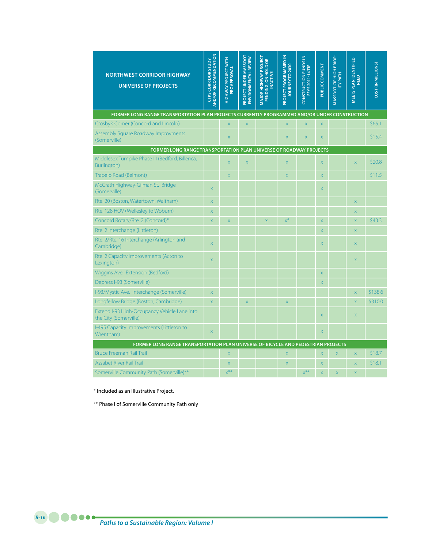| <b>NORTHWEST CORRIDOR HIGHWAY</b><br><b>UNIVERSE OF PROJECTS</b>                              | <b>AND/OR RECOMMENDATION</b><br><b>CTPS CORRIDOR STUDY</b> | <b>HIGHWAY PROJECT WITH</b><br>PRC APPROVAL | PROJECT UNDER MASSDOT<br><b>ENVIRONMENTAL REVIEW</b> | <b>MAJOR HIGHWAY PROJECT</b><br>PENDING, ON HOLD OR<br><b>INACTIVE</b> | PROJECT PROGRAMMED IN<br>JOURNEY TO 2030 | <b>CONSTRUCTION FUNDS IN</b><br><b>FFYS2011-14TIP</b> | PUBLIC COMMENT            | <b>MASSDOT CIP HIGH PRIOR-</b><br><b>ITY PATH</b> | MEETS PLAN IDENTIFIED<br><b>NEED</b> | COST (IN MILLIONS) |
|-----------------------------------------------------------------------------------------------|------------------------------------------------------------|---------------------------------------------|------------------------------------------------------|------------------------------------------------------------------------|------------------------------------------|-------------------------------------------------------|---------------------------|---------------------------------------------------|--------------------------------------|--------------------|
| FORMER LONG RANGE TRANSPORTATION PLAN PROJECTS CURRENTLY PROGRAMMED AND/OR UNDER CONSTRUCTION |                                                            |                                             |                                                      |                                                                        |                                          |                                                       |                           |                                                   |                                      |                    |
| Crosby's Corner (Concord and Lincoln)                                                         |                                                            | $\overline{X}$                              | $\overline{X}$                                       |                                                                        | X                                        | $\overline{\mathsf{X}}$                               | $\mathsf X$               |                                                   |                                      | \$65.1             |
| Assembly Square Roadway Improvments<br>(Somerville)                                           |                                                            | $\overline{X}$                              |                                                      |                                                                        | X.                                       | $\overline{X}$                                        | $\overline{\mathsf{x}}$   |                                                   |                                      | \$15.4             |
| FORMER LONG RANGE TRANSPORTATION PLAN UNIVERSE OF ROADWAY PROJECTS                            |                                                            |                                             |                                                      |                                                                        |                                          |                                                       |                           |                                                   |                                      |                    |
| Middlesex Turnpike Phase III (Bedford, Billerica,<br>Burlington)                              |                                                            | X                                           | $\bar{\mathsf{X}}$                                   |                                                                        | $\mathsf X$                              |                                                       | $\mathsf X$               |                                                   | $\overline{X}$                       | \$20.8             |
| Trapelo Road (Belmont)                                                                        |                                                            | X                                           |                                                      |                                                                        | $\bar{\mathsf{X}}$                       |                                                       | $\bar{\mathsf{X}}$        |                                                   |                                      | \$11.5             |
| McGrath Highway-Gilman St. Bridge<br>(Somerville)                                             | X                                                          |                                             |                                                      |                                                                        |                                          |                                                       | $\mathsf X$               |                                                   |                                      |                    |
| Rte. 20 (Boston, Watertown, Waltham)                                                          | X                                                          |                                             |                                                      |                                                                        |                                          |                                                       |                           |                                                   | $\overline{\mathsf{x}}$              |                    |
| Rte. 128 HOV (Wellesley to Woburn)                                                            | $\overline{X}$                                             |                                             |                                                      |                                                                        |                                          |                                                       |                           |                                                   | $\mathsf{X}$                         |                    |
| Concord Rotary/Rte. 2 (Concord)*                                                              | $\mathsf{X}$                                               | $\overline{\mathsf{x}}$                     |                                                      | $\overline{\mathsf{x}}$                                                | $x^*$                                    |                                                       | $\bar{\mathsf{X}}$        |                                                   | $\overline{\mathsf{x}}$              | \$43.3             |
| Rte. 2 Interchange (Littleton)                                                                |                                                            |                                             |                                                      |                                                                        |                                          |                                                       | $\mathsf X$               |                                                   | $\mathsf X$                          |                    |
| Rte. 2/Rte. 16 Interchange (Arlington and<br>Cambridge)                                       | $\mathsf{X}$                                               |                                             |                                                      |                                                                        |                                          |                                                       | $\mathsf{X}$              |                                                   | $\mathsf{X}$                         |                    |
| Rte. 2 Capacity Improvements (Acton to<br>Lexington)                                          | X                                                          |                                             |                                                      |                                                                        |                                          |                                                       |                           |                                                   | $\mathsf{X}$                         |                    |
| Wiggins Ave. Extension (Bedford)                                                              |                                                            |                                             |                                                      |                                                                        |                                          |                                                       | $\mathsf X$               |                                                   |                                      |                    |
| Depress I-93 (Somerville)                                                                     |                                                            |                                             |                                                      |                                                                        |                                          |                                                       | $\overline{X}$            |                                                   |                                      |                    |
| I-93/Mystic Ave. Interchange (Somerville)                                                     | $\overline{\mathsf{x}}$                                    |                                             |                                                      |                                                                        |                                          |                                                       |                           |                                                   | $\overline{X}$                       | \$138.6            |
| Longfellow Bridge (Boston, Cambridge)                                                         | $\bar{\mathsf{X}}$                                         |                                             | $\bar{\mathsf{X}}$                                   |                                                                        | $\bar{\mathsf{X}}$                       |                                                       |                           |                                                   | $\bar{\mathsf{X}}$                   | \$310.0            |
| Extend I-93 High-Occupancy Vehicle Lane into<br>the City (Somerville)                         |                                                            |                                             |                                                      |                                                                        |                                          |                                                       | $\overline{X}$            |                                                   | X                                    |                    |
| I-495 Capacity Improvements (Littleton to<br>Wrentham)                                        | $\mathsf{X}$                                               |                                             |                                                      |                                                                        |                                          |                                                       | $\mathsf X$               |                                                   |                                      |                    |
| FORMER LONG RANGE TRANSPORTATION PLAN UNIVERSE OF BICYCLE AND PEDESTRIAN PROJECTS             |                                                            |                                             |                                                      |                                                                        |                                          |                                                       |                           |                                                   |                                      |                    |
| <b>Bruce Freeman Rail Trail</b>                                                               |                                                            | $\overline{X}$                              |                                                      |                                                                        | X                                        |                                                       | $\overline{\mathsf{x}}$   | X                                                 | $\overline{\mathsf{x}}$              | \$18.7             |
| Assabet River Rail Trail                                                                      |                                                            | X                                           |                                                      |                                                                        | X                                        |                                                       | $\boldsymbol{\mathsf{X}}$ |                                                   | $\overline{\mathsf{x}}$              | \$18.1             |
| Somerville Community Path (Somerville)**                                                      |                                                            | $X$ <sup>**</sup>                           |                                                      |                                                                        |                                          | $X$ <sup>**</sup>                                     | $\overline{\mathsf{x}}$   | X                                                 | $\overline{\mathsf{x}}$              |                    |

\* Included as an Illustrative Project.

\*\* Phase I of Somerville Community Path only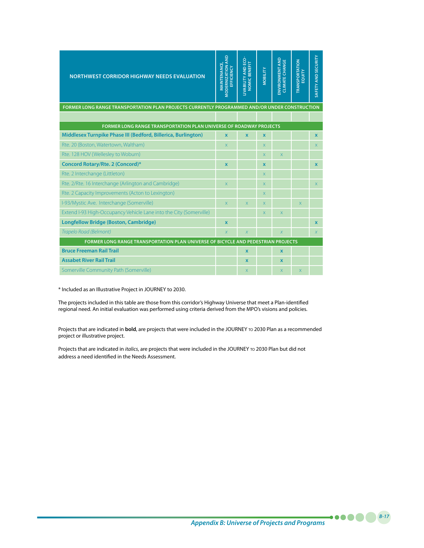| <b>NORTHWEST CORRIDOR HIGHWAY NEEDS EVALUATION</b>                                            | <b>MODERNIZATION AND<br/>EFFICIENCY</b><br>MAINTENANCE, | LIVABILITY AND ECO-<br>NOMIC BENEFIT | <b>VOBILITY</b> | ENVIRONMENT AND<br><b>CLIMATE CHANGE</b> | <b>TRANSPORTATION</b><br>EQUITY | SAFETY AND SECURITY |
|-----------------------------------------------------------------------------------------------|---------------------------------------------------------|--------------------------------------|-----------------|------------------------------------------|---------------------------------|---------------------|
| FORMER LONG RANGE TRANSPORTATION PLAN PROJECTS CURRENTLY PROGRAMMED AND/OR UNDER CONSTRUCTION |                                                         |                                      |                 |                                          |                                 |                     |
|                                                                                               |                                                         |                                      |                 |                                          |                                 |                     |
| <b>FORMER LONG RANGE TRANSPORTATION PLAN UNIVERSE OF ROADWAY PROJECTS</b>                     |                                                         |                                      |                 |                                          |                                 |                     |
| Middlesex Turnpike Phase III (Bedford, Billerica, Burlington)                                 | $\mathbf{x}$                                            | $\mathbf{x}$                         | $\mathbf x$     |                                          |                                 | $\mathbf{x}$        |
| Rte. 20 (Boston, Watertown, Waltham)                                                          | X.                                                      |                                      | X.              |                                          |                                 | X.                  |
| Rte. 128 HOV (Wellesley to Woburn)                                                            |                                                         |                                      | X               | X                                        |                                 |                     |
| Concord Rotary/Rte. 2 (Concord)*                                                              | $\mathbf{x}$                                            |                                      | $\mathbf x$     |                                          |                                 | $\mathbf{x}$        |
| Rte. 2 Interchange (Littleton)                                                                |                                                         |                                      | X.              |                                          |                                 |                     |
| Rte. 2/Rte. 16 Interchange (Arlington and Cambridge)                                          | $\overline{X}$                                          |                                      | $\mathsf X$     |                                          |                                 | X                   |
| Rte. 2 Capacity Improvements (Acton to Lexington)                                             |                                                         |                                      | X.              |                                          |                                 |                     |
| I-93/Mystic Ave. Interchange (Somerville)                                                     | $\overline{X}$                                          | $\overline{\mathsf{x}}$              | X.              |                                          | $\mathsf{X}$                    |                     |
| Extend I-93 High-Occupancy Vehicle Lane into the City (Somerville)                            |                                                         |                                      | X.              | $\overline{X}$                           |                                 |                     |
| Longfellow Bridge (Boston, Cambridge)                                                         | $\mathbf x$                                             |                                      |                 |                                          |                                 | $\mathbf x$         |
| Trapelo Road (Belmont)                                                                        | $\overline{X}$                                          | $\overline{X}$                       |                 | $\overline{X}$                           |                                 | $\chi$              |
| FORMER LONG RANGE TRANSPORTATION PLAN UNIVERSE OF BICYCLE AND PEDESTRIAN PROJECTS             |                                                         |                                      |                 |                                          |                                 |                     |
| <b>Bruce Freeman Rail Trail</b>                                                               |                                                         | $\mathbf x$                          |                 | $\mathbf x$                              |                                 |                     |
| <b>Assabet River Rail Trail</b>                                                               |                                                         | $\mathbf{x}$                         |                 | $\overline{\mathbf{x}}$                  |                                 |                     |
| Somerville Community Path (Somerville)                                                        |                                                         | X                                    |                 | X                                        | X                               |                     |

\* Included as an Illustrative Project in JOURNEY to 2030.

The projects included in this table are those from this corridor's Highway Universe that meet a Plan-identified regional need. An initial evaluation was performed using criteria derived from the MPO's visions and policies.

Projects that are indicated in **bold**, are projects that were included in the JOURNEY to 2030 Plan as a recommended project or illustrative project.

Projects that are indicated in *italics*, are projects that were included in the JOURNEY to 2030 Plan but did not address a need identified in the Needs Assessment.

*B-17*

. . **. . .**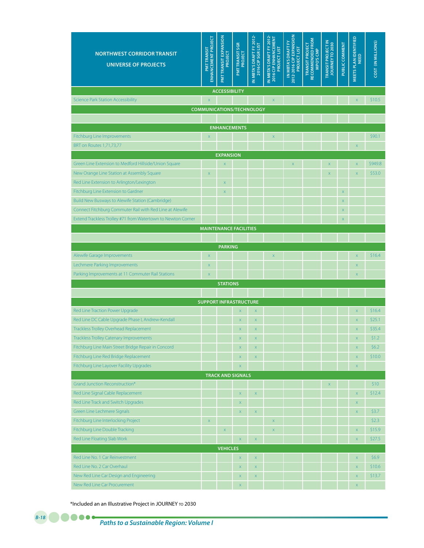| <b>NORTHWEST CORRIDOR TRANSIT</b><br><b>UNIVERSE OF PROJECTS</b> | ENHANCEMENT PROJECT<br>PMTTRANSIT | <b>PMTTRANSIT EXPANSION</b><br>PROJECT | PMTTRANSITSGR<br>PROJECT         | IN MBTA'S DRAFT FY 2012-<br>2016 CIP SGR LIST | N MBTA'S DRAFT FY 2012-<br>2016 CIP ENHANCEMENT<br><b>PROJECT LIST</b> | 2012-2016 CIP EXPANSION<br>IN MBTA'S DRAFT FY<br>PROJECT LIST | RECOMMENDED FROM<br><b>TRANSIT PROJECT</b><br>MPO'S CMP | TRANSIT PROJECT IN<br>JOURNEY TO 2030 | PUBLIC COMMENT          | MEETS PLAN IDENTIFIED<br><b>NEED</b> | COST (IN MILLIONS) |
|------------------------------------------------------------------|-----------------------------------|----------------------------------------|----------------------------------|-----------------------------------------------|------------------------------------------------------------------------|---------------------------------------------------------------|---------------------------------------------------------|---------------------------------------|-------------------------|--------------------------------------|--------------------|
|                                                                  |                                   | <b>ACCESSIBILITY</b>                   |                                  |                                               |                                                                        |                                                               |                                                         |                                       |                         |                                      |                    |
| <b>Science Park Station Accessibility</b>                        | $\bar{\mathsf{x}}$                |                                        |                                  |                                               | $\bar{\mathsf{x}}$                                                     |                                                               |                                                         |                                       |                         | $\overline{\mathsf{x}}$              | \$10.5             |
|                                                                  |                                   |                                        | <b>COMMUNICATIONS/TECHNOLOGY</b> |                                               |                                                                        |                                                               |                                                         |                                       |                         |                                      |                    |
|                                                                  |                                   |                                        |                                  |                                               |                                                                        |                                                               |                                                         |                                       |                         |                                      |                    |
|                                                                  |                                   | <b>ENHANCEMENTS</b>                    |                                  |                                               |                                                                        |                                                               |                                                         |                                       |                         |                                      |                    |
| Fitchburg Line Improvements                                      | $\bar{\mathsf{X}}$                |                                        |                                  |                                               | $\mathsf X$                                                            |                                                               |                                                         |                                       |                         |                                      | \$90.1             |
| BRT on Routes 1,71,73,77                                         |                                   |                                        |                                  |                                               |                                                                        |                                                               |                                                         |                                       |                         | $\bar{\mathsf{x}}$                   |                    |
| Green Line Extension to Medford Hillside/Union Square            |                                   | <b>EXPANSION</b>                       |                                  |                                               |                                                                        |                                                               |                                                         | $\overline{\mathsf{x}}$               |                         | $\mathsf X$                          | \$949.8            |
| New Orange Line Station at Assembly Square                       | $\mathsf X$                       | $\mathsf X$                            |                                  |                                               |                                                                        | $\bar{\mathsf{X}}$                                            |                                                         | $\overline{\mathsf{x}}$               |                         | $\bar{\mathsf{X}}$                   | \$53.0             |
| Red Line Extension to Arlington/Lexington                        |                                   | $\mathsf X$                            |                                  |                                               |                                                                        |                                                               |                                                         |                                       |                         |                                      |                    |
| Fitchburg Line Extension to Gardner                              |                                   | $\mathsf X$                            |                                  |                                               |                                                                        |                                                               |                                                         |                                       | $\bar{\mathsf{X}}$      |                                      |                    |
| Build New Busways to Alewife Station (Cambridge)                 |                                   |                                        |                                  |                                               |                                                                        |                                                               |                                                         |                                       | $\mathsf X$             |                                      |                    |
| Connect Fitchburg Commuter Rail with Red Line at Alewife         |                                   |                                        |                                  |                                               |                                                                        |                                                               |                                                         |                                       | $\bar{\mathsf{X}}$      |                                      |                    |
| Extend Trackless Trolley #71 from Watertown to Newton Corner     |                                   |                                        |                                  |                                               |                                                                        |                                                               |                                                         |                                       | $\overline{\mathsf{x}}$ |                                      |                    |
|                                                                  |                                   |                                        | <b>MAINTENANCE FACILITIES</b>    |                                               |                                                                        |                                                               |                                                         |                                       |                         |                                      |                    |
|                                                                  |                                   |                                        |                                  |                                               |                                                                        |                                                               |                                                         |                                       |                         |                                      |                    |
|                                                                  |                                   | <b>PARKING</b>                         |                                  |                                               |                                                                        |                                                               |                                                         |                                       |                         |                                      |                    |
| Alewife Garage Improvements                                      | $\mathsf X$                       |                                        |                                  |                                               | $\mathsf X$                                                            |                                                               |                                                         |                                       |                         | $\bar{\mathsf{X}}$                   | \$16.4             |
| Lechmere Parking Improvements                                    | $\mathsf X$                       |                                        |                                  |                                               |                                                                        |                                                               |                                                         |                                       |                         | $\mathsf X$                          |                    |
| Parking Improvements at 11 Commuter Rail Stations                | $\bar{\mathsf{X}}$                |                                        |                                  |                                               |                                                                        |                                                               |                                                         |                                       |                         | $\overline{\mathsf{x}}$              |                    |
|                                                                  |                                   | <b>STATIONS</b>                        |                                  |                                               |                                                                        |                                                               |                                                         |                                       |                         |                                      |                    |
|                                                                  |                                   |                                        |                                  |                                               |                                                                        |                                                               |                                                         |                                       |                         |                                      |                    |
|                                                                  |                                   |                                        | <b>SUPPORT INFRASTRUCTURE</b>    |                                               |                                                                        |                                                               |                                                         |                                       |                         |                                      |                    |
| Red Line Traction Power Upgrade                                  |                                   |                                        | $\overline{\mathsf{x}}$          | $\bar{\mathsf{X}}$                            |                                                                        |                                                               |                                                         |                                       |                         | $\bar{\mathsf{X}}$                   | \$16.4             |
| Red Line DC Cable Upgrade Phase I, Andrew-Kendall                |                                   |                                        | X                                | $\mathsf X$                                   |                                                                        |                                                               |                                                         |                                       |                         | $\bar{\mathsf{X}}$                   | \$25.1             |
| <b>Trackless Trolley Overhead Replacement</b>                    |                                   |                                        | X                                | $\mathsf X$                                   |                                                                        |                                                               |                                                         |                                       |                         | $\mathsf X$                          | \$35.4             |
| <b>Trackless Trolley Catenary Improvements</b>                   |                                   |                                        | $\overline{\mathsf{x}}$          | X                                             |                                                                        |                                                               |                                                         |                                       |                         | $\overline{\mathsf{x}}$              | \$1.2              |
| Fitchburg Line Main Street Bridge Repair in Concord              |                                   |                                        | X                                | $\bar{\mathsf{X}}$                            |                                                                        |                                                               |                                                         |                                       |                         | $\mathsf X$                          | \$6.2              |
| Fitchburg Line Red Bridge Replacement                            |                                   |                                        | $\mathsf X$                      | $\mathsf X$                                   |                                                                        |                                                               |                                                         |                                       |                         | $\mathsf X$                          | \$10.0             |
| Fitchburg Line Layover Facility Upgrades                         |                                   |                                        | X                                |                                               |                                                                        |                                                               |                                                         |                                       |                         | $\mathsf X$                          |                    |
|                                                                  |                                   |                                        | <b>TRACK AND SIGNALS</b>         |                                               |                                                                        |                                                               |                                                         |                                       |                         |                                      |                    |
| Grand Junction Reconstruction*                                   |                                   |                                        |                                  |                                               |                                                                        |                                                               |                                                         | $\mathsf X$                           |                         |                                      | \$10               |
| Red Line Signal Cable Replacement                                |                                   |                                        | $\mathsf X$                      | $\mathsf X$                                   |                                                                        |                                                               |                                                         |                                       |                         | $\bar{\mathsf{x}}$                   | \$12.4             |
| Red Line Track and Switch Upgrades                               |                                   |                                        | X                                |                                               |                                                                        |                                                               |                                                         |                                       |                         | $\mathsf X$                          |                    |
| Green Line Lechmere Signals                                      |                                   |                                        | X                                | $\bar{\mathsf{X}}$                            |                                                                        |                                                               |                                                         |                                       |                         | $\bar{\mathsf{x}}$                   | \$3.7              |
| Fitchburg Line Interlocking Project                              | $\mathsf X$                       |                                        |                                  |                                               | $\bar{\mathsf{X}}$                                                     |                                                               |                                                         |                                       |                         |                                      | \$2.3              |
| <b>Fitchburg Line Double Tracking</b>                            |                                   | $\mathsf X$                            |                                  |                                               | $\mathsf X$                                                            |                                                               |                                                         |                                       |                         | $\mathsf X$                          | \$15.9             |
| Red Line Floating Slab Work                                      |                                   |                                        | X                                | $\mathsf X$                                   |                                                                        |                                                               |                                                         |                                       |                         | $\mathsf X$                          | \$27.5             |
|                                                                  |                                   | <b>VEHICLES</b>                        |                                  |                                               |                                                                        |                                                               |                                                         |                                       |                         |                                      |                    |
| Red Line No. 1 Car Reinvestment                                  |                                   |                                        | $\mathsf X$                      | $\mathsf X$                                   |                                                                        |                                                               |                                                         |                                       |                         | $\mathsf X$                          | \$6.9              |
| Red Line No. 2 Car Overhaul                                      |                                   |                                        | $\mathsf X$                      | $\mathsf X$                                   |                                                                        |                                                               |                                                         |                                       |                         | $\mathsf X$                          | \$10.6             |
| New Red Line Car Design and Engineering                          |                                   |                                        | $\bar{\mathsf{X}}$               | $\bar{\mathsf{X}}$                            |                                                                        |                                                               |                                                         |                                       |                         | $\mathsf X$                          | \$13.7             |
| New Red Line Car Procurement                                     |                                   |                                        | X                                |                                               |                                                                        |                                                               |                                                         |                                       |                         | $\mathsf X$                          |                    |

\*Included an an Illustrative Project in JOURNEY to 2030

*B-18*

œ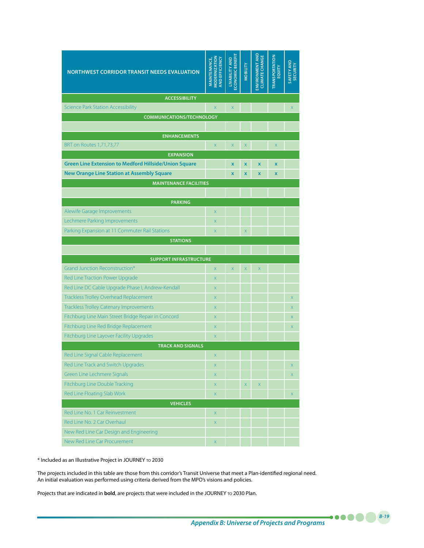| <b>NORTHWEST CORRIDOR TRANSIT NEEDS EVALUATION</b>                                 | <b>MODERNIZATION</b><br>AND EFFICIENCY<br><b>MAINTENANCE,</b> | <b>CONOMIC BENEFIT</b><br><b>LIVABILITY AND</b> | <b>MOBILITY</b>         | <b>ENVIRONMENT AND</b><br><b>CLIMATE CHANGE</b> | <b>TRANSPORTATION</b><br>EQUITY | SAFETY AND<br><b>SECURITY</b> |
|------------------------------------------------------------------------------------|---------------------------------------------------------------|-------------------------------------------------|-------------------------|-------------------------------------------------|---------------------------------|-------------------------------|
| <b>ACCESSIBILITY</b>                                                               |                                                               |                                                 |                         |                                                 |                                 |                               |
| <b>Science Park Station Accessibility</b>                                          | $\overline{X}$                                                | $\overline{X}$                                  |                         |                                                 |                                 | X                             |
| <b>COMMUNICATIONS/TECHNOLOGY</b>                                                   |                                                               |                                                 |                         |                                                 |                                 |                               |
|                                                                                    |                                                               |                                                 |                         |                                                 |                                 |                               |
| <b>ENHANCEMENTS</b>                                                                |                                                               |                                                 |                         |                                                 |                                 |                               |
| <b>BRT</b> on Routes 1,71,73,77                                                    | $\mathsf{X}$                                                  | $\boldsymbol{\mathsf{X}}$                       | $\mathsf X$             |                                                 | $\mathsf{x}$                    |                               |
| <b>EXPANSION</b><br><b>Green Line Extension to Medford Hillside/Union Square</b>   |                                                               |                                                 |                         |                                                 |                                 |                               |
|                                                                                    |                                                               | $\mathbf{x}$                                    | $\mathbf x$             | $\mathbf x$                                     | $\mathbf x$                     |                               |
| <b>New Orange Line Station at Assembly Square</b><br><b>MAINTENANCE FACILITIES</b> |                                                               | $\mathbf x$                                     | $\mathbf x$             | $\mathbf x$                                     | $\mathbf x$                     |                               |
|                                                                                    |                                                               |                                                 |                         |                                                 |                                 |                               |
| <b>PARKING</b>                                                                     |                                                               |                                                 |                         |                                                 |                                 |                               |
| Alewife Garage Improvements                                                        | $\overline{\mathsf{x}}$                                       |                                                 |                         |                                                 |                                 |                               |
| Lechmere Parking Improvements                                                      | $\mathsf{X}$                                                  |                                                 |                         |                                                 |                                 |                               |
| Parking Expansion at 11 Commuter Rail Stations                                     | X                                                             |                                                 | $\overline{\mathsf{x}}$ |                                                 |                                 |                               |
| <b>STATIONS</b>                                                                    |                                                               |                                                 |                         |                                                 |                                 |                               |
|                                                                                    |                                                               |                                                 |                         |                                                 |                                 |                               |
| <b>SUPPORT INFRASTRUCTURE</b>                                                      |                                                               |                                                 |                         |                                                 |                                 |                               |
| Grand Junction Reconstruction*                                                     | $\mathsf{X}$                                                  | $\overline{X}$                                  | $\overline{X}$          | $\overline{\mathsf{x}}$                         |                                 |                               |
| Red Line Traction Power Upgrade                                                    | $\mathsf{X}$                                                  |                                                 |                         |                                                 |                                 |                               |
| Red Line DC Cable Upgrade Phase I, Andrew-Kendall                                  | X                                                             |                                                 |                         |                                                 |                                 |                               |
| Trackless Trolley Overhead Replacement                                             | $\mathsf{X}$                                                  |                                                 |                         |                                                 |                                 | X                             |
| <b>Trackless Trolley Catenary Improvements</b>                                     | $\boldsymbol{\mathsf{X}}$                                     |                                                 |                         |                                                 |                                 | $\mathsf{x}$                  |
| Fitchburg Line Main Street Bridge Repair in Concord                                | $\mathsf{X}$                                                  |                                                 |                         |                                                 |                                 | X                             |
| Fitchburg Line Red Bridge Replacement                                              | $\mathsf{X}$                                                  |                                                 |                         |                                                 |                                 | X                             |
| Fitchburg Line Layover Facility Upgrades                                           | $\mathsf{X}$                                                  |                                                 |                         |                                                 |                                 |                               |
| <b>TRACK AND SIGNALS</b>                                                           |                                                               |                                                 |                         |                                                 |                                 |                               |
| Red Line Signal Cable Replacement                                                  | $\mathsf{X}$                                                  |                                                 |                         |                                                 |                                 |                               |
| Red Line Track and Switch Upgrades                                                 | $\mathsf X$                                                   |                                                 |                         |                                                 |                                 | X                             |
| Green Line Lechmere Signals                                                        | $\mathsf X$                                                   |                                                 |                         |                                                 |                                 | X                             |
| Fitchburg Line Double Tracking                                                     | $\boldsymbol{\mathsf{X}}$                                     |                                                 | $X^-$                   | $\mathsf X$                                     |                                 |                               |
| Red Line Floating Slab Work                                                        | $\mathsf{X}$                                                  |                                                 |                         |                                                 |                                 | X                             |
| <b>VEHICLES</b>                                                                    |                                                               |                                                 |                         |                                                 |                                 |                               |
| Red Line No. 1 Car Reinvestment<br>Red Line No. 2 Car Overhaul                     | $\mathsf X$                                                   |                                                 |                         |                                                 |                                 |                               |
|                                                                                    | $\mathsf X$                                                   |                                                 |                         |                                                 |                                 |                               |
| New Red Line Car Design and Engineering                                            |                                                               |                                                 |                         |                                                 |                                 |                               |

\* Included as an Illustrative Project in JOURNEY to 2030

The projects included in this table are those from this corridor's Transit Universe that meet a Plan-identified regional need. An initial evaluation was performed using criteria derived from the MPO's visions and policies.

Projects that are indicated in **bold**, are projects that were included in the JOURNEY TO 2030 Plan.

*Appendix B: Universe of Projects and Programs*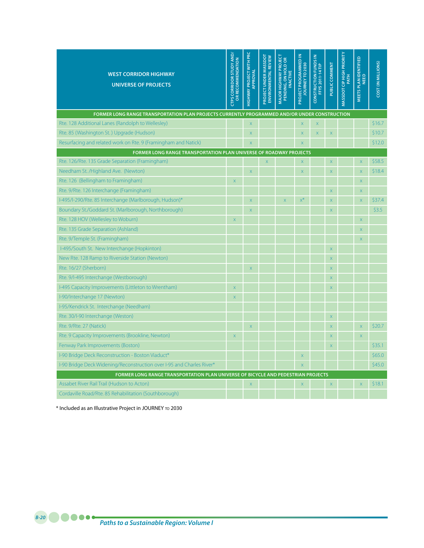| <b>WEST CORRIDOR HIGHWAY</b><br><b>UNIVERSE OF PROJECTS</b>                                   | <b>CTPS CORRIDOR STUDY AND/</b><br>OR RECOMMENDATION | HIGHWAY PROJECT WITH PRC<br>APPROVAL | <b>PROJECT UNDER MASSDOT</b><br><b>ENVIRONMENTAL REVIEW</b> | <b>MAJOR HIGHWAY PROJECT</b><br>PENDING, ON HOLD OR<br><b>INACTIVE</b> | PROJECT PROGRAMMED IN<br>JOURNEY TO 2030 | <b>CONSTRUCTION FUNDS IN</b><br><b>FFYS 2011-14 TIP</b> | PUBLIC COMMENT            | <b>MASSDOT CIP HIGH PRIORITY</b><br>PATH | <b>MEETS PLAN IDENTIFIED</b><br><b>NEED</b> | <b>COST (IN MILLIONS)</b> |
|-----------------------------------------------------------------------------------------------|------------------------------------------------------|--------------------------------------|-------------------------------------------------------------|------------------------------------------------------------------------|------------------------------------------|---------------------------------------------------------|---------------------------|------------------------------------------|---------------------------------------------|---------------------------|
| FORMER LONG RANGE TRANSPORTATION PLAN PROJECTS CURRENTLY PROGRAMMED AND/OR UNDER CONSTRUCTION |                                                      |                                      |                                                             |                                                                        |                                          |                                                         |                           |                                          |                                             |                           |
| Rte. 128 Additional Lanes (Randolph to Wellesley)                                             |                                                      | $\overline{\mathsf{x}}$              |                                                             |                                                                        | $\overline{\mathsf{x}}$                  | $\mathsf X$                                             |                           |                                          |                                             | \$16.7                    |
| Rte. 85 (Washington St.) Upgrade (Hudson)                                                     |                                                      | X                                    |                                                             |                                                                        | $\overline{\mathsf{X}}$                  | $\mathsf X$                                             | $\bar{\mathsf{X}}$        |                                          |                                             | \$10.7                    |
| Resurfacing and related work on Rte. 9 (Framingham and Natick)                                |                                                      | X                                    |                                                             |                                                                        | $\overline{\mathsf{x}}$                  |                                                         |                           |                                          |                                             | \$12.0                    |
| FORMER LONG RANGE TRANSPORTATION PLAN UNIVERSE OF ROADWAY PROJECTS                            |                                                      |                                      |                                                             |                                                                        |                                          |                                                         |                           |                                          |                                             |                           |
| Rte. 126/Rte. 135 Grade Separation (Framingham)                                               |                                                      |                                      | $\overline{\mathsf{x}}$                                     |                                                                        | $\overline{\mathsf{X}}$                  |                                                         | $\overline{\mathsf{x}}$   |                                          | $\overline{\mathsf{x}}$                     | \$58.5                    |
| Needham St. /Highland Ave. (Newton)                                                           |                                                      | X                                    |                                                             |                                                                        | $\overline{\mathsf{x}}$                  |                                                         | $\overline{\mathsf{x}}$   |                                          | $\overline{X}$                              | \$18.4                    |
| Rte. 126 (Bellingham to Framingham)                                                           | $\overline{\mathsf{x}}$                              |                                      |                                                             |                                                                        |                                          |                                                         |                           |                                          | $\bar{\mathsf{X}}$                          |                           |
| Rte. 9/Rte. 126 Interchange (Framingham)                                                      |                                                      |                                      |                                                             |                                                                        |                                          |                                                         | $\overline{\mathsf{x}}$   |                                          | $\overline{\mathsf{x}}$                     |                           |
| I-495/I-290/Rte. 85 Interchange (Marlborough, Hudson)*                                        |                                                      | $\overline{\mathsf{x}}$              |                                                             | $\overline{\mathsf{x}}$                                                | $x^*$                                    |                                                         | $\bar{\mathsf{X}}$        |                                          | $\bar{\mathsf{X}}$                          | \$37.4                    |
| Boundary St./Goddard St. (Marlborough, Northborough)                                          |                                                      | X                                    |                                                             |                                                                        |                                          |                                                         | $\boldsymbol{\mathsf{X}}$ |                                          |                                             | \$3.5                     |
| Rte. 128 HOV (Wellesley to Woburn)                                                            | $\mathsf{X}$                                         |                                      |                                                             |                                                                        |                                          |                                                         |                           |                                          | $\bar{\mathsf{X}}$                          |                           |
| Rte. 135 Grade Separation (Ashland)                                                           |                                                      |                                      |                                                             |                                                                        |                                          |                                                         |                           |                                          | X                                           |                           |
| Rte. 9/Temple St. (Framingham)                                                                |                                                      |                                      |                                                             |                                                                        |                                          |                                                         |                           |                                          | $\mathsf{X}$                                |                           |
| I-495/South St. New Interchange (Hopkinton)                                                   |                                                      |                                      |                                                             |                                                                        |                                          |                                                         | $\mathsf X$               |                                          |                                             |                           |
| New Rte. 128 Ramp to Riverside Station (Newton)                                               |                                                      |                                      |                                                             |                                                                        |                                          |                                                         | $\bar{\mathsf{X}}$        |                                          |                                             |                           |
| Rte. 16/27 (Sherborn)                                                                         |                                                      | X                                    |                                                             |                                                                        |                                          |                                                         | $\boldsymbol{\mathsf{X}}$ |                                          |                                             |                           |
| Rte. 9/I-495 Interchange (Westborough)                                                        |                                                      |                                      |                                                             |                                                                        |                                          |                                                         | $\overline{\mathsf{x}}$   |                                          |                                             |                           |
| I-495 Capacity Improvements (Littleton to Wrentham)                                           | $\overline{X}$                                       |                                      |                                                             |                                                                        |                                          |                                                         | $\mathsf X$               |                                          |                                             |                           |
| I-90/Interchange 17 (Newton)                                                                  | X                                                    |                                      |                                                             |                                                                        |                                          |                                                         |                           |                                          |                                             |                           |
| I-95/Kendrick St. Interchange (Needham)                                                       |                                                      |                                      |                                                             |                                                                        |                                          |                                                         |                           |                                          |                                             |                           |
| Rte. 30/I-90 Interchange (Weston)                                                             |                                                      |                                      |                                                             |                                                                        |                                          |                                                         | $\bar{\mathsf{X}}$        |                                          |                                             |                           |
| Rte. 9/Rte. 27 (Natick)                                                                       |                                                      | X                                    |                                                             |                                                                        |                                          |                                                         | $\boldsymbol{\mathsf{X}}$ |                                          | $\mathsf X$                                 | \$20.7                    |
| Rte. 9 Capacity Improvements (Brookline, Newton)                                              | $\mathsf{X}$                                         |                                      |                                                             |                                                                        |                                          |                                                         | $\overline{\mathsf{x}}$   |                                          | $\overline{\mathsf{x}}$                     |                           |
| Fenway Park Improvements (Boston)                                                             |                                                      |                                      |                                                             |                                                                        |                                          |                                                         | $\mathsf X$               |                                          |                                             | \$35.1                    |
| I-90 Bridge Deck Reconstruction - Boston Viaduct*                                             |                                                      |                                      |                                                             |                                                                        | $\times$                                 |                                                         |                           |                                          |                                             | \$65.0                    |
| I-90 Bridge Deck Widening/Reconstruction over I-95 and Charles River*                         |                                                      |                                      |                                                             |                                                                        | $\overline{\mathsf{x}}$                  |                                                         |                           |                                          |                                             | \$45.0                    |
| FORMER LONG RANGE TRANSPORTATION PLAN UNIVERSE OF BICYCLE AND PEDESTRIAN PROJECTS             |                                                      |                                      |                                                             |                                                                        |                                          |                                                         |                           |                                          |                                             |                           |
| Assabet River Rail Trail (Hudson to Acton)                                                    |                                                      | X                                    |                                                             |                                                                        | $\boldsymbol{\mathsf{X}}$                |                                                         | $\mathsf X$               |                                          | $\overline{\mathsf{X}}$                     | \$18.1                    |
| Cordaville Road/Rte. 85 Rehabilitation (Southborough)                                         |                                                      |                                      |                                                             |                                                                        |                                          |                                                         |                           |                                          |                                             |                           |

\* Included as an Illustrative Project in JOURNEY to 2030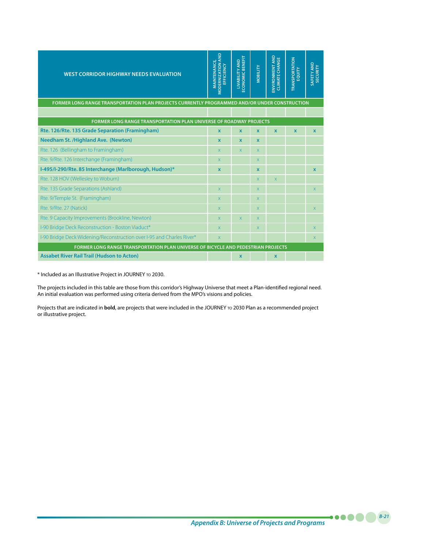| <b>WEST CORRIDOR HIGHWAY NEEDS EVALUATION</b>                                                 | <b>MODERNIZATION AND</b><br><b>MAINTENANCE,</b><br><b>FICIENCY</b><br>岳 | LIVABILITY AND<br>ECONOMIC BENEFIT | <b>VIOBILITY</b> | ENVIRONMENT AND<br><b>CLIMATE CHANGE</b> | <b>TRANSPORTATION</b><br>EQUITY | SAFETY AND<br>SECURITY |
|-----------------------------------------------------------------------------------------------|-------------------------------------------------------------------------|------------------------------------|------------------|------------------------------------------|---------------------------------|------------------------|
| FORMER LONG RANGE TRANSPORTATION PLAN PROJECTS CURRENTLY PROGRAMMED AND/OR UNDER CONSTRUCTION |                                                                         |                                    |                  |                                          |                                 |                        |
|                                                                                               |                                                                         |                                    |                  |                                          |                                 |                        |
| <b>FORMER LONG RANGE TRANSPORTATION PLAN UNIVERSE OF ROADWAY PROJECTS</b>                     |                                                                         |                                    |                  |                                          |                                 |                        |
| Rte. 126/Rte. 135 Grade Separation (Framingham)                                               | $\mathbf{x}$                                                            | $\mathbf{x}$                       | $\mathbf{x}$     | $\mathbf{x}$                             | $\mathbf{x}$                    | $\mathbf{x}$           |
| <b>Needham St. /Highland Ave. (Newton)</b>                                                    | $\mathbf{x}$                                                            | $\mathbf x$                        | $\mathbf x$      |                                          |                                 |                        |
| Rte. 126 (Bellingham to Framingham)                                                           | $\mathsf{X}$                                                            | X.                                 | $\mathsf{x}$     |                                          |                                 |                        |
| Rte. 9/Rte. 126 Interchange (Framingham)                                                      | $\mathsf{X}$                                                            |                                    | X                |                                          |                                 |                        |
| I-495/I-290/Rte. 85 Interchange (Marlborough, Hudson)*                                        | $\mathbf x$                                                             |                                    | X                |                                          |                                 | $\mathbf x$            |
| Rte. 128 HOV (Wellesley to Woburn)                                                            |                                                                         |                                    | X                | $\overline{X}$                           |                                 |                        |
| Rte. 135 Grade Separations (Ashland)                                                          | $\overline{\mathsf{x}}$                                                 |                                    | X                |                                          |                                 | $\mathsf{X}$           |
| Rte. 9/Temple St. (Framingham)                                                                | $\overline{\mathsf{x}}$                                                 |                                    | X                |                                          |                                 |                        |
| Rte. 9/Rte. 27 (Natick)                                                                       | $\overline{\mathsf{x}}$                                                 |                                    | X                |                                          |                                 | $\mathsf{X}$           |
| Rte. 9 Capacity Improvements (Brookline, Newton)                                              | $\mathsf{X}$                                                            | X                                  | X                |                                          |                                 |                        |
| I-90 Bridge Deck Reconstruction - Boston Viaduct*                                             | $\overline{\mathsf{x}}$                                                 |                                    | X                |                                          |                                 | $\mathsf{X}$           |
| I-90 Bridge Deck Widening/Reconstruction over I-95 and Charles River*                         | $\overline{\mathsf{x}}$                                                 |                                    |                  |                                          |                                 | X                      |
| FORMER LONG RANGE TRANSPORTATION PLAN UNIVERSE OF BICYCLE AND PEDESTRIAN PROJECTS             |                                                                         |                                    |                  |                                          |                                 |                        |
| <b>Assabet River Rail Trail (Hudson to Acton)</b>                                             |                                                                         | $\mathbf x$                        |                  | $\mathbf x$                              |                                 |                        |

\* Included as an Illustrative Project in JOURNEY to 2030.

The projects included in this table are those from this corridor's Highway Universe that meet a Plan-identified regional need. An initial evaluation was performed using criteria derived from the MPO's visions and policies.

Projects that are indicated in **bold**, are projects that were included in the JOURNEY to 2030 Plan as a recommended project or illustrative project.

*Appendix B: Universe of Projects and Programs*

*B-21*

.....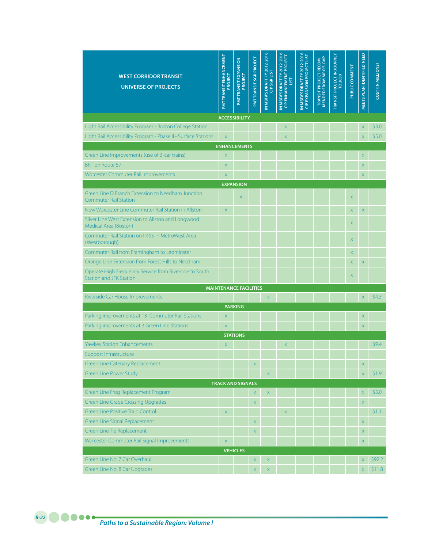| <b>WEST CORRIDOR TRANSIT</b><br><b>UNIVERSE OF PROJECTS</b>                              | <b>PMT TRANSIT ENHANCEMENT</b><br>PROJECT | <b>PMTTRANSIT EXPANSION</b><br>PROJECT | PMT TRANSIT SGR PROJECT | N MBTA'S DRAFT FY 2012-2016<br>CIP SGR LIST | IN MBTA'S DRAFT FY 2012-2016<br>CIP ENHANCEMENT PROJECT<br><b>LIST</b> | N MBTA'S DRAFT FY 2012-2016<br><b>CIP EXPANSION PROJECT LIST</b> | <b>MENDED FROM MPO'S CMP</b><br>TRANSIT PROJECT RECOM- | <b>TRANSIT PROJECT IN JOURNEY</b><br>TO 2030 | PUBLIC COMMENT            | MEETS PLAN IDENTIFIED NEED | COST (IN MILLIONS) |
|------------------------------------------------------------------------------------------|-------------------------------------------|----------------------------------------|-------------------------|---------------------------------------------|------------------------------------------------------------------------|------------------------------------------------------------------|--------------------------------------------------------|----------------------------------------------|---------------------------|----------------------------|--------------------|
|                                                                                          |                                           | <b>ACCESSIBILITY</b>                   |                         |                                             |                                                                        |                                                                  |                                                        |                                              |                           |                            |                    |
| Light Rail Accessibility Program - Boston College Station                                |                                           |                                        |                         |                                             | X                                                                      |                                                                  |                                                        |                                              |                           | X                          | \$3.0              |
| Light Rail Accessibility Program - Phase II - Surface Stations                           | $\bar{\mathsf{X}}$                        |                                        |                         |                                             | X                                                                      |                                                                  |                                                        |                                              |                           | X                          | \$5.0              |
|                                                                                          |                                           | <b>ENHANCEMENTS</b>                    |                         |                                             |                                                                        |                                                                  |                                                        |                                              |                           |                            |                    |
| Green Line Improvements (use of 3-car trains)                                            | X                                         |                                        |                         |                                             |                                                                        |                                                                  |                                                        |                                              |                           | X                          |                    |
| <b>BRT</b> on Route 57                                                                   | X                                         |                                        |                         |                                             |                                                                        |                                                                  |                                                        |                                              |                           | X                          |                    |
| Worcester Commuter Rail Improvements                                                     | $\overline{\mathsf{X}}$                   |                                        |                         |                                             |                                                                        |                                                                  |                                                        |                                              |                           | $\overline{\mathsf{x}}$    |                    |
| Green Line D Branch Extension to Needham Junction<br><b>Commuter Rail Station</b>        |                                           | <b>EXPANSION</b><br>$\mathsf X$        |                         |                                             |                                                                        |                                                                  |                                                        |                                              | $\overline{\mathsf{X}}$   |                            |                    |
| New Worcester Line Commuter Rail Station in Allston                                      | X                                         |                                        |                         |                                             |                                                                        |                                                                  |                                                        |                                              | $\mathsf X$               | X                          |                    |
| Silver Line West Extension to Allston and Longwood<br>Medical Area (Boston)              |                                           |                                        |                         |                                             |                                                                        |                                                                  |                                                        |                                              | $\mathsf{X}$              |                            |                    |
| Commuter Rail Station on I-495 in MetroWest Area<br>(Westborough)                        |                                           |                                        |                         |                                             |                                                                        |                                                                  |                                                        |                                              | $\mathsf X$               |                            |                    |
| Commuter Rail from Framingham to Leominster                                              |                                           |                                        |                         |                                             |                                                                        |                                                                  |                                                        |                                              | X                         |                            |                    |
| Orange Line Extension from Forest Hills to Needham                                       |                                           |                                        |                         |                                             |                                                                        |                                                                  |                                                        |                                              | X                         | $\mathsf X$                |                    |
| Operate High Frequency Service from Riverside to South<br><b>Station and JFK Station</b> |                                           |                                        |                         |                                             |                                                                        |                                                                  |                                                        |                                              | $\boldsymbol{\mathsf{X}}$ |                            |                    |
|                                                                                          |                                           | <b>MAINTENANCE FACILITIES</b>          |                         |                                             |                                                                        |                                                                  |                                                        |                                              |                           |                            |                    |
| Riverside Car House Improvements                                                         |                                           |                                        |                         | $\mathsf X$                                 |                                                                        |                                                                  |                                                        |                                              |                           | $\overline{\mathsf{x}}$    | \$4.3              |
|                                                                                          |                                           | <b>PARKING</b>                         |                         |                                             |                                                                        |                                                                  |                                                        |                                              |                           |                            |                    |
| Parking improvements at 13 Commuter Rail Stations                                        | $\mathsf X$                               |                                        |                         |                                             |                                                                        |                                                                  |                                                        |                                              |                           | X                          |                    |
| Parking improvements at 3 Green Line Stations                                            | $\mathsf X$                               |                                        |                         |                                             |                                                                        |                                                                  |                                                        |                                              |                           | $\overline{\mathsf{x}}$    |                    |
|                                                                                          |                                           | <b>STATIONS</b>                        |                         |                                             |                                                                        |                                                                  |                                                        |                                              |                           |                            | \$9.4              |
| <b>Yawkey Station Enhancements</b>                                                       | $\times$                                  |                                        |                         |                                             | $\mathsf X$                                                            |                                                                  |                                                        |                                              |                           |                            |                    |
| Support Infrastructure<br><b>Green Line Catenary Replacement</b>                         |                                           |                                        |                         |                                             |                                                                        |                                                                  |                                                        |                                              |                           |                            |                    |
| <b>Green Line Power Study</b>                                                            |                                           |                                        | $\mathsf X$             | $\mathsf X$                                 |                                                                        |                                                                  |                                                        |                                              |                           | X<br>$\overline{X}$        | \$1.9              |
|                                                                                          |                                           | <b>TRACK AND SIGNALS</b>               |                         |                                             |                                                                        |                                                                  |                                                        |                                              |                           |                            |                    |
| Green Line Frog Replacement Program                                                      |                                           |                                        | $\mathsf X$             | $\mathsf X$                                 |                                                                        |                                                                  |                                                        |                                              |                           | $\mathsf X$                | \$5.0              |
| <b>Green Line Grade Crossing Upgrades</b>                                                |                                           |                                        | $\mathsf X$             |                                             |                                                                        |                                                                  |                                                        |                                              |                           | $\mathsf X$                |                    |
| <b>Green Line Positive Train Control</b>                                                 | $\mathsf X$                               |                                        |                         |                                             | $\mathsf X$                                                            |                                                                  |                                                        |                                              |                           |                            | \$1.1              |
| Green Line Signal Replacement                                                            |                                           |                                        | $\mathsf X$             |                                             |                                                                        |                                                                  |                                                        |                                              |                           | $\mathsf X$                |                    |
| Green Line Tie Replacement                                                               |                                           |                                        | $\mathsf X$             |                                             |                                                                        |                                                                  |                                                        |                                              |                           | $\mathsf X$                |                    |
| Worcester Commuter Rail Signal Improvements                                              | $\mathsf X$                               |                                        |                         |                                             |                                                                        |                                                                  |                                                        |                                              |                           | $\bar{\mathsf{X}}$         |                    |
|                                                                                          |                                           | <b>VEHICLES</b>                        |                         |                                             |                                                                        |                                                                  |                                                        |                                              |                           |                            |                    |
| Green Line No. 7 Car Overhaul                                                            |                                           |                                        | $\mathsf X$             | $\mathsf X$                                 |                                                                        |                                                                  |                                                        |                                              |                           | X                          | \$92.2             |
| Green Line No. 8 Car Upgrades                                                            |                                           |                                        | $\mathsf X$             | $\mathsf X$                                 |                                                                        |                                                                  |                                                        |                                              |                           | $\overline{X}$             | \$11.8             |

## *Paths to a Sustainable Region: Volume I B-22*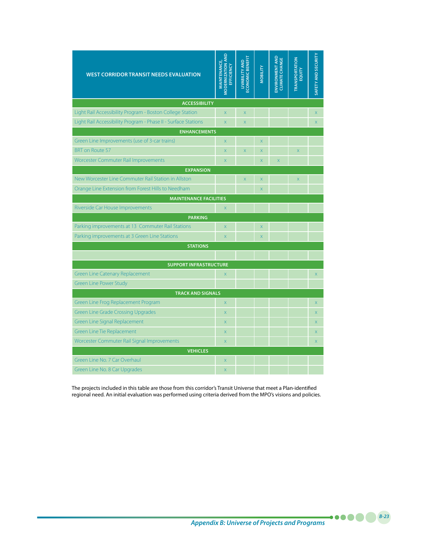| <b>WEST CORRIDOR TRANSIT NEEDS EVALUATION</b>                  | <b>MODERNIZATION AND</b><br>MAINTENANCE,<br>EFFICIENCY | <b>ECONOMIC BENEFIT</b><br><b>LIVABILITY AND</b> | <b>VIOBILITY</b>        | ENVIRONMENT AND<br><b>CLIMATE CHANGE</b> | <b>TRANSPORTATION</b><br>EQUITY | SAFETY AND SECURITY     |
|----------------------------------------------------------------|--------------------------------------------------------|--------------------------------------------------|-------------------------|------------------------------------------|---------------------------------|-------------------------|
| <b>ACCESSIBILITY</b>                                           |                                                        |                                                  |                         |                                          |                                 |                         |
| Light Rail Accessibility Program - Boston College Station      | $\overline{\mathsf{x}}$                                | $\overline{\mathsf{x}}$                          |                         |                                          |                                 | $\overline{X}$          |
| Light Rail Accessibility Program - Phase II - Surface Stations | $\overline{\mathsf{x}}$                                | $\overline{X}$                                   |                         |                                          |                                 | X                       |
| <b>ENHANCEMENTS</b>                                            |                                                        |                                                  |                         |                                          |                                 |                         |
| Green Line Improvements (use of 3-car trains)                  | $\overline{\mathsf{x}}$                                |                                                  | $\overline{\mathsf{x}}$ |                                          |                                 |                         |
| <b>BRT</b> on Route 57                                         | $\overline{\mathsf{x}}$                                | $\bar{\mathsf{X}}$                               | $\overline{X}$          |                                          | $\bar{\mathsf{X}}$              |                         |
| Worcester Commuter Rail Improvements                           | $\overline{\mathsf{x}}$                                |                                                  | $\overline{\mathsf{x}}$ | $\overline{\mathsf{X}}$                  |                                 |                         |
| <b>EXPANSION</b>                                               |                                                        |                                                  |                         |                                          |                                 |                         |
| New Worcester Line Commuter Rail Station in Allston            |                                                        | X                                                | $\overline{\mathsf{X}}$ |                                          | $\mathsf X$                     |                         |
| Orange Line Extension from Forest Hills to Needham             |                                                        |                                                  | $\overline{\mathsf{x}}$ |                                          |                                 |                         |
| <b>MAINTENANCE FACILITIES</b>                                  |                                                        |                                                  |                         |                                          |                                 |                         |
| Riverside Car House Improvements                               | $\overline{\mathsf{X}}$                                |                                                  |                         |                                          |                                 |                         |
| <b>PARKING</b>                                                 |                                                        |                                                  |                         |                                          |                                 |                         |
| Parking improvements at 13 Commuter Rail Stations              | $\overline{\mathsf{x}}$                                |                                                  | $\overline{\mathsf{x}}$ |                                          |                                 |                         |
| Parking improvements at 3 Green Line Stations                  | $\bar{x}$                                              |                                                  | $\overline{\mathsf{x}}$ |                                          |                                 |                         |
| <b>STATIONS</b>                                                |                                                        |                                                  |                         |                                          |                                 |                         |
|                                                                |                                                        |                                                  |                         |                                          |                                 |                         |
| <b>SUPPORT INFRASTRUCTURE</b>                                  |                                                        |                                                  |                         |                                          |                                 |                         |
| <b>Green Line Catenary Replacement</b>                         | $\overline{\mathsf{x}}$                                |                                                  |                         |                                          |                                 | $\overline{X}$          |
| <b>Green Line Power Study</b>                                  |                                                        |                                                  |                         |                                          |                                 |                         |
| <b>TRACK AND SIGNALS</b>                                       |                                                        |                                                  |                         |                                          |                                 |                         |
| Green Line Frog Replacement Program                            | $\overline{\mathsf{X}}$                                |                                                  |                         |                                          |                                 | $\mathsf X$             |
| <b>Green Line Grade Crossing Upgrades</b>                      | $\overline{X}$                                         |                                                  |                         |                                          |                                 | X                       |
| <b>Green Line Signal Replacement</b>                           | $\overline{X}$                                         |                                                  |                         |                                          |                                 | $\overline{X}$          |
| Green Line Tie Replacement                                     | $\overline{\mathsf{x}}$                                |                                                  |                         |                                          |                                 | $\overline{\mathsf{x}}$ |
| Worcester Commuter Rail Signal Improvements                    | $\overline{\mathsf{x}}$                                |                                                  |                         |                                          |                                 | $\mathsf{X}$            |
| <b>VEHICLES</b><br>Green Line No. 7 Car Overhaul               |                                                        |                                                  |                         |                                          |                                 |                         |
|                                                                | $\mathsf{X}$                                           |                                                  |                         |                                          |                                 |                         |
| Green Line No. 8 Car Upgrades                                  | $\overline{\mathsf{x}}$                                |                                                  |                         |                                          |                                 |                         |

The projects included in this table are those from this corridor's Transit Universe that meet a Plan-identified regional need. An initial evaluation was performed using criteria derived from the MPO's visions and policies.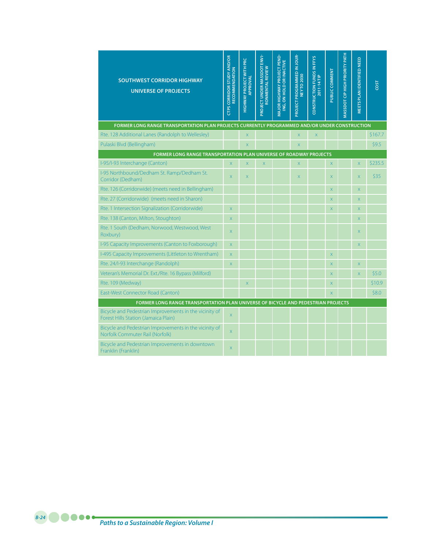| <b>SOUTHWEST CORRIDOR HIGHWAY</b><br><b>UNIVERSE OF PROJECTS</b>                               | <b>CTPS CORRIDOR STUDY AND/OR</b><br>RECOMMENDATION | <b>HIGHWAY PROJECT WITH PRC</b><br>APPROVAL | $ENVI-$<br>PROJECT UNDER MASSDOT<br>RONMENTAL REVIEW | MAJOR HIGHWAY PROJECT PEND-<br>ING, ON HOLD OR INACTIVE | PROJECT PROGRAMMED IN JOUR-<br><b>NEYTO 2030</b> | <b>EFYS</b><br>CONSTRUCTION FUNDS IN<br>2011-14 TIP | PUBLIC COMMENT | MASSDOT CIP HIGH PRIORITY PATH | MEETS PLAN IDENTIFIED NEED | <b>LSO</b> |
|------------------------------------------------------------------------------------------------|-----------------------------------------------------|---------------------------------------------|------------------------------------------------------|---------------------------------------------------------|--------------------------------------------------|-----------------------------------------------------|----------------|--------------------------------|----------------------------|------------|
| FORMER LONG RANGE TRANSPORTATION PLAN PROJECTS CURRENTLY PROGRAMMED AND/OR UNDER CONSTRUCTION  |                                                     |                                             |                                                      |                                                         |                                                  |                                                     |                |                                |                            |            |
| Rte. 128 Additional Lanes (Randolph to Wellesley)                                              |                                                     | $\overline{\mathsf{x}}$                     |                                                      |                                                         | X                                                | $\overline{\mathsf{X}}$                             |                |                                |                            | \$167.7    |
| Pulaski Blvd (Bellingham)                                                                      |                                                     | $\overline{\mathsf{x}}$                     |                                                      |                                                         | X                                                |                                                     |                |                                |                            | \$9.5      |
| FORMER LONG RANGE TRANSPORTATION PLAN UNIVERSE OF ROADWAY PROJECTS                             |                                                     |                                             |                                                      |                                                         |                                                  |                                                     |                |                                |                            |            |
| I-95/I-93 Interchange (Canton)                                                                 | $\overline{\mathsf{x}}$                             | $\overline{X}$                              | $\mathsf X$                                          |                                                         | X                                                |                                                     | X              |                                | $\mathsf X$                | \$235.5    |
| I-95 Northbound/Dedham St. Ramp/Dedham St.<br>Corridor (Dedham)                                | $\overline{\mathsf{x}}$                             | $\overline{\mathsf{x}}$                     |                                                      |                                                         | $\overline{X}$                                   |                                                     | X              |                                | $\overline{\mathsf{x}}$    | \$35       |
| Rte. 126 (Corridorwide) (meets need in Bellingham)                                             |                                                     |                                             |                                                      |                                                         |                                                  |                                                     | X              |                                | $\mathsf X$                |            |
| Rte. 27 (Corridorwide) (meets need in Sharon)                                                  |                                                     |                                             |                                                      |                                                         |                                                  |                                                     | X              |                                | $\overline{\mathsf{x}}$    |            |
| Rte. 1 Intersection Signalization (Corridorwide)                                               | $\overline{\mathsf{x}}$                             |                                             |                                                      |                                                         |                                                  |                                                     | X              |                                | $\mathsf{X}$               |            |
| Rte. 138 (Canton, Milton, Stoughton)                                                           | $\mathsf X$                                         |                                             |                                                      |                                                         |                                                  |                                                     |                |                                | X                          |            |
| Rte. 1 South (Dedham, Norwood, Westwood, West<br>Roxbury)                                      | $\mathsf{X}$                                        |                                             |                                                      |                                                         |                                                  |                                                     |                |                                | X                          |            |
| I-95 Capacity Improvements (Canton to Foxborough)                                              | $\mathsf X$                                         |                                             |                                                      |                                                         |                                                  |                                                     |                |                                | X                          |            |
| I-495 Capacity Improvements (Littleton to Wrentham)                                            | $\mathsf X$                                         |                                             |                                                      |                                                         |                                                  |                                                     | X              |                                |                            |            |
| Rte. 24/I-93 Interchange (Randolph)                                                            | $\times$                                            |                                             |                                                      |                                                         |                                                  |                                                     | X              |                                | X                          |            |
| Veteran's Memorial Dr. Ext./Rte. 16 Bypass (Milford)                                           |                                                     |                                             |                                                      |                                                         |                                                  |                                                     | $\overline{X}$ |                                | $\overline{\mathsf{x}}$    | \$5.0      |
| Rte. 109 (Medway)                                                                              |                                                     | X                                           |                                                      |                                                         |                                                  |                                                     | X              |                                |                            | \$10.9     |
| East-West Connector Road (Canton)                                                              |                                                     |                                             |                                                      |                                                         |                                                  |                                                     | $\overline{X}$ |                                |                            | \$8.0      |
| FORMER LONG RANGE TRANSPORTATION PLAN UNIVERSE OF BICYCLE AND PEDESTRIAN PROJECTS              |                                                     |                                             |                                                      |                                                         |                                                  |                                                     |                |                                |                            |            |
| Bicycle and Pedestrian Improvements in the vicinity of<br>Forest Hills Station (Jamaica Plain) | $\overline{\mathsf{X}}$                             |                                             |                                                      |                                                         |                                                  |                                                     |                |                                |                            |            |
| Bicycle and Pedestrian Improvements in the vicinity of<br>Norfolk Commuter Rail (Norfolk)      | $\overline{\mathsf{x}}$                             |                                             |                                                      |                                                         |                                                  |                                                     |                |                                |                            |            |
| Bicycle and Pedestrian Improvements in downtown<br>Franklin (Franklin)                         | $\overline{\mathsf{x}}$                             |                                             |                                                      |                                                         |                                                  |                                                     |                |                                |                            |            |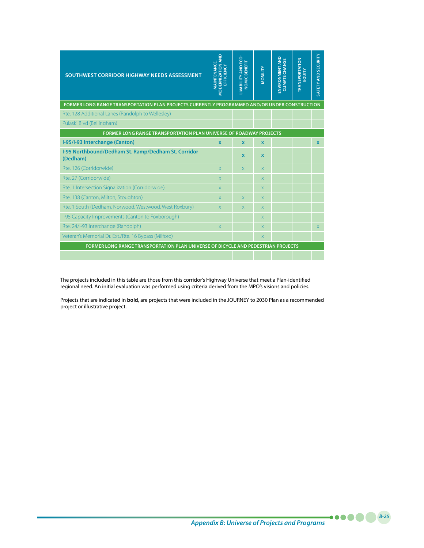| SOUTHWEST CORRIDOR HIGHWAY NEEDS ASSESSMENT                                                   | <b>MODERNIZATION AND<br/>EFFICIENCY</b><br><b>MAINTENANCE,</b> | <b>LIVABILITY AND ECO</b><br><b>NOMIC BENEFIT</b> | <b>NOBILITY</b>         | ENVIRONMENT AND<br><b>CLIMATE CHANGE</b> | <b>TRANSPORTATION</b><br>EQUITY | SAFETY AND SECURITY |
|-----------------------------------------------------------------------------------------------|----------------------------------------------------------------|---------------------------------------------------|-------------------------|------------------------------------------|---------------------------------|---------------------|
| FORMER LONG RANGE TRANSPORTATION PLAN PROJECTS CURRENTLY PROGRAMMED AND/OR UNDER CONSTRUCTION |                                                                |                                                   |                         |                                          |                                 |                     |
| Rte. 128 Additional Lanes (Randolph to Wellesley)                                             |                                                                |                                                   |                         |                                          |                                 |                     |
| Pulaski Blvd (Bellingham)                                                                     |                                                                |                                                   |                         |                                          |                                 |                     |
| <b>FORMER LONG RANGE TRANSPORTATION PLAN UNIVERSE OF ROADWAY PROJECTS</b>                     |                                                                |                                                   |                         |                                          |                                 |                     |
| I-95/I-93 Interchange (Canton)                                                                | $\mathbf x$                                                    | $\mathbf{x}$                                      | $\mathbf{x}$            |                                          |                                 | $\mathbf x$         |
| I-95 Northbound/Dedham St. Ramp/Dedham St. Corridor<br>(Dedham)                               |                                                                | $\mathbf x$                                       | $\mathbf x$             |                                          |                                 |                     |
| Rte. 126 (Corridorwide)                                                                       | $\overline{\mathsf{x}}$                                        | X                                                 | $\overline{\mathsf{x}}$ |                                          |                                 |                     |
| Rte. 27 (Corridorwide)                                                                        | $\overline{\mathsf{x}}$                                        |                                                   | X                       |                                          |                                 |                     |
| Rte. 1 Intersection Signalization (Corridorwide)                                              | $\overline{\mathsf{x}}$                                        |                                                   | $\overline{\mathsf{x}}$ |                                          |                                 |                     |
| Rte. 138 (Canton, Milton, Stoughton)                                                          | $\overline{\mathsf{x}}$                                        | X                                                 | $\overline{X}$          |                                          |                                 |                     |
| Rte. 1 South (Dedham, Norwood, Westwood, West Roxbury)                                        | $\overline{\mathsf{x}}$                                        | X.                                                | $\overline{\mathsf{x}}$ |                                          |                                 |                     |
| I-95 Capacity Improvements (Canton to Foxborough)                                             |                                                                |                                                   | X                       |                                          |                                 |                     |
| Rte. 24/I-93 Interchange (Randolph)                                                           | $\overline{X}$                                                 |                                                   | $\overline{\mathsf{x}}$ |                                          |                                 | X.                  |
| Veteran's Memorial Dr. Ext./Rte. 16 Bypass (Milford)                                          |                                                                |                                                   | $\overline{\mathsf{x}}$ |                                          |                                 |                     |
| FORMER LONG RANGE TRANSPORTATION PLAN UNIVERSE OF BICYCLE AND PEDESTRIAN PROJECTS             |                                                                |                                                   |                         |                                          |                                 |                     |
|                                                                                               |                                                                |                                                   |                         |                                          |                                 |                     |

The projects included in this table are those from this corridor's Highway Universe that meet a Plan-identified regional need. An initial evaluation was performed using criteria derived from the MPO's visions and policies.

Projects that are indicated in **bold**, are projects that were included in the JOURNEY to 2030 Plan as a recommended project or illustrative project.

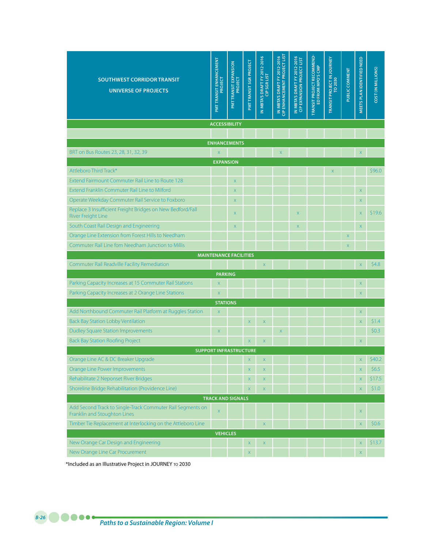| <b>SOUTHWEST CORRIDOR TRANSIT</b><br><b>UNIVERSE OF PROJECTS</b>                             | <b>PMTTRANSIT ENHANCEMENT</b><br>PROJECT | <b>PMT TRANSIT EXPANSION<br/>PROJECT</b> | PMT TRANSIT SGR PROJECT | IN MBTA'S DRAFT FY 2012-2016<br><b>CIP SGR LIST</b> | IN MBTA'S DRAFT FY 2012-2016<br>CIP ENHANCEMENT PROJECT LIST | IN MBTA'S DRAFT FY 2012-2016<br>CIP EXPANSION PROJECT LIST | TRANSIT PROJECT RECOMMEND-<br>ED FROM MPO'S CMP | TRANSIT PROJECT IN JOURNEY<br>TO 2030 | PUBLIC COMMENT | <b>VIEETS PLAN IDENTIFIED NEED</b> | COST (IN MILLIONS) |
|----------------------------------------------------------------------------------------------|------------------------------------------|------------------------------------------|-------------------------|-----------------------------------------------------|--------------------------------------------------------------|------------------------------------------------------------|-------------------------------------------------|---------------------------------------|----------------|------------------------------------|--------------------|
| <b>ACCESSIBILITY</b>                                                                         |                                          |                                          |                         |                                                     |                                                              |                                                            |                                                 |                                       |                |                                    |                    |
| <b>ENHANCEMENTS</b>                                                                          |                                          |                                          |                         |                                                     |                                                              |                                                            |                                                 |                                       |                |                                    |                    |
| BRT on Bus Routes 23, 28, 31, 32, 39                                                         |                                          |                                          |                         |                                                     |                                                              |                                                            |                                                 |                                       |                |                                    |                    |
|                                                                                              | X<br><b>EXPANSION</b>                    |                                          |                         |                                                     | $\mathsf{X}$                                                 |                                                            |                                                 |                                       |                | $\mathsf X$                        |                    |
| Attleboro Third Track*                                                                       |                                          |                                          |                         |                                                     |                                                              |                                                            |                                                 | $\times$                              |                |                                    | \$96.0             |
| Extend Fairmount Commuter Rail Line to Route 128                                             |                                          | $\mathsf X$                              |                         |                                                     |                                                              |                                                            |                                                 |                                       |                |                                    |                    |
| Extend Franklin Commuter Rail Line to Milford                                                |                                          | $\times$                                 |                         |                                                     |                                                              |                                                            |                                                 |                                       |                | $\mathsf X$                        |                    |
| Operate Weekday Commuter Rail Service to Foxboro                                             |                                          | $\mathsf X$                              |                         |                                                     |                                                              |                                                            |                                                 |                                       |                | $\mathsf X$                        |                    |
| Replace 3 Insufficient Freight Bridges on New Bedford/Fall<br><b>River Freight Line</b>      |                                          | $\mathsf X$                              |                         |                                                     |                                                              | $\boldsymbol{\mathsf{X}}$                                  |                                                 |                                       |                | $\mathsf X$                        | \$19.6             |
| South Coast Rail Design and Engineering                                                      |                                          | $\times$                                 |                         |                                                     |                                                              | $\mathsf X$                                                |                                                 |                                       |                | $\mathsf X$                        |                    |
| Orange Line Extension from Forest Hills to Needham                                           |                                          |                                          |                         |                                                     |                                                              |                                                            |                                                 |                                       | $\overline{X}$ |                                    |                    |
| Commuter Rail Line fom Needham Junction to Millis                                            |                                          |                                          |                         |                                                     |                                                              |                                                            |                                                 |                                       | $\times$       |                                    |                    |
| <b>MAINTENANCE FACILITIES</b>                                                                |                                          |                                          |                         |                                                     |                                                              |                                                            |                                                 |                                       |                |                                    |                    |
| Commuter Rail Readville Facility Remediation                                                 |                                          |                                          |                         | $\overline{\mathsf{x}}$                             |                                                              |                                                            |                                                 |                                       |                | $\mathsf X$                        | \$4.8              |
|                                                                                              | <b>PARKING</b>                           |                                          |                         |                                                     |                                                              |                                                            |                                                 |                                       |                |                                    |                    |
| Parking Capacity Increases at 15 Commuter Rail Stations                                      | $\mathsf X$                              |                                          |                         |                                                     |                                                              |                                                            |                                                 |                                       |                | $\mathsf X$                        |                    |
| Parking Capacity Increases at 2 Orange Line Stations                                         | X                                        |                                          |                         |                                                     |                                                              |                                                            |                                                 |                                       |                | $\mathsf X$                        |                    |
|                                                                                              |                                          |                                          |                         |                                                     |                                                              |                                                            |                                                 |                                       |                |                                    |                    |
|                                                                                              | <b>STATIONS</b>                          |                                          |                         |                                                     |                                                              |                                                            |                                                 |                                       |                |                                    |                    |
| Add Northbound Commuter Rail Platform at Ruggles Station                                     | $\mathsf X$                              |                                          |                         |                                                     |                                                              |                                                            |                                                 |                                       |                | $\mathsf X$                        |                    |
| <b>Back Bay Station Lobby Ventilation</b>                                                    |                                          |                                          | X                       | $\mathsf{X}$                                        |                                                              |                                                            |                                                 |                                       |                | $\overline{\mathsf{X}}$            | \$1.4              |
| <b>Dudley Square Station Improvements</b>                                                    | X                                        |                                          |                         |                                                     | $\overline{\mathsf{X}}$                                      |                                                            |                                                 |                                       |                |                                    | \$0.3              |
| <b>Back Bay Station Roofing Project</b>                                                      |                                          |                                          | X                       | $\boldsymbol{\mathsf{X}}$                           |                                                              |                                                            |                                                 |                                       |                | $\boldsymbol{\mathsf{X}}$          |                    |
| <b>SUPPORT INFRASTRUCTURE</b>                                                                |                                          |                                          |                         |                                                     |                                                              |                                                            |                                                 |                                       |                |                                    |                    |
| Orange Line AC & DC Breaker Upgrade                                                          |                                          |                                          | X                       | $\mathsf X$                                         |                                                              |                                                            |                                                 |                                       |                | $\mathsf X$                        | \$40.2             |
| Orange Line Power Improvements                                                               |                                          |                                          | X.                      | $\mathsf X$                                         |                                                              |                                                            |                                                 |                                       |                | $\mathsf X$                        | \$6.5              |
| Rehabilitate 2 Neponset River Bridges                                                        |                                          |                                          | $\mathsf{X}$            | $\mathsf X$                                         |                                                              |                                                            |                                                 |                                       |                | $\bar{\mathsf{X}}$                 | \$17.5             |
| Shoreline Bridge Rehabilitation (Providence Line)                                            |                                          |                                          | $\mathsf X$             | $\mathsf X$                                         |                                                              |                                                            |                                                 |                                       |                | $\mathsf X$                        | \$1.0              |
| Add Second Track to Single-Track Commuter Rail Segments on                                   | X                                        | <b>TRACK AND SIGNALS</b>                 |                         |                                                     |                                                              |                                                            |                                                 |                                       |                | X                                  |                    |
| Franklin and Stoughton Lines<br>Timber Tie Replacement at Interlocking on the Attleboro Line |                                          |                                          |                         | $\boldsymbol{\mathsf{X}}$                           |                                                              |                                                            |                                                 |                                       |                | $\mathsf X$                        | \$0.6\$            |
|                                                                                              | <b>VEHICLES</b>                          |                                          |                         |                                                     |                                                              |                                                            |                                                 |                                       |                |                                    |                    |
| New Orange Car Design and Engineering                                                        |                                          |                                          | $\mathsf X$             | $\mathsf X$                                         |                                                              |                                                            |                                                 |                                       |                | $\mathsf X$                        | \$13.7             |

\*Included as an Illustrative Project in JOURNEY to 2030

## *Paths to a Sustainable Region: Volume I B-26*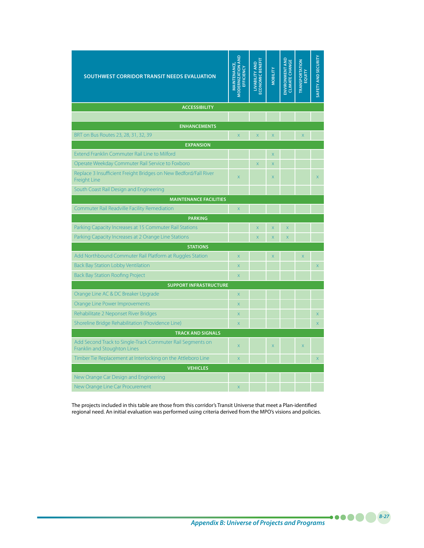| SOUTHWEST CORRIDOR TRANSIT NEEDS EVALUATION                                                | MODERNIZATION AND<br>MAINTENANCE,<br>EFFICIENCY | <b>ECONOMIC BENEFIT</b><br>LIVABILITY AND | <b>MOBILITY</b>         | <b>ENVIRONMENT AND</b><br><b>CLIMATE CHANGE</b> | <b>TRANSPORTATION</b><br>EQUITY | SAFETY AND SECURITY |
|--------------------------------------------------------------------------------------------|-------------------------------------------------|-------------------------------------------|-------------------------|-------------------------------------------------|---------------------------------|---------------------|
| <b>ACCESSIBILITY</b>                                                                       |                                                 |                                           |                         |                                                 |                                 |                     |
|                                                                                            |                                                 |                                           |                         |                                                 |                                 |                     |
| <b>ENHANCEMENTS</b>                                                                        |                                                 |                                           |                         |                                                 |                                 |                     |
| BRT on Bus Routes 23, 28, 31, 32, 39                                                       | $\overline{\mathsf{x}}$                         | X                                         | $\overline{X}$          |                                                 | X                               |                     |
| <b>EXPANSION</b>                                                                           |                                                 |                                           |                         |                                                 |                                 |                     |
| Extend Franklin Commuter Rail Line to Milford                                              |                                                 |                                           | $\overline{\mathsf{x}}$ |                                                 |                                 |                     |
| Operate Weekday Commuter Rail Service to Foxboro                                           |                                                 | $\bar{\mathsf{x}}$                        | $\overline{\mathsf{X}}$ |                                                 |                                 |                     |
| Replace 3 Insufficient Freight Bridges on New Bedford/Fall River<br><b>Freight Line</b>    | $\overline{X}$                                  |                                           | $\times$                |                                                 |                                 | X                   |
| South Coast Rail Design and Engineering                                                    |                                                 |                                           |                         |                                                 |                                 |                     |
| <b>MAINTENANCE FACILITIES</b>                                                              |                                                 |                                           |                         |                                                 |                                 |                     |
| Commuter Rail Readville Facility Remediation                                               | $\overline{\mathsf{x}}$                         |                                           |                         |                                                 |                                 |                     |
| <b>PARKING</b>                                                                             |                                                 |                                           |                         |                                                 |                                 |                     |
| Parking Capacity Increases at 15 Commuter Rail Stations                                    |                                                 | $\bar{\mathsf{X}}$                        | $\overline{\mathsf{X}}$ | $\overline{\mathsf{X}}$                         |                                 |                     |
| Parking Capacity Increases at 2 Orange Line Stations                                       |                                                 | $\overline{\mathsf{x}}$                   | $\overline{X}$          | $\overline{\mathsf{x}}$                         |                                 |                     |
| <b>STATIONS</b>                                                                            |                                                 |                                           |                         |                                                 |                                 |                     |
| Add Northbound Commuter Rail Platform at Ruggles Station                                   | $\overline{\mathsf{x}}$                         |                                           | $\overline{\mathsf{x}}$ |                                                 | $\overline{X}$                  |                     |
| <b>Back Bay Station Lobby Ventilation</b>                                                  | X                                               |                                           |                         |                                                 |                                 | X                   |
| <b>Back Bay Station Roofing Project</b>                                                    | $\overline{\mathsf{x}}$                         |                                           |                         |                                                 |                                 |                     |
| <b>SUPPORT INFRASTRUCTURE</b>                                                              |                                                 |                                           |                         |                                                 |                                 |                     |
| Orange Line AC & DC Breaker Upgrade                                                        | $\mathsf X$                                     |                                           |                         |                                                 |                                 |                     |
| Orange Line Power Improvements                                                             | $\overline{X}$                                  |                                           |                         |                                                 |                                 |                     |
| Rehabilitate 2 Neponset River Bridges                                                      | $\overline{X}$                                  |                                           |                         |                                                 |                                 | X                   |
| Shoreline Bridge Rehabilitation (Providence Line)                                          | $\overline{\mathsf{x}}$                         |                                           |                         |                                                 |                                 | $\bar{X}$           |
| <b>TRACK AND SIGNALS</b>                                                                   |                                                 |                                           |                         |                                                 |                                 |                     |
| Add Second Track to Single-Track Commuter Rail Segments on<br>Franklin and Stoughton Lines | $\overline{X}$                                  |                                           | $\overline{X}$          |                                                 | X                               |                     |
| Timber Tie Replacement at Interlocking on the Attleboro Line                               | $\overline{X}$                                  |                                           |                         |                                                 |                                 | $\overline{X}$      |
| <b>VEHICLES</b>                                                                            |                                                 |                                           |                         |                                                 |                                 |                     |
| New Orange Car Design and Engineering                                                      |                                                 |                                           |                         |                                                 |                                 |                     |
| New Orange Line Car Procurement                                                            | $\overline{\mathsf{x}}$                         |                                           |                         |                                                 |                                 |                     |

The projects included in this table are those from this corridor's Transit Universe that meet a Plan-identified regional need. An initial evaluation was performed using criteria derived from the MPO's visions and policies.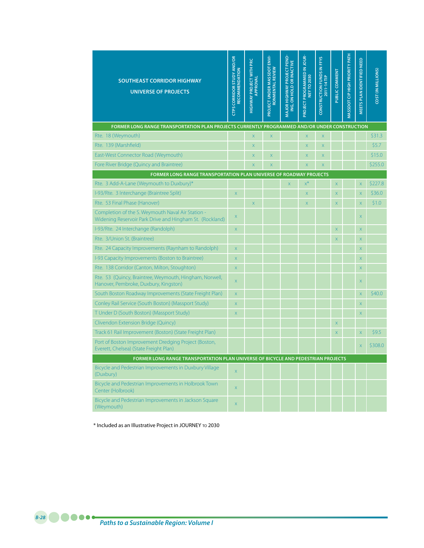| <b>SOUTHEAST CORRIDOR HIGHWAY</b><br><b>UNIVERSE OF PROJECTS</b>                                              | <b>CTPS CORRIDOR STUDY AND/OR</b><br>RECOMMENDATION | <b>HIGHWAY PROJECT WITH PRC</b><br>APPROVAL | PROJECT UNDER MASSDOT ENVI-<br>RONMENTAL REVIEW | MAJOR HIGHWAY PROJECT PEND-<br>ING, ON HOLD OR INACTIVE | <b>PROJECT PROGRAMMED IN JOUR-</b><br><b>NEY TO 2030</b> | CONSTRUCTION FUNDS IN FFYS<br>2011-14 TIP | PUBLIC COMMENT | <b>MASSDOT CIP HIGH PRIORITY PATH</b> | MEETS PLAN IDENTIFIED NEED | COST (IN MILLIONS) |  |
|---------------------------------------------------------------------------------------------------------------|-----------------------------------------------------|---------------------------------------------|-------------------------------------------------|---------------------------------------------------------|----------------------------------------------------------|-------------------------------------------|----------------|---------------------------------------|----------------------------|--------------------|--|
| FORMER LONG RANGE TRANSPORTATION PLAN PROJECTS CURRENTLY PROGRAMMED AND/OR UNDER CONSTRUCTION                 |                                                     |                                             |                                                 |                                                         |                                                          |                                           |                |                                       |                            |                    |  |
| Rte. 18 (Weymouth)                                                                                            |                                                     | $\overline{X}$                              | $\overline{\mathsf{x}}$                         |                                                         | $\overline{\mathsf{x}}$                                  | $\overline{\mathsf{x}}$                   |                |                                       |                            | \$31.3             |  |
| Rte. 139 (Marshfield)                                                                                         |                                                     | $\overline{\mathsf{x}}$                     |                                                 |                                                         | $\overline{X}$                                           | $\overline{X}$                            |                |                                       |                            | \$5.7              |  |
| East-West Connector Road (Weymouth)                                                                           |                                                     | X                                           | X                                               |                                                         | X                                                        | X                                         |                |                                       |                            | \$15.0             |  |
| Fore River Bridge (Quincy and Braintree)                                                                      |                                                     | $\overline{\mathsf{x}}$                     | $\overline{\mathsf{x}}$                         |                                                         | $\overline{\mathsf{X}}$                                  | X                                         |                |                                       |                            | \$255.0            |  |
| FORMER LONG RANGE TRANSPORTATION PLAN UNIVERSE OF ROADWAY PROJECTS                                            |                                                     |                                             |                                                 |                                                         |                                                          |                                           |                |                                       |                            |                    |  |
| Rte. 3 Add-A-Lane (Weymouth to Duxbury)*                                                                      |                                                     |                                             |                                                 | $\overline{\mathsf{x}}$                                 | $x^*$                                                    |                                           | $\mathsf{X}$   |                                       | $\mathsf X$                | \$227.8            |  |
| I-93/Rte. 3 Interchange (Braintree Split)                                                                     | X                                                   |                                             |                                                 |                                                         | $\times$                                                 |                                           | X              |                                       | $\mathsf X$                | \$36.0             |  |
| Rte. 53 Final Phase (Hanover)                                                                                 |                                                     | $\overline{X}$                              |                                                 |                                                         | $\overline{\mathsf{X}}$                                  |                                           | X              |                                       | $\bar{\mathsf{X}}$         | \$1.0              |  |
| Completion of the S. Weymouth Naval Air Station -<br>Widening Reservoir Park Drive and Hingham St. (Rockland) | X                                                   |                                             |                                                 |                                                         |                                                          |                                           |                |                                       | $\mathsf{X}$               |                    |  |
| I-93/Rte. 24 Interchange (Randolph)                                                                           | X                                                   |                                             |                                                 |                                                         |                                                          |                                           | $\overline{X}$ |                                       | $\bar{\mathsf{X}}$         |                    |  |
| Rte. 3/Union St. (Braintree)                                                                                  |                                                     |                                             |                                                 |                                                         |                                                          |                                           | X              |                                       | $\overline{X}$             |                    |  |
| Rte. 24 Capacity Improvements (Raynham to Randolph)                                                           | X                                                   |                                             |                                                 |                                                         |                                                          |                                           |                |                                       | $\overline{X}$             |                    |  |
| I-93 Capacity Improvements (Boston to Braintree)                                                              | $\overline{\mathsf{x}}$                             |                                             |                                                 |                                                         |                                                          |                                           |                |                                       | $\overline{X}$             |                    |  |
| Rte. 138 Corridor (Canton, Milton, Stoughton)                                                                 | X                                                   |                                             |                                                 |                                                         |                                                          |                                           |                |                                       | $\overline{X}$             |                    |  |
| Rte. 53 (Quincy, Braintree, Weymouth, Hingham, Norwell,<br>Hanover, Pembroke, Duxbury, Kingston)              | X                                                   |                                             |                                                 |                                                         |                                                          |                                           |                |                                       | X                          |                    |  |
| South Boston Roadway Improvements (State Freight Plan)                                                        | X                                                   |                                             |                                                 |                                                         |                                                          |                                           |                |                                       | X                          | \$40.0             |  |
| Conley Rail Service (South Boston) (Massport Study)                                                           | X                                                   |                                             |                                                 |                                                         |                                                          |                                           |                |                                       | X                          |                    |  |
| T Under D (South Boston) (Massport Study)                                                                     | X                                                   |                                             |                                                 |                                                         |                                                          |                                           |                |                                       | X                          |                    |  |
| Clivendon Extension Bridge (Quincy)                                                                           |                                                     |                                             |                                                 |                                                         |                                                          |                                           | X              |                                       |                            |                    |  |
| Track 61 Rail Improvement (Boston) (State Freight Plan)                                                       |                                                     |                                             |                                                 |                                                         |                                                          |                                           | X              |                                       | $\overline{\mathsf{x}}$    | \$9.5              |  |
| Port of Boston Improvement Dredging Project (Boston,<br>Everett, Chelsea) (State Freight Plan)                |                                                     |                                             |                                                 |                                                         |                                                          |                                           |                |                                       | $\overline{X}$             | \$308.0            |  |
| FORMER LONG RANGE TRANSPORTATION PLAN UNIVERSE OF BICYCLE AND PEDESTRIAN PROJECTS                             |                                                     |                                             |                                                 |                                                         |                                                          |                                           |                |                                       |                            |                    |  |
| Bicycle and Pedestrian Improvements in Duxbury Village<br>(Duxbury)                                           | X                                                   |                                             |                                                 |                                                         |                                                          |                                           |                |                                       |                            |                    |  |
| Bicycle and Pedestrian Improvements in Holbrook Town<br>Center (Holbrook)                                     | X                                                   |                                             |                                                 |                                                         |                                                          |                                           |                |                                       |                            |                    |  |
| Bicycle and Pedestrian Improvements in Jackson Square<br>(Weymouth)                                           | X                                                   |                                             |                                                 |                                                         |                                                          |                                           |                |                                       |                            |                    |  |

\* Included as an Illustrative Project in JOURNEY to 2030

*Paths to a Sustainable Region: Volume I B-28*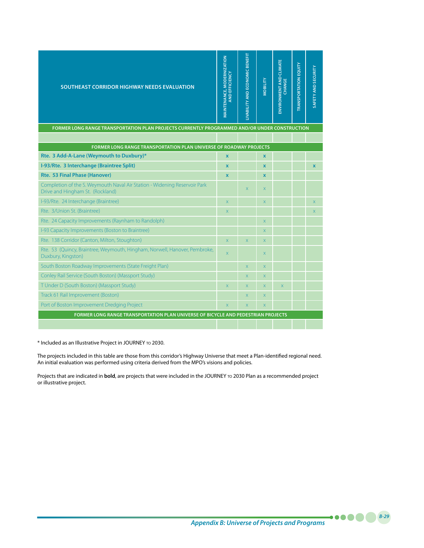| <b>SOUTHEAST CORRIDOR HIGHWAY NEEDS EVALUATION</b>                                                            | MAINTENANCE, MODERNIZATION<br>EFFICIENCY<br><b>La</b> | LIVABILITY AND ECONOMIC BENEFIT | <b>MOBILITY</b>           | ENVIRONMENT AND CLIMATE<br>CHANGE | <b>TRANSPORTATION EQUITY</b> | SAFETY AND SECURITY     |
|---------------------------------------------------------------------------------------------------------------|-------------------------------------------------------|---------------------------------|---------------------------|-----------------------------------|------------------------------|-------------------------|
| FORMER LONG RANGE TRANSPORTATION PLAN PROJECTS CURRENTLY PROGRAMMED AND/OR UNDER CONSTRUCTION                 |                                                       |                                 |                           |                                   |                              |                         |
| <b>FORMER LONG RANGE TRANSPORTATION PLAN UNIVERSE OF ROADWAY PROJECTS</b>                                     |                                                       |                                 |                           |                                   |                              |                         |
| Rte. 3 Add-A-Lane (Weymouth to Duxbury)*                                                                      | $\mathbf x$                                           |                                 | $\mathbf x$               |                                   |                              |                         |
| I-93/Rte. 3 Interchange (Braintree Split)                                                                     | $\mathbf x$                                           |                                 | $\mathbf x$               |                                   |                              | $\mathbf x$             |
| Rte. 53 Final Phase (Hanover)                                                                                 | $\mathbf{x}$                                          |                                 | $\mathbf x$               |                                   |                              |                         |
| Completion of the S. Weymouth Naval Air Station - Widening Reservoir Park<br>Drive and Hingham St. (Rockland) |                                                       | $\overline{\mathsf{x}}$         | $\overline{\mathsf{x}}$   |                                   |                              |                         |
| I-93/Rte. 24 Interchange (Braintree)                                                                          | $\overline{X}$                                        |                                 | $\overline{\mathsf{x}}$   |                                   |                              | $\overline{X}$          |
| Rte. 3/Union St. (Braintree)                                                                                  | $\overline{X}$                                        |                                 |                           |                                   |                              | $\overline{\mathsf{x}}$ |
| Rte. 24 Capacity Improvements (Raynham to Randolph)                                                           |                                                       |                                 | $\overline{\mathsf{x}}$   |                                   |                              |                         |
| I-93 Capacity Improvements (Boston to Braintree)                                                              |                                                       |                                 | $\times$                  |                                   |                              |                         |
| Rte. 138 Corridor (Canton, Milton, Stoughton)                                                                 | $\times$                                              | $\times$                        | $\times$                  |                                   |                              |                         |
| Rte. 53 (Quincy, Braintree, Weymouth, Hingham, Norwell, Hanover, Pembroke,<br>Duxbury, Kingston)              | $\times$                                              |                                 | $\times$                  |                                   |                              |                         |
| South Boston Roadway Improvements (State Freight Plan)                                                        |                                                       | X                               | $\boldsymbol{\mathsf{X}}$ |                                   |                              |                         |
| Conley Rail Service (South Boston) (Massport Study)                                                           |                                                       | X                               | $\times$                  |                                   |                              |                         |
| T Under D (South Boston) (Massport Study)                                                                     | $\overline{X}$                                        | X                               | $\overline{\mathsf{x}}$   | $\mathsf X$                       |                              |                         |
| Track 61 Rail Improvement (Boston)                                                                            |                                                       | X                               | $\mathsf{X}$              |                                   |                              |                         |
| Port of Boston Improvement Dredging Project                                                                   | $\overline{X}$                                        | $\overline{X}$                  | $\overline{\mathsf{x}}$   |                                   |                              |                         |
| FORMER LONG RANGE TRANSPORTATION PLAN UNIVERSE OF BICYCLE AND PEDESTRIAN PROJECTS                             |                                                       |                                 |                           |                                   |                              |                         |
|                                                                                                               |                                                       |                                 |                           |                                   |                              |                         |

\* Included as an Illustrative Project in JOURNEY to 2030.

The projects included in this table are those from this corridor's Highway Universe that meet a Plan-identified regional need. An initial evaluation was performed using criteria derived from the MPO's visions and policies.

Projects that are indicated in **bold**, are projects that were included in the JOURNEY to 2030 Plan as a recommended project or illustrative project.

*Appendix B: Universe of Projects and Programs*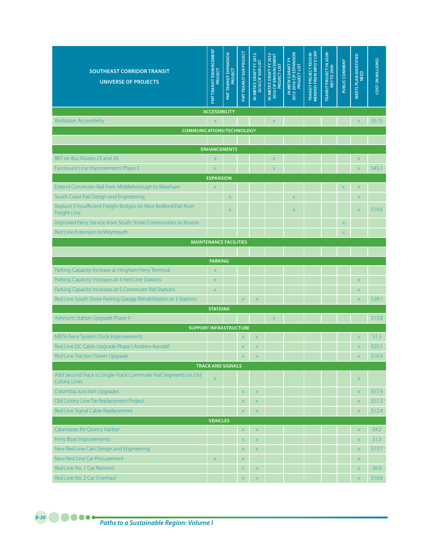| <b>SOUTHEAST CORRIDOR TRANSIT</b><br><b>UNIVERSE OF PROJECTS</b>                      | PMT TRANSIT EN HANCEMENT<br>PROJECT    | <b>PMTTRANSIT EXPANSION</b><br>PROJECT | PMT TRANSIT SGR PROJECT | IN MBTA'S DRAFT FY 2012-<br>2016 CIP SGR LIST | IN MBTA'S DRAFT FY 2012-<br>2016 CIP ENHANCEMENT<br><b>PROJECT LIST</b> | IN MBTA'S DRAFT FY<br>2012-2016 CIP EXPANSION<br><b>PROJECT LIST</b> | TRANSIT PROJECT RECOM-<br>MENDED FROM MPO'S CMP | TRANSIT PROJECT IN JOUR-<br>NEY TO 2030 | PUBLIC COMMENT | MEETS PLAN IDENTIFIED<br><b>NEED</b> | COST (IN MILLIONS) |
|---------------------------------------------------------------------------------------|----------------------------------------|----------------------------------------|-------------------------|-----------------------------------------------|-------------------------------------------------------------------------|----------------------------------------------------------------------|-------------------------------------------------|-----------------------------------------|----------------|--------------------------------------|--------------------|
|                                                                                       | <b>ACCESSIBILITY</b>                   |                                        |                         |                                               |                                                                         |                                                                      |                                                 |                                         |                |                                      |                    |
| <b>Wollaston Accessibility</b>                                                        | $\bar{\mathsf{X}}$                     |                                        |                         |                                               | $\mathsf X$                                                             |                                                                      |                                                 |                                         |                | $\mathsf X$                          | \$0.75             |
| <b>COMMUNICATIONS/TECHNOLOGY</b>                                                      |                                        |                                        |                         |                                               |                                                                         |                                                                      |                                                 |                                         |                |                                      |                    |
|                                                                                       |                                        |                                        |                         |                                               |                                                                         |                                                                      |                                                 |                                         |                |                                      |                    |
|                                                                                       | <b>ENHANCEMENTS</b>                    |                                        |                         |                                               |                                                                         |                                                                      |                                                 |                                         |                |                                      |                    |
| BRT on Bus Routes 23 and 28                                                           | $\overline{\mathsf{X}}$                |                                        |                         |                                               | X                                                                       |                                                                      |                                                 |                                         |                | $\mathsf X$                          |                    |
| Fairmount Line Improvements Phase II                                                  | $\mathsf X$                            |                                        |                         |                                               | $\mathsf{X}$                                                            |                                                                      |                                                 |                                         |                | $\bar{\mathsf{X}}$                   | \$45.2             |
| Extend Commuter Rail from Middleborough to Wareham                                    | <b>EXPANSION</b><br>$\bar{\mathsf{X}}$ |                                        |                         |                                               |                                                                         |                                                                      |                                                 |                                         | $\mathsf X$    | $\mathsf X$                          |                    |
| South Coast Rail Design and Engineering                                               |                                        | X                                      |                         |                                               |                                                                         | $\mathsf X$                                                          |                                                 |                                         |                | $\mathsf X$                          |                    |
| Replace 3 Insufficient Freight Bridges on New Bedford/Fall River                      |                                        |                                        |                         |                                               |                                                                         |                                                                      |                                                 |                                         |                |                                      |                    |
| <b>Freight Line</b>                                                                   |                                        | X                                      |                         |                                               |                                                                         | X                                                                    |                                                 |                                         |                | $\mathsf X$                          | \$19.6             |
| Improved Ferry Service from South Shore Communities to Boston                         |                                        |                                        |                         |                                               |                                                                         |                                                                      |                                                 |                                         | $\mathsf X$    |                                      |                    |
| Red Line Extension to Weymouth                                                        |                                        |                                        |                         |                                               |                                                                         |                                                                      |                                                 |                                         | $\mathsf X$    |                                      |                    |
|                                                                                       | <b>MAINTENANCE FACILITIES</b>          |                                        |                         |                                               |                                                                         |                                                                      |                                                 |                                         |                |                                      |                    |
|                                                                                       |                                        |                                        |                         |                                               |                                                                         |                                                                      |                                                 |                                         |                |                                      |                    |
|                                                                                       | <b>PARKING</b>                         |                                        |                         |                                               |                                                                         |                                                                      |                                                 |                                         |                |                                      |                    |
| Parking Capacity Increase at Hingham Ferry Terminal                                   | $\overline{\mathsf{X}}$                |                                        |                         |                                               |                                                                         |                                                                      |                                                 |                                         |                |                                      |                    |
| Parking Capacity Increases at 4 Red Line Stations                                     | $\overline{\mathsf{X}}$                |                                        |                         |                                               |                                                                         |                                                                      |                                                 |                                         |                | $\mathsf X$                          |                    |
| Parking Capacity Increases at 5 Commuter Rail Stations                                | $\mathsf X$                            |                                        |                         |                                               |                                                                         |                                                                      |                                                 |                                         |                | $\mathsf X$                          |                    |
| Red Line South Shore Parking Garage Rehabilitation at 3 Stations                      |                                        |                                        | $\mathsf X$             | X                                             |                                                                         |                                                                      |                                                 |                                         |                | $\bar{\mathsf{X}}$                   | \$28.1             |
|                                                                                       | <b>STATIONS</b>                        |                                        |                         |                                               |                                                                         |                                                                      |                                                 |                                         |                |                                      |                    |
| Ashmont Station Upgrade Phase II                                                      |                                        |                                        |                         |                                               | $\mathsf X$                                                             |                                                                      |                                                 |                                         |                |                                      | \$13.8             |
| <b>SUPPORT INFRASTRUCTURE</b>                                                         |                                        |                                        |                         |                                               |                                                                         |                                                                      |                                                 |                                         |                |                                      |                    |
| MBTA Ferry System Dock Improvements                                                   |                                        |                                        | $\mathsf X$             | X                                             |                                                                         |                                                                      |                                                 |                                         |                | $\mathsf{X}$                         | \$1.3              |
| Red Line DC Cable Upgrade Phase I Andrew-Kendall                                      |                                        |                                        | $\mathsf X$             | X                                             |                                                                         |                                                                      |                                                 |                                         |                | $\mathsf X$                          | \$25.1             |
| Red Line Traction Power Upgrade                                                       |                                        |                                        |                         |                                               |                                                                         |                                                                      |                                                 |                                         |                |                                      | \$16.4             |
|                                                                                       | <b>TRACK AND SIGNALS</b>               |                                        |                         |                                               |                                                                         |                                                                      |                                                 |                                         |                |                                      |                    |
| Add Second Track to Single-Track Commuter Rail Segments on Old<br><b>Colony Lines</b> | $\bar{\mathsf{X}}$                     |                                        |                         |                                               |                                                                         |                                                                      |                                                 |                                         |                | X                                    |                    |
| <b>Columbia Junction Upgrades</b>                                                     |                                        |                                        | $\bar{\mathsf{X}}$      | $\mathsf X$                                   |                                                                         |                                                                      |                                                 |                                         |                | $\mathsf X$                          | \$57.9             |
| Old Colony Line Tie Replacement Project                                               |                                        |                                        | $\mathsf X$             | $\mathsf X$                                   |                                                                         |                                                                      |                                                 |                                         |                | $\mathsf{X}$                         | \$57.3             |
| Red Line Signal Cable Replacement                                                     |                                        |                                        | $\mathsf X$             | $\mathsf X$                                   |                                                                         |                                                                      |                                                 |                                         |                | $\mathsf{X}$                         | \$12.4             |
|                                                                                       | <b>VEHICLES</b>                        |                                        |                         |                                               |                                                                         |                                                                      |                                                 |                                         |                |                                      |                    |
| Catamaran for Quincy Harbor                                                           |                                        |                                        | $\mathsf X$             | $\mathsf X$                                   |                                                                         |                                                                      |                                                 |                                         |                | $\mathsf X$                          | \$4.2              |
| Ferry Boat Improvements                                                               |                                        |                                        | $\mathsf X$             | $\mathsf X$                                   |                                                                         |                                                                      |                                                 |                                         |                | $\mathsf X$                          | \$1.3              |
| New Red Line Cars Design and Engineering                                              |                                        |                                        | $\mathsf X$             | $\mathsf X$                                   |                                                                         |                                                                      |                                                 |                                         |                | $\mathsf X$                          | \$13.7             |
| New Red Line Car Procurement                                                          | $\mathsf X$                            |                                        | $\mathsf X$             |                                               |                                                                         |                                                                      |                                                 |                                         |                | $\mathsf{X}$                         |                    |
| Red Line No. 1 Car Reinvest.                                                          |                                        |                                        | $\mathsf X$             | X                                             |                                                                         |                                                                      |                                                 |                                         |                | $\mathsf X$                          | \$6.9              |
| Red Line No. 2 Car Overhaul                                                           |                                        |                                        | $\mathsf X$             | $\mathsf X$                                   |                                                                         |                                                                      |                                                 |                                         |                | $\mathsf X$                          | \$10.6             |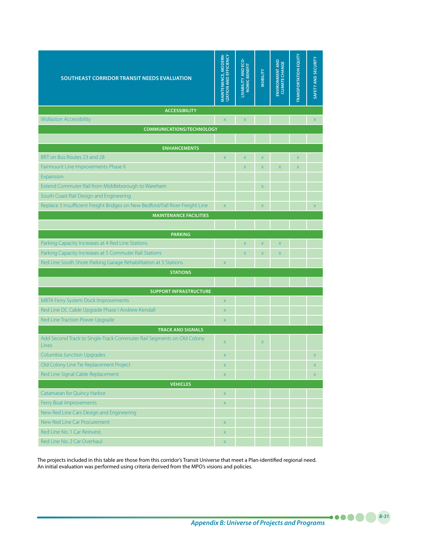| SOUTHEAST CORRIDOR TRANSIT NEEDS EVALUATION                                   | MAINTENANCE, MODERN-<br><b>ZATION AND EFFICIENCY</b> | LIVABILITY AND ECO-<br>NOMIC BENEFIT | <b>MOBILITY</b> | ENVIRONMENT AND | <b>TRANSPORTATION EQUITY</b> | <b>SAFETY AND SECURITY</b> |
|-------------------------------------------------------------------------------|------------------------------------------------------|--------------------------------------|-----------------|-----------------|------------------------------|----------------------------|
| <b>ACCESSIBILITY</b>                                                          |                                                      |                                      |                 |                 |                              |                            |
| <b>Wollaston Accessibility</b>                                                | $\bar{\mathsf{X}}$                                   | $\mathsf X$                          |                 |                 |                              | $\mathsf X$                |
| <b>COMMUNICATIONS/TECHNOLOGY</b>                                              |                                                      |                                      |                 |                 |                              |                            |
| <b>ENHANCEMENTS</b>                                                           |                                                      |                                      |                 |                 |                              |                            |
| BRT on Bus Routes 23 and 28                                                   | $\mathsf{X}$                                         | $\mathsf X$                          | X               |                 | X                            |                            |
| Fairmount Line Improvements Phase II                                          |                                                      | $\mathsf X$                          | X               | X               | X                            |                            |
| Expansion                                                                     |                                                      |                                      |                 |                 |                              |                            |
| Extend Commuter Rail from Middleborough to Wareham                            |                                                      |                                      | X               |                 |                              |                            |
| South Coast Rail Design and Engineering                                       |                                                      |                                      |                 |                 |                              |                            |
| Replace 3 Insufficient Freight Bridges on New Bedford/Fall River Freight Line | $\mathsf X$                                          |                                      | $\mathsf X$     |                 |                              | $\mathsf X$                |
| <b>MAINTENANCE FACILITIES</b>                                                 |                                                      |                                      |                 |                 |                              |                            |
|                                                                               |                                                      |                                      |                 |                 |                              |                            |
| <b>PARKING</b>                                                                |                                                      |                                      |                 |                 |                              |                            |
| Parking Capacity Increases at 4 Red Line Stations                             |                                                      | $\mathsf X$                          | X               | X               |                              |                            |
| Parking Capacity Increases at 5 Commuter Rail Stations                        |                                                      | $\mathsf X$                          | $\mathsf X$     | $\mathsf X$     |                              |                            |
| Red Line South Shore Parking Garage Rehabilitation at 3 Stations              | $\mathsf X$                                          |                                      |                 |                 |                              |                            |
| <b>STATIONS</b>                                                               |                                                      |                                      |                 |                 |                              |                            |
|                                                                               |                                                      |                                      |                 |                 |                              |                            |
| <b>SUPPORT INFRASTRUCTURE</b>                                                 |                                                      |                                      |                 |                 |                              |                            |
| <b>MBTA Ferry System Dock Improvements</b>                                    | $\mathsf X$                                          |                                      |                 |                 |                              |                            |
| Red Line DC Cable Upgrade Phase I Andrew-Kendall                              | $\boldsymbol{\mathsf{X}}$                            |                                      |                 |                 |                              |                            |
| Red Line Traction Power Upgrade<br><b>TRACK AND SIGNALS</b>                   | $\mathsf{X}$                                         |                                      |                 |                 |                              |                            |
| Add Second Track to Single-Track Commuter Rail Segments on Old Colony         |                                                      |                                      |                 |                 |                              |                            |
| <b>Lines</b>                                                                  | $\mathsf{X}$                                         |                                      | X               |                 |                              |                            |
| <b>Columbia Junction Upgrades</b>                                             | $\mathsf X$                                          |                                      |                 |                 |                              | X                          |
| Old Colony Line Tie Replacement Project                                       | X                                                    |                                      |                 |                 |                              | X                          |
| Red Line Signal Cable Replacement                                             | $\mathsf X$                                          |                                      |                 |                 |                              | $\mathsf X$                |
| <b>VEHICLES</b>                                                               |                                                      |                                      |                 |                 |                              |                            |
| Catamaran for Quincy Harbor                                                   | $\mathsf X$                                          |                                      |                 |                 |                              |                            |
| Ferry Boat Improvements                                                       | $\mathsf X$                                          |                                      |                 |                 |                              |                            |
| New Red Line Cars Design and Engineering                                      |                                                      |                                      |                 |                 |                              |                            |
| New Red Line Car Procurement                                                  | $\mathsf X$                                          |                                      |                 |                 |                              |                            |
| Red Line No. 1 Car Reinvest.                                                  | $\mathsf X$                                          |                                      |                 |                 |                              |                            |
| Red Line No. 2 Car Overhaul                                                   | X                                                    |                                      |                 |                 |                              |                            |

The projects included in this table are those from this corridor's Transit Universe that meet a Plan-identified regional need. An initial evaluation was performed using criteria derived from the MPO's visions and policies.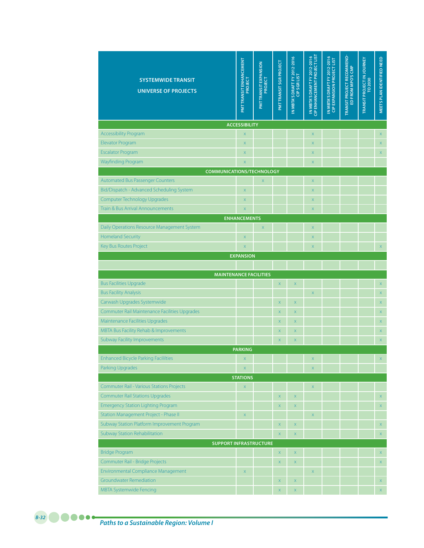| <b>SYSTEMWIDE TRANSIT</b><br><b>UNIVERSE OF PROJECTS</b> | <b>PMTTRANSIT ENHANCEMENT</b><br>PROJECT | <b>PMT TRANSIT EXPANSION</b><br>PROJECT | PMT TRANSIT SGR PROJECT | IN META'S DRAFT FY 2012-2016<br><b>CIP SGR LIST</b> | IN MBTA'S DRAFT FY 2012-2016 | IN MBTA'S DRAFT FY 2012-2016<br>CIP EXPANSION PROJECT LIST | TRANSIT PROJECT RECOMMEND-<br>ED FROM MPO'S CMP | TRANSIT PROJECT IN JOURNEY<br>TO 2030 | MEETS PLAN IDENTIFIED NEED |
|----------------------------------------------------------|------------------------------------------|-----------------------------------------|-------------------------|-----------------------------------------------------|------------------------------|------------------------------------------------------------|-------------------------------------------------|---------------------------------------|----------------------------|
|                                                          | <b>ACCESSIBILITY</b>                     |                                         |                         |                                                     |                              |                                                            |                                                 |                                       |                            |
| <b>Accessibility Program</b>                             | X                                        |                                         |                         |                                                     | $\overline{\mathsf{x}}$      |                                                            |                                                 |                                       | $\mathsf X$                |
| <b>Elevator Program</b>                                  | X                                        |                                         |                         |                                                     | $\mathsf{X}$                 |                                                            |                                                 |                                       | $\mathsf X$                |
| <b>Escalator Program</b>                                 | X.                                       |                                         |                         |                                                     | X                            |                                                            |                                                 |                                       | $\mathsf X$                |
| <b>Wayfinding Program</b>                                | X                                        |                                         |                         |                                                     | X                            |                                                            |                                                 |                                       |                            |
| <b>COMMUNICATIONS/TECHNOLOGY</b>                         |                                          |                                         |                         |                                                     |                              |                                                            |                                                 |                                       |                            |
| <b>Automated Bus Passenger Counters</b>                  |                                          | X                                       |                         |                                                     | X                            |                                                            |                                                 |                                       |                            |
| Bid/Dispatch - Advanced Scheduling System                | X                                        |                                         |                         |                                                     | $\mathsf{X}$                 |                                                            |                                                 |                                       |                            |
| Computer Technology Upgrades                             | X                                        |                                         |                         |                                                     | X                            |                                                            |                                                 |                                       |                            |
| Train & Bus Arrival Announcements                        | X                                        |                                         |                         |                                                     | $\mathsf{X}$                 |                                                            |                                                 |                                       |                            |
| Daily Operations Resource Management System              | <b>ENHANCEMENTS</b>                      | X                                       |                         |                                                     | $\mathsf{X}$                 |                                                            |                                                 |                                       |                            |
| <b>Homeland Security</b>                                 | X                                        |                                         |                         |                                                     | $\mathsf{X}$                 |                                                            |                                                 |                                       |                            |
| Key Bus Routes Project                                   | X                                        |                                         |                         |                                                     | $\mathsf{X}$                 |                                                            |                                                 |                                       | $\mathsf X$                |
|                                                          | <b>EXPANSION</b>                         |                                         |                         |                                                     |                              |                                                            |                                                 |                                       |                            |
|                                                          |                                          |                                         |                         |                                                     |                              |                                                            |                                                 |                                       |                            |
| <b>MAINTENANCE FACILITIES</b>                            |                                          |                                         |                         |                                                     |                              |                                                            |                                                 |                                       |                            |
| <b>Bus Facilities Upgrade</b>                            |                                          |                                         | $\mathsf X$             | X                                                   |                              |                                                            |                                                 |                                       | $\mathsf X$                |
| <b>Bus Facility Analysis</b>                             |                                          |                                         |                         |                                                     | $\mathsf{X}$                 |                                                            |                                                 |                                       | $\mathsf X$                |
| Carwash Upgrades Systemwide                              |                                          |                                         | X                       | $\bar{\mathsf{X}}$                                  |                              |                                                            |                                                 |                                       | X                          |
| Commuter Rail Maintenance Facilities Upgrades            |                                          |                                         | $\mathsf X$             | $\mathsf X$                                         |                              |                                                            |                                                 |                                       | $\mathsf X$                |
| Maintenance Facilities Upgrades                          |                                          |                                         | $\mathsf X$             | X                                                   |                              |                                                            |                                                 |                                       | $\mathsf X$                |
| MBTA Bus Facility Rehab & Improvements                   |                                          |                                         | X                       | $\mathsf X$                                         |                              |                                                            |                                                 |                                       | $\mathsf X$                |
| <b>Subway Facility Improvements</b>                      |                                          |                                         | $\bar{\mathsf{X}}$      | $\mathsf X$                                         |                              |                                                            |                                                 |                                       | $\mathsf X$                |
|                                                          | <b>PARKING</b>                           |                                         |                         |                                                     |                              |                                                            |                                                 |                                       |                            |
| <b>Enhanced Bicycle Parking Facililties</b>              | X                                        |                                         |                         |                                                     | X                            |                                                            |                                                 |                                       | $\mathsf X$                |
| <b>Parking Upgrades</b>                                  | $\mathsf X$                              |                                         |                         |                                                     | $\mathsf X$                  |                                                            |                                                 |                                       |                            |
|                                                          | <b>STATIONS</b>                          |                                         |                         |                                                     |                              |                                                            |                                                 |                                       |                            |
| <b>Commuter Rail - Various Stations Projects</b>         | $\mathsf X$                              |                                         |                         |                                                     | $\mathsf X$                  |                                                            |                                                 |                                       |                            |
| <b>Commuter Rail Stations Upgrades</b>                   |                                          |                                         | $\bar{\mathsf{X}}$      | $\mathsf X$                                         |                              |                                                            |                                                 |                                       | $\mathsf X$                |
| <b>Emergency Station Lighting Program</b>                |                                          |                                         | $\bar{\mathsf{X}}$      | $\mathsf X$                                         |                              |                                                            |                                                 |                                       | $\mathsf X$                |
| Station Management Project - Phase II                    | $\mathsf X$                              |                                         |                         |                                                     | $\mathsf X$                  |                                                            |                                                 |                                       |                            |
| Subway Station Platform Improvement Program              |                                          |                                         | $\mathsf X$             | $\mathsf X$                                         |                              |                                                            |                                                 |                                       | X                          |
| <b>Subway Station Rehabilitation</b>                     |                                          |                                         | $\bar{\mathsf{X}}$      | $\mathsf X$                                         |                              |                                                            |                                                 |                                       | $\mathsf X$                |
| <b>SUPPORT INFRASTRUCTURE</b><br><b>Bridge Program</b>   |                                          |                                         | $\mathsf X$             | $\mathsf X$                                         |                              |                                                            |                                                 |                                       |                            |
| Commuter Rail - Bridge Projects                          |                                          |                                         | $\mathsf X$             | $\mathsf X$                                         |                              |                                                            |                                                 |                                       | $\mathsf X$<br>$\mathsf X$ |
| Environmental Compliance Management                      | $\mathsf X$                              |                                         |                         |                                                     | $\mathsf X$                  |                                                            |                                                 |                                       |                            |
| <b>Groundwater Remediation</b>                           |                                          |                                         | $\mathsf X$             | $\mathsf X$                                         |                              |                                                            |                                                 |                                       | X                          |
| <b>MBTA Systemwide Fencing</b>                           |                                          |                                         | $\bar{\mathsf{X}}$      | $\bar{\mathsf{X}}$                                  |                              |                                                            |                                                 |                                       | $\mathsf X$                |
|                                                          |                                          |                                         |                         |                                                     |                              |                                                            |                                                 |                                       |                            |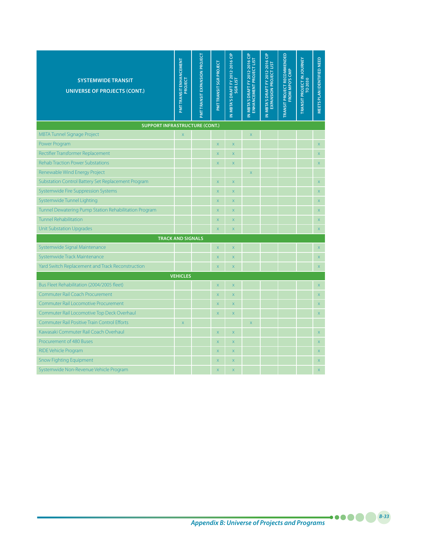| <b>SYSTEMWIDE TRANSIT</b><br><b>UNIVERSE OF PROJECTS (CONT.)</b> | PMTTRANSIT ENHANCEMENT<br>PROJECT | PMT TRANSIT EXPANSION PROJECT | PMTTRANSIT SGR PROJECT  | IN MBTA'S DRAFT FY 2012-2016 CIP<br><b>SGRLIST</b> | N MBTA'S DRAFT FY 2012-2016 CIP<br>ENHANCEMENT PROJECT LIST | IN MBTA'S DRAFT FY 2012-2016 CIP<br>EXPANSION PROJECT LIST | <b>TRANSIT PROJECT RECOMMENDED</b><br>FROM MPO'S CMP | TRANSIT PROJECT IN JOURNEY<br>TO 2030 | MEETS PLAN IDENTIFIED NEED |  |  |  |
|------------------------------------------------------------------|-----------------------------------|-------------------------------|-------------------------|----------------------------------------------------|-------------------------------------------------------------|------------------------------------------------------------|------------------------------------------------------|---------------------------------------|----------------------------|--|--|--|
| <b>SUPPORT INFRASTRUCTURE (CONT.)</b>                            |                                   |                               |                         |                                                    |                                                             |                                                            |                                                      |                                       |                            |  |  |  |
| <b>MBTA Tunnel Signage Project</b>                               | $\mathsf X$                       |                               |                         |                                                    | X                                                           |                                                            |                                                      |                                       |                            |  |  |  |
| Power Program                                                    |                                   |                               | X                       | $\bar{\mathsf{x}}$                                 |                                                             |                                                            |                                                      |                                       | $\bar{\mathsf{X}}$         |  |  |  |
| Rectifier Transformer Replacement                                |                                   |                               | X                       | $\bar{\mathsf{x}}$                                 |                                                             |                                                            |                                                      |                                       | $\mathsf X$                |  |  |  |
| <b>Rehab Traction Power Substations</b>                          |                                   |                               | X                       | $\overline{\mathsf{x}}$                            |                                                             |                                                            |                                                      |                                       | $\mathsf X$                |  |  |  |
| Renewable Wind Energy Project                                    |                                   |                               |                         |                                                    | X                                                           |                                                            |                                                      |                                       |                            |  |  |  |
| Substation Control Battery Set Replacement Program               |                                   |                               | X                       | $\bar{\mathsf{x}}$                                 |                                                             |                                                            |                                                      |                                       | $\mathsf X$                |  |  |  |
| Systemwide Fire Suppression Systems                              |                                   |                               | X                       | $\bar{\mathsf{x}}$                                 |                                                             |                                                            |                                                      |                                       | $\mathsf X$                |  |  |  |
| Systemwide Tunnel Lighting                                       |                                   |                               | X                       | $\bar{\mathsf{x}}$                                 |                                                             |                                                            |                                                      |                                       | $\mathsf X$                |  |  |  |
| Tunnel Dewatering Pump Station Rehabilitation Program            |                                   |                               | X                       | $\mathsf X$                                        |                                                             |                                                            |                                                      |                                       | $\mathsf X$                |  |  |  |
| <b>Tunnel Rehabilitation</b>                                     |                                   |                               | X                       | X                                                  |                                                             |                                                            |                                                      |                                       | $\mathsf X$                |  |  |  |
| <b>Unit Substation Upgrades</b>                                  |                                   |                               | X                       | $\overline{\mathsf{x}}$                            |                                                             |                                                            |                                                      |                                       | $\bar{\mathsf{X}}$         |  |  |  |
|                                                                  | <b>TRACK AND SIGNALS</b>          |                               |                         |                                                    |                                                             |                                                            |                                                      |                                       |                            |  |  |  |
| Systemwide Signal Maintenance                                    |                                   |                               | X                       | $\bar{\mathsf{x}}$                                 |                                                             |                                                            |                                                      |                                       | $\bar{\mathsf{X}}$         |  |  |  |
| Systemwide Track Maintenance                                     |                                   |                               | X                       | X                                                  |                                                             |                                                            |                                                      |                                       | $\overline{X}$             |  |  |  |
| Yard Switch Replacement and Track Reconstruction                 |                                   |                               | X                       | $\overline{\mathsf{x}}$                            |                                                             |                                                            |                                                      |                                       | $\bar{\mathsf{X}}$         |  |  |  |
|                                                                  | <b>VEHICLES</b>                   |                               |                         |                                                    |                                                             |                                                            |                                                      |                                       |                            |  |  |  |
| Bus Fleet Rehabilitation (2004/2005 fleet)                       |                                   |                               | X                       | $\bar{\mathsf{x}}$                                 |                                                             |                                                            |                                                      |                                       | $\mathsf X$                |  |  |  |
| <b>Commuter Rail Coach Procurement</b>                           |                                   |                               | X                       | $\bar{\mathsf{x}}$                                 |                                                             |                                                            |                                                      |                                       | $\mathsf X$                |  |  |  |
| <b>Commuter Rail Locomotive Procurement</b>                      |                                   |                               | X                       | $\bar{\mathsf{x}}$                                 |                                                             |                                                            |                                                      |                                       | $\bar{\mathsf{X}}$         |  |  |  |
| Commuter Rail Locomotive Top Deck Overhaul                       |                                   |                               | X.                      | $\overline{\mathsf{x}}$                            |                                                             |                                                            |                                                      |                                       | X                          |  |  |  |
| <b>Commuter Rail Positive Train Control Efforts</b>              | $\bar{\mathsf{x}}$                |                               |                         |                                                    | $\overline{\mathsf{x}}$                                     |                                                            |                                                      |                                       |                            |  |  |  |
| Kawasaki Commuter Rail Coach Overhaul                            |                                   |                               | X                       | $\bar{\mathsf{x}}$                                 |                                                             |                                                            |                                                      |                                       | $\mathsf X$                |  |  |  |
| Procurement of 480 Buses                                         |                                   |                               | X                       | $\overline{\mathsf{x}}$                            |                                                             |                                                            |                                                      |                                       | $\bar{\mathsf{X}}$         |  |  |  |
| RIDE Vehicle Program                                             |                                   |                               | X                       | X                                                  |                                                             |                                                            |                                                      |                                       | X                          |  |  |  |
| <b>Snow Fighting Equipment</b>                                   |                                   |                               | X                       | $\overline{\mathsf{x}}$                            |                                                             |                                                            |                                                      |                                       | $\bar{\mathsf{X}}$         |  |  |  |
| Systemwide Non-Revenue Vehicle Program                           |                                   |                               | $\overline{\mathsf{x}}$ | $\overline{\mathsf{x}}$                            |                                                             |                                                            |                                                      |                                       | $\overline{\mathsf{x}}$    |  |  |  |

*Appendix B: Universe of Projects and Programs*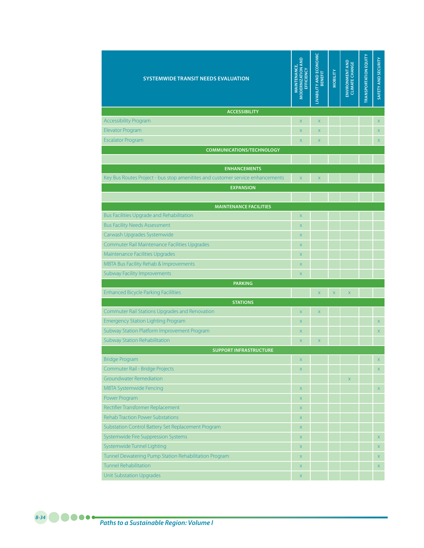| <b>SYSTEMWIDE TRANSIT NEEDS EVALUATION</b>                                     | <b><i>MODERNIZATION AND</i></b><br><b>MAINTENANCE,</b><br>EFFICIENCY | LIVABILITY AND ECONOMIC<br>BENEFIT | <b>MOBILITY</b> | ENVIRONMENT AND<br><b>CLIMATE CHANGE</b> | <b>TRANSPORTATION EQUITY</b> | SAFETY AND SECURITY |
|--------------------------------------------------------------------------------|----------------------------------------------------------------------|------------------------------------|-----------------|------------------------------------------|------------------------------|---------------------|
| <b>ACCESSIBILITY</b>                                                           |                                                                      |                                    |                 |                                          |                              |                     |
| <b>Accessibility Program</b>                                                   | $\mathsf X$                                                          | $\overline{\mathsf{X}}$            |                 |                                          |                              | $\mathsf{x}$        |
| <b>Elevator Program</b>                                                        | X                                                                    | $\overline{X}$                     |                 |                                          |                              | $\mathsf X$         |
| <b>Escalator Program</b>                                                       | $\mathsf{x}$                                                         | X                                  |                 |                                          |                              | $\mathsf{X}$        |
| <b>COMMUNICATIONS/TECHNOLOGY</b>                                               |                                                                      |                                    |                 |                                          |                              |                     |
|                                                                                |                                                                      |                                    |                 |                                          |                              |                     |
| <b>ENHANCEMENTS</b>                                                            |                                                                      |                                    |                 |                                          |                              |                     |
| Key Bus Routes Project - bus stop amenitites and customer service enhancements | $\mathsf X$                                                          | X                                  |                 |                                          |                              |                     |
| <b>EXPANSION</b>                                                               |                                                                      |                                    |                 |                                          |                              |                     |
|                                                                                |                                                                      |                                    |                 |                                          |                              |                     |
| <b>MAINTENANCE FACILITIES</b><br>Bus Facilities Upgrade and Rehabilitation     | $\mathsf X$                                                          |                                    |                 |                                          |                              |                     |
| <b>Bus Facility Needs Assessment</b>                                           | $\mathsf{X}$                                                         |                                    |                 |                                          |                              |                     |
| Carwash Upgrades Systemwide                                                    | X                                                                    |                                    |                 |                                          |                              |                     |
| Commuter Rail Maintenance Facilities Upgrades                                  | $\mathsf{X}$                                                         |                                    |                 |                                          |                              |                     |
| Maintenance Facilities Upgrades                                                | $\mathsf{X}$                                                         |                                    |                 |                                          |                              |                     |
| MBTA Bus Facility Rehab & Improvements                                         | X                                                                    |                                    |                 |                                          |                              |                     |
| <b>Subway Facility Improvements</b>                                            | X                                                                    |                                    |                 |                                          |                              |                     |
| <b>PARKING</b>                                                                 |                                                                      |                                    |                 |                                          |                              |                     |
| <b>Enhanced Bicycle Parking Facililties</b>                                    |                                                                      | X                                  | $\mathsf X$     | $\boldsymbol{\mathsf{X}}$                |                              |                     |
| <b>STATIONS</b>                                                                |                                                                      |                                    |                 |                                          |                              |                     |
| Commuter Rail Stations Upgrades and Renovation                                 | $\mathsf X$                                                          | $\mathsf X$                        |                 |                                          |                              |                     |
| <b>Emergency Station Lighting Program</b>                                      | $\mathsf{X}$                                                         |                                    |                 |                                          |                              | $\mathsf{X}$        |
| Subway Station Platform Improvement Program                                    | $\mathsf{X}$                                                         |                                    |                 |                                          |                              | $\mathsf X$         |
| Subway Station Rehabilitation                                                  | $\mathsf{x}$                                                         | X                                  |                 |                                          |                              |                     |
| <b>SUPPORT INFRASTRUCTURE</b>                                                  |                                                                      |                                    |                 |                                          |                              |                     |
| Bridge Program                                                                 | $\mathsf X$                                                          |                                    |                 |                                          |                              | X                   |
| Commuter Rail - Bridge Projects                                                | $\mathsf X$                                                          |                                    |                 |                                          |                              | $\mathsf X$         |
| <b>Groundwater Remediation</b>                                                 |                                                                      |                                    |                 | X                                        |                              |                     |
| <b>MBTA Systemwide Fencing</b>                                                 | $\mathsf X$                                                          |                                    |                 |                                          |                              | X                   |
| Power Program                                                                  | $\mathsf X$                                                          |                                    |                 |                                          |                              |                     |
| Rectifier Transformer Replacement                                              | $\mathsf X$                                                          |                                    |                 |                                          |                              |                     |
| <b>Rehab Traction Power Substations</b>                                        | $\mathsf X$                                                          |                                    |                 |                                          |                              |                     |
| Substation Control Battery Set Replacement Program                             | $\mathsf X$                                                          |                                    |                 |                                          |                              |                     |
| Systemwide Fire Suppression Systems                                            | $\mathsf X$                                                          |                                    |                 |                                          |                              | $\mathsf X$         |
| Systemwide Tunnel Lighting                                                     | $\mathsf X$                                                          |                                    |                 |                                          |                              | $\mathsf X$         |
| Tunnel Dewatering Pump Station Rehabilitation Program                          | $\mathsf X$                                                          |                                    |                 |                                          |                              | $\mathsf X$         |
| <b>Tunnel Rehabilitation</b>                                                   | $\mathsf X$                                                          |                                    |                 |                                          |                              | $\mathsf X$         |
| <b>Unit Substation Upgrades</b>                                                | $\mathsf X$                                                          |                                    |                 |                                          |                              |                     |